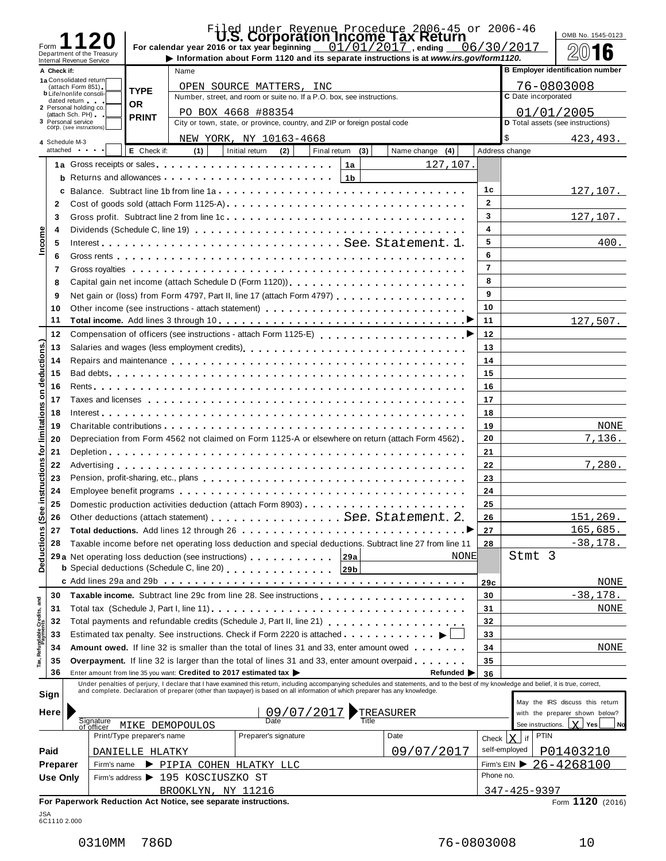| Form                          |                 |                                                        |                            |                                                                    |                                                                                                                                                                                                                                      |                  | Filed under Revenue Procedure 2006-45 or 2006-46<br>For calendar year 2016 or tax year beginning $01/01/2017$ , ending                                                                                                            |                | 06/30/2017                        | OMB No. 1545-0123                                                 |
|-------------------------------|-----------------|--------------------------------------------------------|----------------------------|--------------------------------------------------------------------|--------------------------------------------------------------------------------------------------------------------------------------------------------------------------------------------------------------------------------------|------------------|-----------------------------------------------------------------------------------------------------------------------------------------------------------------------------------------------------------------------------------|----------------|-----------------------------------|-------------------------------------------------------------------|
|                               |                 | Department of the Treasury<br>Internal Revenue Service |                            |                                                                    |                                                                                                                                                                                                                                      |                  | Information about Form 1120 and its separate instructions is at www.irs.gov/form1120.                                                                                                                                             |                |                                   | 16                                                                |
|                               | A Check if:     |                                                        |                            | Name                                                               |                                                                                                                                                                                                                                      |                  |                                                                                                                                                                                                                                   |                |                                   | <b>B</b> Employer identification number                           |
|                               |                 | 1a Consolidated return<br>(attach Form 851)            |                            |                                                                    | OPEN SOURCE MATTERS, INC                                                                                                                                                                                                             |                  |                                                                                                                                                                                                                                   |                | 76-0803008                        |                                                                   |
|                               |                 | <b>b</b> Life/nonlife consoli-<br>dated return         | <b>TYPE</b>                |                                                                    | Number, street, and room or suite no. If a P.O. box, see instructions.                                                                                                                                                               |                  |                                                                                                                                                                                                                                   |                | C Date incorporated               |                                                                   |
|                               |                 | 2 Personal holding co.                                 | <b>OR</b>                  |                                                                    | PO BOX 4668 #88354                                                                                                                                                                                                                   |                  |                                                                                                                                                                                                                                   |                | 01/01/2005                        |                                                                   |
|                               |                 | (attach Sch. PH)<br>3 Personal service                 | <b>PRINT</b>               |                                                                    | City or town, state, or province, country, and ZIP or foreign postal code                                                                                                                                                            |                  |                                                                                                                                                                                                                                   |                | D Total assets (see instructions) |                                                                   |
|                               |                 | COrp. (see instructions)                               |                            |                                                                    | NEW YORK, NY 10163-4668                                                                                                                                                                                                              |                  |                                                                                                                                                                                                                                   |                | \$                                | 423, 493.                                                         |
|                               |                 | 4 Schedule M-3<br>attached and the set                 | E Check if:                | (1)                                                                | Initial return<br>(2)                                                                                                                                                                                                                | Final return (3) | Name change (4)                                                                                                                                                                                                                   |                | Address change                    |                                                                   |
|                               |                 |                                                        |                            |                                                                    | 1a Gross receipts or sales <b>container and a series of the contact of the contact of the contact of the contact of the contact of the contact of the contact of the contact of the contact of the contact of the contact of the</b> | 1a               | 127,107.                                                                                                                                                                                                                          |                |                                   |                                                                   |
|                               |                 |                                                        |                            |                                                                    |                                                                                                                                                                                                                                      | 1 <sub>b</sub>   |                                                                                                                                                                                                                                   |                |                                   |                                                                   |
|                               |                 |                                                        |                            |                                                                    |                                                                                                                                                                                                                                      |                  | c Balance. Subtract line 1b from line $1a_1, \ldots, a_n, \ldots, a_1, \ldots, a_n, \ldots, a_n, \ldots, a_n$                                                                                                                     | 1c             |                                   | 127,107.                                                          |
|                               | $\mathbf{2}$    |                                                        |                            |                                                                    |                                                                                                                                                                                                                                      |                  |                                                                                                                                                                                                                                   | $\overline{2}$ |                                   |                                                                   |
|                               | 3               |                                                        |                            |                                                                    |                                                                                                                                                                                                                                      |                  |                                                                                                                                                                                                                                   | 3              |                                   | 127,107.                                                          |
|                               | 4               |                                                        |                            |                                                                    |                                                                                                                                                                                                                                      |                  |                                                                                                                                                                                                                                   | $\overline{4}$ |                                   |                                                                   |
| Income                        | 5               |                                                        |                            |                                                                    |                                                                                                                                                                                                                                      |                  | InterestSee. Statement. 1.                                                                                                                                                                                                        | 5              |                                   | 400.                                                              |
|                               | 6               |                                                        |                            |                                                                    |                                                                                                                                                                                                                                      |                  |                                                                                                                                                                                                                                   | 6              |                                   |                                                                   |
|                               | 7               |                                                        |                            |                                                                    |                                                                                                                                                                                                                                      |                  |                                                                                                                                                                                                                                   | $\overline{7}$ |                                   |                                                                   |
|                               | 8               |                                                        |                            |                                                                    |                                                                                                                                                                                                                                      |                  | Capital gain net income (attach Schedule D (Form 1120)).                                                                                                                                                                          | 8              |                                   |                                                                   |
|                               | 9               |                                                        |                            |                                                                    |                                                                                                                                                                                                                                      |                  | Net gain or (loss) from Form 4797, Part II, line 17 (attach Form 4797)                                                                                                                                                            | 9              |                                   |                                                                   |
|                               | 10              |                                                        |                            |                                                                    |                                                                                                                                                                                                                                      |                  | Other income (see instructions - attach statement)                                                                                                                                                                                | 10             |                                   |                                                                   |
|                               | 11              |                                                        |                            |                                                                    |                                                                                                                                                                                                                                      |                  |                                                                                                                                                                                                                                   | 11             |                                   | 127,507.                                                          |
|                               | 12              |                                                        |                            |                                                                    |                                                                                                                                                                                                                                      |                  |                                                                                                                                                                                                                                   | 12             |                                   |                                                                   |
|                               | 13              |                                                        |                            |                                                                    |                                                                                                                                                                                                                                      |                  |                                                                                                                                                                                                                                   | 13             |                                   |                                                                   |
| deductions.)                  | 14              |                                                        |                            |                                                                    |                                                                                                                                                                                                                                      |                  | Repairs and maintenance enterpreteration of the contract of the contract of the contract of the contract of the contract of the contract of the contract of the contract of the contract of the contract of the contract of th    | 14             |                                   |                                                                   |
|                               | 15              |                                                        |                            |                                                                    |                                                                                                                                                                                                                                      |                  |                                                                                                                                                                                                                                   | 15             |                                   |                                                                   |
|                               | 16              |                                                        |                            |                                                                    |                                                                                                                                                                                                                                      |                  |                                                                                                                                                                                                                                   | 16             |                                   |                                                                   |
| $\mathbf s$                   | 17              |                                                        |                            |                                                                    |                                                                                                                                                                                                                                      |                  | Taxes and licenses quantum quantum or property of the property of the property of the property control of the c                                                                                                                   | 17             |                                   |                                                                   |
|                               | 18              |                                                        |                            |                                                                    |                                                                                                                                                                                                                                      |                  |                                                                                                                                                                                                                                   | 18             |                                   |                                                                   |
| limitations                   | 19              |                                                        |                            |                                                                    |                                                                                                                                                                                                                                      |                  |                                                                                                                                                                                                                                   | 19             |                                   | NONE                                                              |
|                               | 20              |                                                        |                            |                                                                    |                                                                                                                                                                                                                                      |                  | Depreciation from Form 4562 not claimed on Form 1125-A or elsewhere on return (attach Form 4562)                                                                                                                                  | 20             |                                   | 7,136.                                                            |
| tor                           | 21              |                                                        |                            |                                                                    |                                                                                                                                                                                                                                      |                  |                                                                                                                                                                                                                                   | 21             |                                   |                                                                   |
|                               | 22              |                                                        |                            |                                                                    |                                                                                                                                                                                                                                      |                  |                                                                                                                                                                                                                                   | 22             |                                   | 7,280.                                                            |
|                               | 23              |                                                        |                            |                                                                    |                                                                                                                                                                                                                                      |                  |                                                                                                                                                                                                                                   | 23             |                                   |                                                                   |
| instructions                  | 24              |                                                        |                            |                                                                    |                                                                                                                                                                                                                                      |                  |                                                                                                                                                                                                                                   | 24             |                                   |                                                                   |
|                               | 25              |                                                        |                            |                                                                    |                                                                                                                                                                                                                                      |                  |                                                                                                                                                                                                                                   | 25             |                                   |                                                                   |
| $\mathbf{\sigma}$<br><u>ଓ</u> | 26              |                                                        |                            |                                                                    |                                                                                                                                                                                                                                      |                  | Other deductions (attach statement) See. Statement. 2.                                                                                                                                                                            | 26             |                                   | 151, 269.                                                         |
|                               | 27              |                                                        |                            |                                                                    |                                                                                                                                                                                                                                      |                  |                                                                                                                                                                                                                                   | 27             |                                   | 165,685.                                                          |
|                               | 28              |                                                        |                            |                                                                    |                                                                                                                                                                                                                                      |                  | Taxable income before net operating loss deduction and special deductions. Subtract line 27 from line 11                                                                                                                          | 28             |                                   | $-38,178.$                                                        |
| Deductions                    |                 |                                                        |                            |                                                                    |                                                                                                                                                                                                                                      | 29a              | NONE                                                                                                                                                                                                                              |                | Stmt 3                            |                                                                   |
|                               |                 |                                                        |                            |                                                                    | <b>b</b> Special deductions (Schedule C, line 20)                                                                                                                                                                                    | 29b              |                                                                                                                                                                                                                                   |                |                                   |                                                                   |
|                               |                 |                                                        |                            |                                                                    |                                                                                                                                                                                                                                      |                  |                                                                                                                                                                                                                                   | 29c            |                                   | NONE                                                              |
|                               | 30              |                                                        |                            |                                                                    |                                                                                                                                                                                                                                      |                  |                                                                                                                                                                                                                                   | 30             |                                   | $-38,178.$                                                        |
| Refundable Credits, and       | 31              |                                                        |                            |                                                                    |                                                                                                                                                                                                                                      |                  |                                                                                                                                                                                                                                   | 31             |                                   | NONE                                                              |
|                               | 32              |                                                        |                            |                                                                    |                                                                                                                                                                                                                                      |                  |                                                                                                                                                                                                                                   | 32             |                                   |                                                                   |
|                               | 33              |                                                        |                            |                                                                    |                                                                                                                                                                                                                                      |                  |                                                                                                                                                                                                                                   | 33             |                                   |                                                                   |
|                               | 34              |                                                        |                            |                                                                    |                                                                                                                                                                                                                                      |                  | <b>Amount owed.</b> If line 32 is smaller than the total of lines 31 and 33, enter amount owed <b></b>                                                                                                                            | 34             |                                   | <b>NONE</b>                                                       |
|                               | 35              |                                                        |                            |                                                                    |                                                                                                                                                                                                                                      |                  | <b>Overpayment.</b> If line 32 is larger than the total of lines 31 and 33, enter amount overpaid $\ldots$ ,                                                                                                                      | 35             |                                   |                                                                   |
|                               | 36              |                                                        |                            | Enter amount from line 35 you want: Credited to 2017 estimated tax |                                                                                                                                                                                                                                      |                  | Refunded $\blacktriangleright$                                                                                                                                                                                                    | 36             |                                   |                                                                   |
|                               |                 |                                                        |                            |                                                                    |                                                                                                                                                                                                                                      |                  | Under penalties of perjury, I declare that I have examined this return, including accompanying schedules and statements, and to the best of my knowledge and belief, it is true, correct,<br>and complete. Declaration of prepare |                |                                   |                                                                   |
| Sign                          |                 |                                                        |                            |                                                                    |                                                                                                                                                                                                                                      |                  |                                                                                                                                                                                                                                   |                |                                   |                                                                   |
|                               | Here            |                                                        |                            |                                                                    | 09/07/2017                                                                                                                                                                                                                           |                  | TREASURER                                                                                                                                                                                                                         |                |                                   | May the IRS discuss this return<br>with the preparer shown below? |
|                               |                 | Signature<br>of officer                                |                            | MIKE DEMOPOULOS                                                    | Date                                                                                                                                                                                                                                 | <b>Title</b>     |                                                                                                                                                                                                                                   |                | See instructions.                 | <b>Y</b> Yes<br>Nd                                                |
|                               |                 |                                                        | Print/Type preparer's name |                                                                    | Preparer's signature                                                                                                                                                                                                                 |                  | Date                                                                                                                                                                                                                              | Check $ X $    | <b>PTIN</b><br>if                 |                                                                   |
| Paid                          |                 |                                                        | DANIELLE HLATKY            |                                                                    |                                                                                                                                                                                                                                      |                  | 09/07/2017                                                                                                                                                                                                                        |                | self-employed                     | <u>P01403210</u>                                                  |
|                               | Preparer        | Firm's name                                            |                            |                                                                    | PIPIA COHEN HLATKY LLC                                                                                                                                                                                                               |                  |                                                                                                                                                                                                                                   |                |                                   | Firm's EIN $\triangleright$ 26-4268100                            |
|                               | <b>Use Only</b> |                                                        |                            | Firm's address > 195 KOSCIUSZKO ST                                 |                                                                                                                                                                                                                                      |                  |                                                                                                                                                                                                                                   | Phone no.      |                                   |                                                                   |
|                               |                 |                                                        |                            | BROOKLYN, NY 11216                                                 |                                                                                                                                                                                                                                      |                  |                                                                                                                                                                                                                                   |                | 347-425-9397                      |                                                                   |
|                               |                 |                                                        |                            | For Paperwork Reduction Act Notice, see separate instructions.     |                                                                                                                                                                                                                                      |                  |                                                                                                                                                                                                                                   |                |                                   | Form 1120 (2016)                                                  |

JSA 6C1110 2.000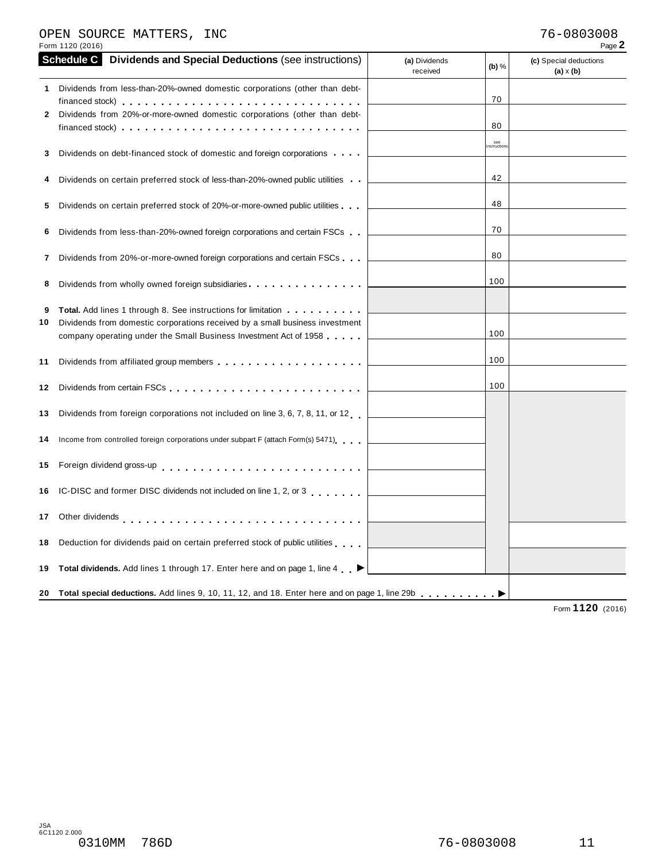### OPEN SOURCE MATTERS, INC 76-0803008

| Form 1120 (2016)                                                                                                                                                                                                                                                                  |                                      | Page 2                                     |
|-----------------------------------------------------------------------------------------------------------------------------------------------------------------------------------------------------------------------------------------------------------------------------------|--------------------------------------|--------------------------------------------|
| <b>Schedule C</b><br><b>Dividends and Special Deductions (see instructions)</b>                                                                                                                                                                                                   | (a) Dividends<br>(b) $%$<br>received | (c) Special deductions<br>$(a) \times (b)$ |
| 1 Dividends from less-than-20%-owned domestic corporations (other than debt-<br>Dividends from 20%-or-more-owned domestic corporations (other than debt-<br>2<br>financed stock) $\cdots$ , $\cdots$ , $\cdots$ , $\cdots$ , $\cdots$ , $\cdots$ , $\cdots$ , $\cdots$ , $\cdots$ | 70<br>80                             |                                            |
| Dividends on debt-financed stock of domestic and foreign corporations<br>3                                                                                                                                                                                                        | see<br>nstruction                    |                                            |
| Dividends on certain preferred stock of less-than-20%-owned public utilities                                                                                                                                                                                                      | 42                                   |                                            |
| Dividends on certain preferred stock of 20%-or-more-owned public utilities<br>5                                                                                                                                                                                                   | 48                                   |                                            |
| Dividends from less-than-20%-owned foreign corporations and certain FSCs<br>6                                                                                                                                                                                                     | 70                                   |                                            |
| Dividends from 20%-or-more-owned foreign corporations and certain FSCs<br>7                                                                                                                                                                                                       | 80                                   |                                            |
| Dividends from wholly owned foreign subsidiaries<br>8                                                                                                                                                                                                                             | 100                                  |                                            |
| <b>Total.</b> Add lines 1 through 8. See instructions for limitation <b></b><br>9<br>Dividends from domestic corporations received by a small business investment<br>10<br>company operating under the Small Business Investment Act of 1958                                      | 100                                  |                                            |
| 11                                                                                                                                                                                                                                                                                | 100                                  |                                            |
| 12                                                                                                                                                                                                                                                                                | 100                                  |                                            |
| Dividends from foreign corporations not included on line 3, 6, 7, 8, 11, or 12<br>13                                                                                                                                                                                              |                                      |                                            |
| Income from controlled foreign corporations under subpart F (attach Form(s) 5471)<br>14                                                                                                                                                                                           |                                      |                                            |
| Foreign dividend gross-up entertainment of the state of the state of the state of the state of the state of the<br>15                                                                                                                                                             |                                      |                                            |
| IC-DISC and former DISC dividends not included on line 1, 2, or 3<br>16                                                                                                                                                                                                           |                                      |                                            |
| Other dividends enterprise response to the contract of the contract of the contract of the contract of the contract of the contract of the contract of the contract of the contract of the contract of the contract of the con<br>17                                              |                                      |                                            |
| Deduction for dividends paid on certain preferred stock of public utilities<br>18                                                                                                                                                                                                 |                                      |                                            |
| Total dividends. Add lines 1 through 17. Enter here and on page 1, line 4 ▶<br>19                                                                                                                                                                                                 |                                      |                                            |
| 20 Total special deductions. Add lines 9, 10, 11, 12, and 18. Enter here and on page 1, line 29b enterchance between                                                                                                                                                              |                                      | 4420                                       |

Form **1120** (2016)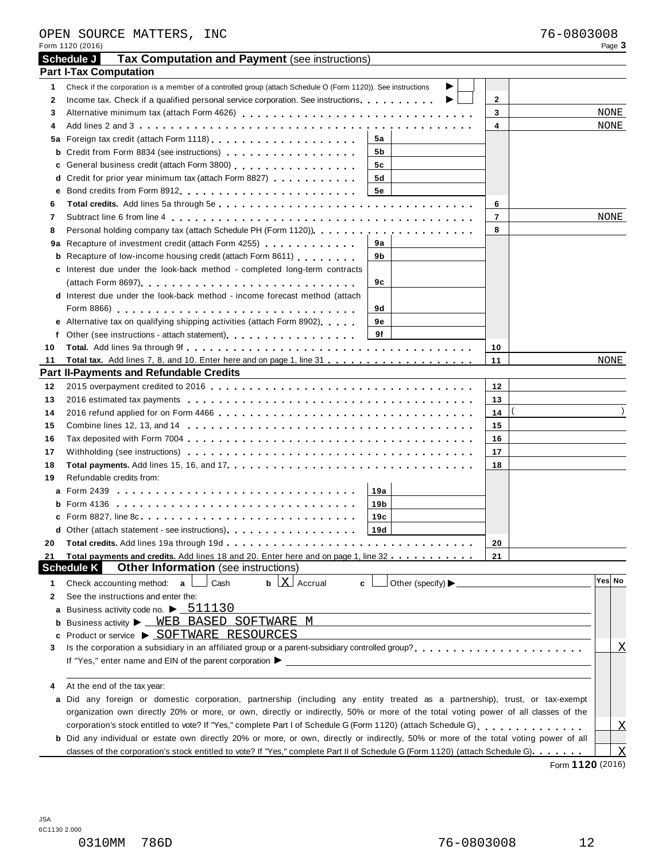|    | OPEN SOURCE MATTERS, INC<br>Form 1120 (2016)                                                                                                 |                         | 76-0803008 | Page 3                    |
|----|----------------------------------------------------------------------------------------------------------------------------------------------|-------------------------|------------|---------------------------|
|    | Schedule J<br>Tax Computation and Payment (see instructions)                                                                                 |                         |            |                           |
|    | <b>Part I-Tax Computation</b>                                                                                                                |                         |            |                           |
| 1  | Check if the corporation is a member of a controlled group (attach Schedule O (Form 1120)). See instructions                                 |                         |            |                           |
| 2  | Income tax. Check if a qualified personal service corporation. See instructions entitled in the case of the co<br>▶                          | $\mathbf{2}$            |            |                           |
| 3  |                                                                                                                                              | 3                       |            | NONE                      |
| 4  |                                                                                                                                              | $\overline{\mathbf{4}}$ |            | NONE                      |
|    | 5а                                                                                                                                           |                         |            |                           |
| b  | Credit from Form 8834 (see instructions)<br>5b                                                                                               |                         |            |                           |
| c  | General business credit (attach Form 3800) [19] [19] Cheneral business credit (attach Form 3800)<br>5c                                       |                         |            |                           |
| d  | Credit for prior year minimum tax (attach Form 8827)<br>5d                                                                                   |                         |            |                           |
| е  | 5е                                                                                                                                           |                         |            |                           |
| 6  |                                                                                                                                              | 6                       |            |                           |
| 7  |                                                                                                                                              | $\overline{7}$          |            | NONE                      |
| 8  |                                                                                                                                              | 8                       |            |                           |
|    | 9a Recapture of investment credit (attach Form 4255)<br>9а                                                                                   |                         |            |                           |
|    | <b>b</b> Recapture of low-income housing credit (attach Form 8611)<br>9b                                                                     |                         |            |                           |
|    | c Interest due under the look-back method - completed long-term contracts                                                                    |                         |            |                           |
|    | 9с                                                                                                                                           |                         |            |                           |
|    | d Interest due under the look-back method - income forecast method (attach                                                                   |                         |            |                           |
|    | 9d                                                                                                                                           |                         |            |                           |
|    | e Alternative tax on qualifying shipping activities (attach Form 8902)<br>9е                                                                 |                         |            |                           |
| f  | 9f<br>Other (see instructions - attach statement)<br>expansive and the set of the set of the statement)                                      |                         |            |                           |
| 10 |                                                                                                                                              | 10                      |            |                           |
| 11 |                                                                                                                                              | 11                      |            | NONE                      |
|    | <b>Part II-Payments and Refundable Credits</b>                                                                                               |                         |            |                           |
| 12 |                                                                                                                                              | 12                      |            |                           |
| 13 |                                                                                                                                              | 13                      |            |                           |
| 14 |                                                                                                                                              | 14                      |            |                           |
| 15 |                                                                                                                                              | 15                      |            |                           |
| 16 |                                                                                                                                              | 16                      |            |                           |
| 17 |                                                                                                                                              | 17                      |            |                           |
| 18 |                                                                                                                                              | 18                      |            |                           |
| 19 | Refundable credits from:                                                                                                                     |                         |            |                           |
|    | 19a                                                                                                                                          |                         |            |                           |
|    |                                                                                                                                              |                         |            |                           |
|    | 19b                                                                                                                                          |                         |            |                           |
|    | 19c                                                                                                                                          |                         |            |                           |
|    | 19d<br><b>d</b> Other (attach statement - see instructions) <b>entitlerates</b> on <b>repared the Other in</b>                               |                         |            |                           |
| 20 |                                                                                                                                              | 20                      |            |                           |
| 21 | Total payments and credits. Add lines 18 and 20. Enter here and on page 1, line 32                                                           | 21                      |            |                           |
|    | Other Information (see instructions)<br><b>Schedule K</b>                                                                                    |                         |            | Yes No                    |
| 1  | $\mathbf{b}$ $\lfloor \mathbf{X} \rfloor$ Accrual<br>Cash<br>Check accounting method: a<br>c                                                 |                         |            |                           |
| 2  | See the instructions and enter the:                                                                                                          |                         |            |                           |
|    | a Business activity code no. $\blacktriangleright$ $\underline{\hspace{0.5mm}511130}$                                                        |                         |            |                           |
|    | <b>b</b> Business activity > WEB BASED SOFTWARE M                                                                                            |                         |            |                           |
|    | <b>c</b> Product or service ▶ SOFTWARE RESOURCES                                                                                             |                         |            |                           |
| 3  |                                                                                                                                              |                         |            | Χ                         |
|    |                                                                                                                                              |                         |            |                           |
|    |                                                                                                                                              |                         |            |                           |
| 4  | At the end of the tax year:                                                                                                                  |                         |            |                           |
|    | a Did any foreign or domestic corporation, partnership (including any entity treated as a partnership), trust, or tax-exempt                 |                         |            |                           |
|    | organization own directly 20% or more, or own, directly or indirectly, 50% or more of the total voting power of all classes of the           |                         |            |                           |
|    |                                                                                                                                              |                         |            | Х                         |
|    | <b>b</b> Did any individual or estate own directly 20% or more, or own, directly or indirectly, 50% or more of the total voting power of all |                         |            |                           |
|    | classes of the corporation's stock entitled to vote? If "Yes," complete Part II of Schedule G (Form 1120) (attach Schedule G).               |                         |            | $\boldsymbol{\mathrm{X}}$ |

Form **1120** (2016)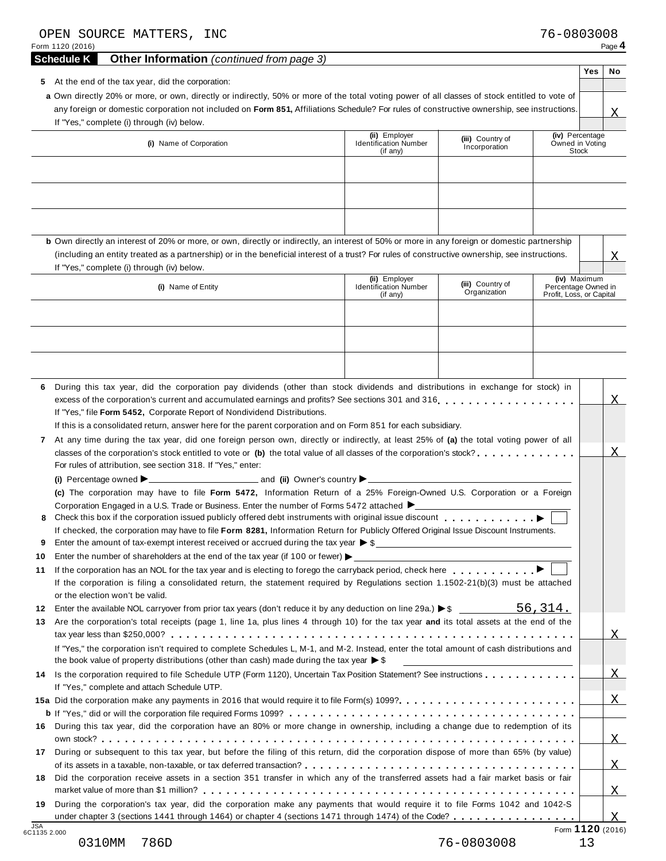|                                           | <b>Other Information</b> (continued from page 3)<br><b>Schedule K</b>                                                                                                                                                                                                                                                                                                                                                                                                                                                       |                                                           |                                                          |                                                                 | Yes | No               |
|-------------------------------------------|-----------------------------------------------------------------------------------------------------------------------------------------------------------------------------------------------------------------------------------------------------------------------------------------------------------------------------------------------------------------------------------------------------------------------------------------------------------------------------------------------------------------------------|-----------------------------------------------------------|----------------------------------------------------------|-----------------------------------------------------------------|-----|------------------|
|                                           | 5 At the end of the tax year, did the corporation:                                                                                                                                                                                                                                                                                                                                                                                                                                                                          |                                                           |                                                          |                                                                 |     |                  |
|                                           | a Own directly 20% or more, or own, directly or indirectly, 50% or more of the total voting power of all classes of stock entitled to vote of<br>any foreign or domestic corporation not included on Form 851, Affiliations Schedule? For rules of constructive ownership, see instructions.<br>If "Yes," complete (i) through (iv) below.                                                                                                                                                                                  |                                                           |                                                          |                                                                 |     | Χ                |
|                                           | (i) Name of Corporation                                                                                                                                                                                                                                                                                                                                                                                                                                                                                                     | (ii) Employer<br><b>Identification Number</b><br>(if any) | (iii) Country of<br>Incorporation                        | (iv) Percentage<br>Owned in Voting<br>Stock                     |     |                  |
|                                           |                                                                                                                                                                                                                                                                                                                                                                                                                                                                                                                             |                                                           |                                                          |                                                                 |     |                  |
|                                           | b Own directly an interest of 20% or more, or own, directly or indirectly, an interest of 50% or more in any foreign or domestic partnership<br>(including an entity treated as a partnership) or in the beneficial interest of a trust? For rules of constructive ownership, see instructions.<br>If "Yes," complete (i) through (iv) below.                                                                                                                                                                               |                                                           |                                                          |                                                                 |     | Χ                |
|                                           | (i) Name of Entity                                                                                                                                                                                                                                                                                                                                                                                                                                                                                                          | (ii) Employer<br><b>Identification Number</b><br>(if any) | (iii) Country of<br>Organization                         | (iv) Maximum<br>Percentage Owned in<br>Profit, Loss, or Capital |     |                  |
|                                           |                                                                                                                                                                                                                                                                                                                                                                                                                                                                                                                             |                                                           |                                                          |                                                                 |     |                  |
|                                           |                                                                                                                                                                                                                                                                                                                                                                                                                                                                                                                             |                                                           |                                                          |                                                                 |     |                  |
| 6                                         | During this tax year, did the corporation pay dividends (other than stock dividends and distributions in exchange for stock) in                                                                                                                                                                                                                                                                                                                                                                                             |                                                           |                                                          |                                                                 |     |                  |
| 7                                         | If "Yes," file Form 5452, Corporate Report of Nondividend Distributions.<br>If this is a consolidated return, answer here for the parent corporation and on Form 851 for each subsidiary.<br>At any time during the tax year, did one foreign person own, directly or indirectly, at least 25% of (a) the total voting power of all<br>classes of the corporation's stock entitled to vote or (b) the total value of all classes of the corporation's stock?<br>For rules of attribution, see section 318. If "Yes," enter: |                                                           |                                                          |                                                                 |     | Χ                |
|                                           |                                                                                                                                                                                                                                                                                                                                                                                                                                                                                                                             |                                                           |                                                          |                                                                 |     |                  |
|                                           | (c) The corporation may have to file Form 5472, Information Return of a 25% Foreign-Owned U.S. Corporation or a Foreign                                                                                                                                                                                                                                                                                                                                                                                                     |                                                           |                                                          |                                                                 |     |                  |
| 8                                         | Corporation Engaged in a U.S. Trade or Business. Enter the number of Forms 5472 attached ▶ _ _ _ _ _ _ _ _ _ _ _ _ _<br>Check this box if the corporation issued publicly offered debt instruments with original issue discount<br>If checked, the corporation may have to file Form 8281, Information Return for Publicly Offered Original Issue Discount Instruments.                                                                                                                                                     |                                                           |                                                          |                                                                 |     |                  |
| 9<br>10                                   | Enter the amount of tax-exempt interest received or accrued during the tax year $\triangleright$ \$                                                                                                                                                                                                                                                                                                                                                                                                                         |                                                           |                                                          |                                                                 |     |                  |
| 11                                        | Enter the number of shareholders at the end of the tax year (if 100 or fewer) $\blacktriangleright$                                                                                                                                                                                                                                                                                                                                                                                                                         |                                                           |                                                          |                                                                 |     |                  |
|                                           | If the corporation is filing a consolidated return, the statement required by Regulations section 1.1502-21(b)(3) must be attached<br>or the election won't be valid.                                                                                                                                                                                                                                                                                                                                                       |                                                           |                                                          |                                                                 |     |                  |
| 12                                        | Enter the available NOL carryover from prior tax years (don't reduce it by any deduction on line 29a.) $\blacktriangleright$ \$                                                                                                                                                                                                                                                                                                                                                                                             |                                                           |                                                          | 56,314.                                                         |     |                  |
| 13                                        | Are the corporation's total receipts (page 1, line 1a, plus lines 4 through 10) for the tax year and its total assets at the end of the                                                                                                                                                                                                                                                                                                                                                                                     |                                                           |                                                          |                                                                 |     | X                |
|                                           | If "Yes," the corporation isn't required to complete Schedules L, M-1, and M-2. Instead, enter the total amount of cash distributions and<br>the book value of property distributions (other than cash) made during the tax year $\triangleright$ \$                                                                                                                                                                                                                                                                        |                                                           | <u> 1989 - Andrea State Barbara, amerikan personal (</u> |                                                                 |     |                  |
|                                           | Is the corporation required to file Schedule UTP (Form 1120), Uncertain Tax Position Statement? See instructions<br>If "Yes," complete and attach Schedule UTP.                                                                                                                                                                                                                                                                                                                                                             |                                                           |                                                          |                                                                 |     | $\overline{X}$   |
|                                           |                                                                                                                                                                                                                                                                                                                                                                                                                                                                                                                             |                                                           |                                                          |                                                                 |     |                  |
|                                           |                                                                                                                                                                                                                                                                                                                                                                                                                                                                                                                             |                                                           |                                                          |                                                                 |     |                  |
|                                           | During this tax year, did the corporation have an 80% or more change in ownership, including a change due to redemption of its                                                                                                                                                                                                                                                                                                                                                                                              |                                                           |                                                          |                                                                 |     |                  |
|                                           | During or subsequent to this tax year, but before the filing of this return, did the corporation dispose of more than 65% (by value)                                                                                                                                                                                                                                                                                                                                                                                        |                                                           |                                                          |                                                                 |     |                  |
|                                           | Did the corporation receive assets in a section 351 transfer in which any of the transferred assets had a fair market basis or fair                                                                                                                                                                                                                                                                                                                                                                                         |                                                           |                                                          |                                                                 |     | X<br>X<br>X<br>X |
| 14<br>16.<br>17<br>18<br>19<br><b>JSA</b> | During the corporation's tax year, did the corporation make any payments that would require it to file Forms 1042 and 1042-S<br>under chapter 3 (sections 1441 through 1464) or chapter 4 (sections 1471 through 1474) of the Code?                                                                                                                                                                                                                                                                                         |                                                           |                                                          |                                                                 |     | $\mathbf{X}$     |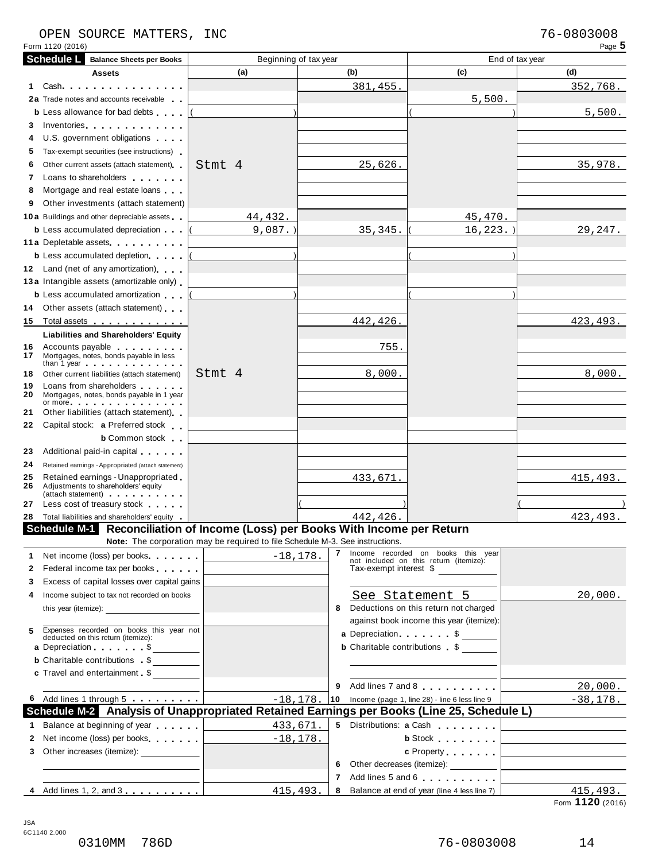# OPEN SOURCE MATTERS, INC<br>Form 1120 (2016) Page 5

| Form 1120 (2016)  |                                                                                                                                                                                                                                                                                                                                                                                             |                                                                               |                        |                                                                                           | Page 5                                                          |  |  |  |  |
|-------------------|---------------------------------------------------------------------------------------------------------------------------------------------------------------------------------------------------------------------------------------------------------------------------------------------------------------------------------------------------------------------------------------------|-------------------------------------------------------------------------------|------------------------|-------------------------------------------------------------------------------------------|-----------------------------------------------------------------|--|--|--|--|
| <b>Schedule L</b> | <b>Balance Sheets per Books</b>                                                                                                                                                                                                                                                                                                                                                             |                                                                               | Beginning of tax year  | End of tax year                                                                           |                                                                 |  |  |  |  |
|                   | <b>Assets</b>                                                                                                                                                                                                                                                                                                                                                                               | (a)                                                                           | (b)                    | (c)                                                                                       | (d)                                                             |  |  |  |  |
| Cash<br>1.        |                                                                                                                                                                                                                                                                                                                                                                                             |                                                                               | 381,455.               |                                                                                           | 352,768.                                                        |  |  |  |  |
|                   | 2a Trade notes and accounts receivable                                                                                                                                                                                                                                                                                                                                                      |                                                                               |                        | 5,500.                                                                                    |                                                                 |  |  |  |  |
|                   | <b>b</b> Less allowance for bad debts                                                                                                                                                                                                                                                                                                                                                       |                                                                               |                        |                                                                                           | 5,500.                                                          |  |  |  |  |
| 3.                | Inventories and the contract of the contract of the contract of the contract of the contract of the contract of the contract of the contract of the contract of the contract of the contract of the contract of the contract o                                                                                                                                                              |                                                                               |                        |                                                                                           |                                                                 |  |  |  |  |
| 4                 | U.S. government obligations                                                                                                                                                                                                                                                                                                                                                                 |                                                                               |                        |                                                                                           |                                                                 |  |  |  |  |
| 5.                | Tax-exempt securities (see instructions)                                                                                                                                                                                                                                                                                                                                                    |                                                                               |                        |                                                                                           |                                                                 |  |  |  |  |
| 6                 | Other current assets (attach statement)                                                                                                                                                                                                                                                                                                                                                     | Stmt 4                                                                        | 25,626.                |                                                                                           | 35,978.                                                         |  |  |  |  |
| 7                 | Loans to shareholders <b>that the state of the state of the state of the state of the state of the state of the state of the state of the state of the state of the state of the state of the state of the state of the state of</b>                                                                                                                                                        |                                                                               |                        |                                                                                           |                                                                 |  |  |  |  |
| 8                 | Mortgage and real estate loans                                                                                                                                                                                                                                                                                                                                                              |                                                                               |                        |                                                                                           |                                                                 |  |  |  |  |
| 9                 | Other investments (attach statement)                                                                                                                                                                                                                                                                                                                                                        |                                                                               |                        |                                                                                           |                                                                 |  |  |  |  |
|                   | <b>10a</b> Buildings and other depreciable assets                                                                                                                                                                                                                                                                                                                                           | 44, 432.                                                                      |                        | 45,470.                                                                                   |                                                                 |  |  |  |  |
|                   | <b>b</b> Less accumulated depreciation                                                                                                                                                                                                                                                                                                                                                      | $9,087.$ )                                                                    | 35, 345.               | $16, 223.$ )                                                                              | 29, 247.                                                        |  |  |  |  |
|                   | 11 a Depletable assets                                                                                                                                                                                                                                                                                                                                                                      |                                                                               |                        |                                                                                           |                                                                 |  |  |  |  |
|                   | <b>b</b> Less accumulated depletion                                                                                                                                                                                                                                                                                                                                                         |                                                                               |                        |                                                                                           |                                                                 |  |  |  |  |
|                   | 12 Land (net of any amortization)                                                                                                                                                                                                                                                                                                                                                           |                                                                               |                        |                                                                                           |                                                                 |  |  |  |  |
|                   | 13a Intangible assets (amortizable only)                                                                                                                                                                                                                                                                                                                                                    |                                                                               |                        |                                                                                           |                                                                 |  |  |  |  |
|                   | <b>b</b> Less accumulated amortization                                                                                                                                                                                                                                                                                                                                                      |                                                                               |                        |                                                                                           |                                                                 |  |  |  |  |
| 14                | Other assets (attach statement)                                                                                                                                                                                                                                                                                                                                                             |                                                                               |                        |                                                                                           |                                                                 |  |  |  |  |
| 15                | Total assets <u>.</u>                                                                                                                                                                                                                                                                                                                                                                       |                                                                               | 442,426.               |                                                                                           | 423, 493.                                                       |  |  |  |  |
|                   | <b>Liabilities and Shareholders' Equity</b>                                                                                                                                                                                                                                                                                                                                                 |                                                                               |                        |                                                                                           |                                                                 |  |  |  |  |
| 16<br>17          | Accounts payable entitled and the set of the set of the set of the set of the set of the set of the set of the<br>Mortgages, notes, bonds payable in less<br>than 1 year entering the state of the state of the state of the state of the state of the state of the state of the state of the state of the state of the state of the state of the state of the state of the state of the st |                                                                               | 755.                   |                                                                                           |                                                                 |  |  |  |  |
| 18                | Other current liabilities (attach statement)                                                                                                                                                                                                                                                                                                                                                | Stmt 4                                                                        | 8,000.                 |                                                                                           | 8,000.                                                          |  |  |  |  |
| 19<br>20          | Loans from shareholders<br>Mortgages, notes, bonds payable in 1 year                                                                                                                                                                                                                                                                                                                        |                                                                               |                        |                                                                                           |                                                                 |  |  |  |  |
| 21                | or more $\cdots$ $\cdots$ $\cdots$ $\cdots$ $\cdots$<br>Other liabilities (attach statement)                                                                                                                                                                                                                                                                                                |                                                                               |                        |                                                                                           |                                                                 |  |  |  |  |
| 22                | Capital stock: a Preferred stock                                                                                                                                                                                                                                                                                                                                                            |                                                                               |                        |                                                                                           |                                                                 |  |  |  |  |
|                   | <b>b</b> Common stock                                                                                                                                                                                                                                                                                                                                                                       |                                                                               |                        |                                                                                           |                                                                 |  |  |  |  |
| 23                | Additional paid-in capital exercises                                                                                                                                                                                                                                                                                                                                                        |                                                                               |                        |                                                                                           |                                                                 |  |  |  |  |
| 24                | Retained earnings - Appropriated (attach statement)                                                                                                                                                                                                                                                                                                                                         |                                                                               |                        |                                                                                           |                                                                 |  |  |  |  |
| 25                | Retained earnings - Unappropriated                                                                                                                                                                                                                                                                                                                                                          |                                                                               | 433,671.               |                                                                                           | 415, 493.                                                       |  |  |  |  |
| 26                | Adjustments to shareholders' equity                                                                                                                                                                                                                                                                                                                                                         |                                                                               |                        |                                                                                           |                                                                 |  |  |  |  |
| 27                | (attach statement) expansion and the statement<br>Less cost of treasury stock <b>State State</b>                                                                                                                                                                                                                                                                                            |                                                                               |                        |                                                                                           |                                                                 |  |  |  |  |
| 28                | Total liabilities and shareholders' equity                                                                                                                                                                                                                                                                                                                                                  |                                                                               | 442,426.               |                                                                                           | 423, 493.                                                       |  |  |  |  |
|                   |                                                                                                                                                                                                                                                                                                                                                                                             | Schedule M-1 Reconciliation of Income (Loss) per Books With Income per Return |                        |                                                                                           |                                                                 |  |  |  |  |
|                   |                                                                                                                                                                                                                                                                                                                                                                                             | Note: The corporation may be required to file Schedule M-3. See instructions. |                        |                                                                                           |                                                                 |  |  |  |  |
| 1.                | Net income (loss) per books                                                                                                                                                                                                                                                                                                                                                                 | $-18, 178.$                                                                   | 7                      | Income recorded on books this year                                                        |                                                                 |  |  |  |  |
| 2                 | Federal income tax per books                                                                                                                                                                                                                                                                                                                                                                |                                                                               | Tax-exempt interest \$ | not included on this return (itemize):                                                    |                                                                 |  |  |  |  |
| 3.                | Excess of capital losses over capital gains                                                                                                                                                                                                                                                                                                                                                 |                                                                               |                        |                                                                                           |                                                                 |  |  |  |  |
|                   |                                                                                                                                                                                                                                                                                                                                                                                             |                                                                               |                        |                                                                                           |                                                                 |  |  |  |  |
| 4                 | Income subject to tax not recorded on books                                                                                                                                                                                                                                                                                                                                                 |                                                                               |                        | See Statement 5<br>Deductions on this return not charged                                  | 20,000.                                                         |  |  |  |  |
|                   |                                                                                                                                                                                                                                                                                                                                                                                             |                                                                               | 8                      |                                                                                           |                                                                 |  |  |  |  |
| 5                 |                                                                                                                                                                                                                                                                                                                                                                                             |                                                                               |                        | against book income this year (itemize):                                                  |                                                                 |  |  |  |  |
|                   | Expenses recorded on books this year not deducted on this return (itemize):                                                                                                                                                                                                                                                                                                                 |                                                                               |                        | a Depreciation. $\ldots$ $\sqrt{ }$ $\sim$                                                |                                                                 |  |  |  |  |
|                   | a Depreciation \$                                                                                                                                                                                                                                                                                                                                                                           |                                                                               |                        | <b>b</b> Charitable contributions \$                                                      |                                                                 |  |  |  |  |
|                   | <b>b</b> Charitable contributions \$                                                                                                                                                                                                                                                                                                                                                        |                                                                               |                        |                                                                                           |                                                                 |  |  |  |  |
|                   | c Travel and entertainment \$                                                                                                                                                                                                                                                                                                                                                               |                                                                               |                        |                                                                                           |                                                                 |  |  |  |  |
|                   |                                                                                                                                                                                                                                                                                                                                                                                             |                                                                               | 9                      | Add lines 7 and 8                                                                         | 20,000.                                                         |  |  |  |  |
|                   | 6 Add lines 1 through 5                                                                                                                                                                                                                                                                                                                                                                     | $-18, 178.$                                                                   |                        | 10 Income (page 1, line 28) - line 6 less line 9                                          | $-38,178.$                                                      |  |  |  |  |
|                   |                                                                                                                                                                                                                                                                                                                                                                                             |                                                                               |                        | Schedule M-2 Analysis of Unappropriated Retained Earnings per Books (Line 25, Schedule L) |                                                                 |  |  |  |  |
| 1.                | Balance at beginning of year                                                                                                                                                                                                                                                                                                                                                                | 433,671.                                                                      |                        | 5 Distributions: a Cash                                                                   |                                                                 |  |  |  |  |
| $\mathbf{2}$      | Net income (loss) per books                                                                                                                                                                                                                                                                                                                                                                 |                                                                               | $-18, 178.$            | <b>b</b> Stock <b>and Stock</b>                                                           | the contract of the contract of the contract of the contract of |  |  |  |  |
| 3                 | Other increases (itemize): ______________                                                                                                                                                                                                                                                                                                                                                   |                                                                               |                        | c Property [                                                                              |                                                                 |  |  |  |  |
|                   |                                                                                                                                                                                                                                                                                                                                                                                             |                                                                               |                        | 6 Other decreases (itemize): __________                                                   |                                                                 |  |  |  |  |
|                   |                                                                                                                                                                                                                                                                                                                                                                                             |                                                                               |                        | 7 Add lines 5 and 6                                                                       |                                                                 |  |  |  |  |
|                   | 4 Add lines 1, 2, and 3                                                                                                                                                                                                                                                                                                                                                                     |                                                                               | 415, 493.<br>8         | Balance at end of year (line 4 less line 7)                                               | 415,493.                                                        |  |  |  |  |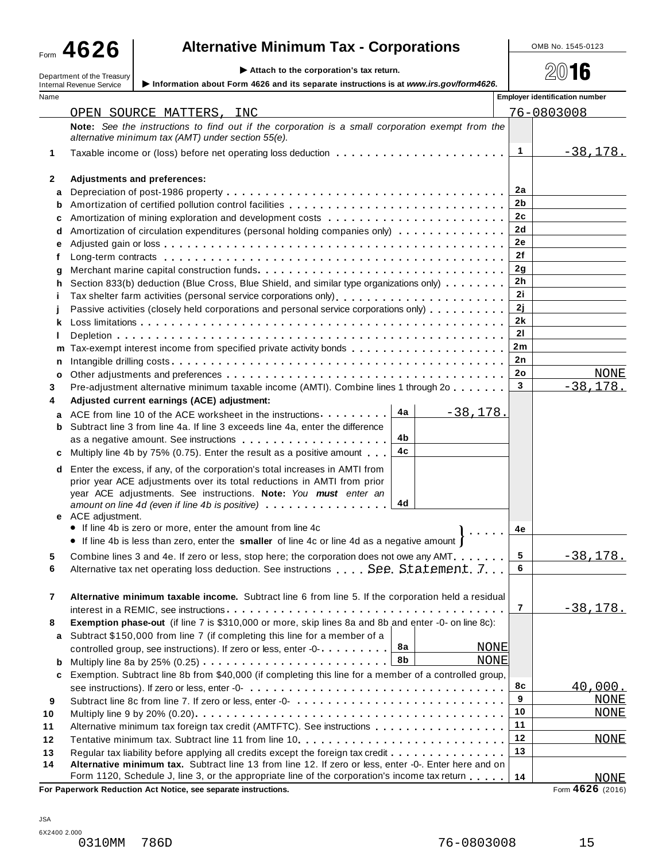Form **4626**

# **Alternative Minimum Tax - Corporations**  $\qquad \qquad \qquad$  **OMB No. 1545-0123**

Department of the Treasury **Attach to the corporation's tax return.** Department of the Treasury  $\approx 2016$ 

|      | $\sim$ Attach to the corporation s tax return.<br>Department of the Treasury<br>Information about Form 4626 and its separate instructions is at www.irs.gov/form4626.<br><b>Internal Revenue Service</b> |                    | <b>ZW ID</b>                          |
|------|----------------------------------------------------------------------------------------------------------------------------------------------------------------------------------------------------------|--------------------|---------------------------------------|
| Name |                                                                                                                                                                                                          |                    | <b>Employer identification number</b> |
|      | OPEN SOURCE MATTERS, INC                                                                                                                                                                                 |                    | 76-0803008                            |
|      | Note: See the instructions to find out if the corporation is a small corporation exempt from the                                                                                                         |                    |                                       |
|      | alternative minimum tax (AMT) under section 55(e).                                                                                                                                                       |                    |                                       |
| 1    |                                                                                                                                                                                                          | 1                  | $-38,178.$                            |
| 2    | <b>Adjustments and preferences:</b>                                                                                                                                                                      |                    |                                       |
| а    |                                                                                                                                                                                                          | 2a                 |                                       |
| b    |                                                                                                                                                                                                          | 2b                 |                                       |
| c    |                                                                                                                                                                                                          | 2c                 |                                       |
| d    | Amortization of circulation expenditures (personal holding companies only)                                                                                                                               | 2d                 |                                       |
| е    |                                                                                                                                                                                                          | 2e                 |                                       |
| t    |                                                                                                                                                                                                          | 2f                 |                                       |
| g    |                                                                                                                                                                                                          | 2g                 |                                       |
| h    | Section 833(b) deduction (Blue Cross, Blue Shield, and similar type organizations only)                                                                                                                  | 2h                 |                                       |
| Ť    |                                                                                                                                                                                                          | 2i                 |                                       |
|      | Passive activities (closely held corporations and personal service corporations only)                                                                                                                    | 2j                 |                                       |
| ĸ    |                                                                                                                                                                                                          | 2k                 |                                       |
| ı    |                                                                                                                                                                                                          | 21                 |                                       |
| m    | Tax-exempt interest income from specified private activity bonds                                                                                                                                         | 2m                 |                                       |
| n    |                                                                                                                                                                                                          | 2n                 |                                       |
| о    |                                                                                                                                                                                                          | 2o<br>$\mathbf{3}$ | <b>NONE</b>                           |
| 3    | Pre-adjustment alternative minimum taxable income (AMTI). Combine lines 1 through 2o                                                                                                                     |                    | $-38,178.$                            |
| 4    | Adjusted current earnings (ACE) adjustment:<br>4a<br>$-38,178.$                                                                                                                                          |                    |                                       |
| a    | ACE from line 10 of the ACE worksheet in the instructions<br>Subtract line 3 from line 4a. If line 3 exceeds line 4a, enter the difference                                                               |                    |                                       |
| b    | 4b<br>as a negative amount. See instructions                                                                                                                                                             |                    |                                       |
| c    | 4c<br>Multiply line 4b by 75% (0.75). Enter the result as a positive amount                                                                                                                              |                    |                                       |
|      |                                                                                                                                                                                                          |                    |                                       |
| d    | Enter the excess, if any, of the corporation's total increases in AMTI from<br>prior year ACE adjustments over its total reductions in AMTI from prior                                                   |                    |                                       |
|      | year ACE adjustments. See instructions. Note: You must enter an                                                                                                                                          |                    |                                       |
|      | 4d<br>amount on line 4d (even if line 4b is positive)                                                                                                                                                    |                    |                                       |
|      | e ACE adjustment.                                                                                                                                                                                        |                    |                                       |
|      | • If line 4b is zero or more, enter the amount from line 4c<br>$\mathbf{a} \cdot \mathbf{a} \cdot \mathbf{a} \cdot \mathbf{a} \cdot \mathbf{a}$                                                          | 4e                 |                                       |
|      | • If line 4b is less than zero, enter the smaller of line 4c or line 4d as a negative amount                                                                                                             |                    |                                       |
|      | Combine lines 3 and 4e. If zero or less, stop here: the corporation does not owe any AMT.                                                                                                                | 5                  | -38,178.                              |
| 6    | Alternative tax net operating loss deduction. See instructions See Statement. 7.                                                                                                                         | 6                  |                                       |
|      |                                                                                                                                                                                                          |                    |                                       |
| 7    | Alternative minimum taxable income. Subtract line 6 from line 5. If the corporation held a residual                                                                                                      |                    |                                       |
|      |                                                                                                                                                                                                          | 7                  | $-38,178.$                            |
| 8    | Exemption phase-out (if line 7 is \$310,000 or more, skip lines 8a and 8b and enter -0- on line 8c):                                                                                                     |                    |                                       |
| a    | Subtract \$150,000 from line 7 (if completing this line for a member of a<br>8а<br><b>NONE</b><br>controlled group, see instructions). If zero or less, enter -0-                                        |                    |                                       |
| b    | 8b<br><b>NONE</b>                                                                                                                                                                                        |                    |                                       |
| c    | Exemption. Subtract line 8b from \$40,000 (if completing this line for a member of a controlled group,                                                                                                   |                    |                                       |
|      |                                                                                                                                                                                                          | 8с                 | 40,000.                               |
| 9    |                                                                                                                                                                                                          | 9                  | <b>NONE</b>                           |
| 10   |                                                                                                                                                                                                          | 10                 | <b>NONE</b>                           |
| 11   | Alternative minimum tax foreign tax credit (AMTFTC). See instructions                                                                                                                                    | 11                 |                                       |
| 12   |                                                                                                                                                                                                          | 12                 | <b>NONE</b>                           |
| 13   | Regular tax liability before applying all credits except the foreign tax credit                                                                                                                          | 13                 |                                       |
| 14   | Alternative minimum tax. Subtract line 13 from line 12. If zero or less, enter -0-. Enter here and on                                                                                                    |                    |                                       |
|      | Form 1120, Schedule J, line 3, or the appropriate line of the corporation's income tax return                                                                                                            | 14                 | NONE                                  |
|      | For Paperwork Reduction Act Notice, see separate instructions.                                                                                                                                           |                    | Form 4626 (2016)                      |

JSA 6X2400 2.000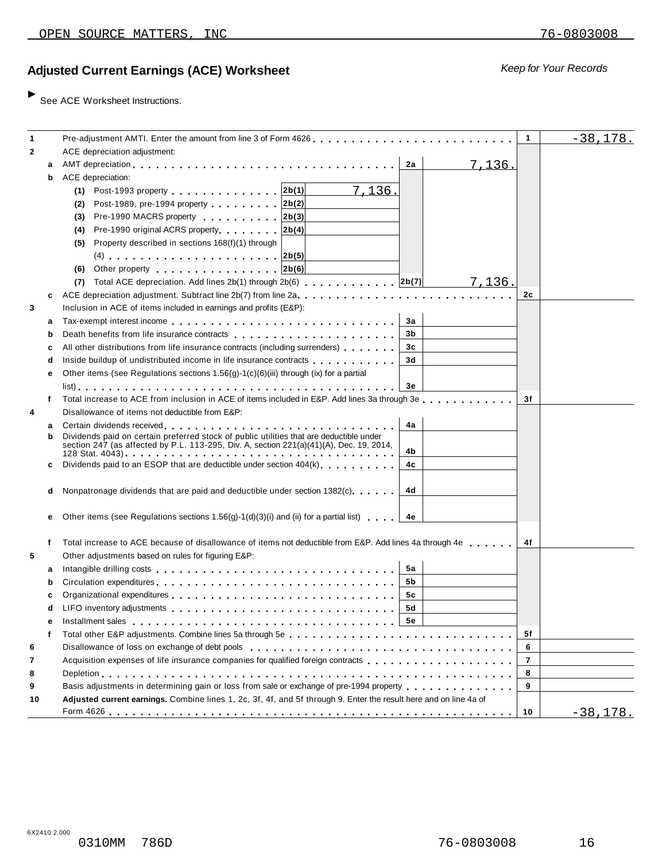# **Ad** *Keep for Your Records* **justed Current Earnings (ACE) Worksheet**

 $\blacktriangleright$  See ACE Worksheet Instructions.

| 1            |   | Pre-adjustment AMTI. Enter the amount from line 3 of Form 4626.                                                                                                                                                               | $\mathbf{1}$   | $-38,178.$      |
|--------------|---|-------------------------------------------------------------------------------------------------------------------------------------------------------------------------------------------------------------------------------|----------------|-----------------|
| $\mathbf{2}$ |   | ACE depreciation adjustment:                                                                                                                                                                                                  |                |                 |
|              | a | 7,136.<br>2a                                                                                                                                                                                                                  |                |                 |
|              | b | ACE depreciation:                                                                                                                                                                                                             |                |                 |
|              |   | (1) Post-1993 property 2b(1)<br>7,136.                                                                                                                                                                                        |                |                 |
|              |   | Post-1989, pre-1994 property 2b(2)<br>(2)                                                                                                                                                                                     |                |                 |
|              |   | Pre-1990 MACRS property 2b(3)                                                                                                                                                                                                 |                |                 |
|              |   | (3)                                                                                                                                                                                                                           |                |                 |
|              |   | Pre-1990 original ACRS property 2b(4)<br>(4)                                                                                                                                                                                  |                |                 |
|              |   | Property described in sections 168(f)(1) through<br>(5)                                                                                                                                                                       |                |                 |
|              |   | (4) $2b(5)$                                                                                                                                                                                                                   |                |                 |
|              |   | (6) Other property $ 2b(6) $                                                                                                                                                                                                  |                |                 |
|              |   | 7,136.                                                                                                                                                                                                                        |                |                 |
|              | c | ACE depreciation adjustment. Subtract line 2b(7) from line 2a                                                                                                                                                                 | 2c             |                 |
| 3            |   | Inclusion in ACE of items included in earnings and profits (E&P):                                                                                                                                                             |                |                 |
|              | а | За                                                                                                                                                                                                                            |                |                 |
|              | b | 3b                                                                                                                                                                                                                            |                |                 |
|              | с | All other distributions from life insurance contracts (including surrenders)<br>3c                                                                                                                                            |                |                 |
|              | d | 3d<br>Inside buildup of undistributed income in life insurance contracts                                                                                                                                                      |                |                 |
|              | е | Other items (see Regulations sections $1.56(g)-1(c)(6)(iii)$ through (ix) for a partial                                                                                                                                       |                |                 |
|              |   | Зе                                                                                                                                                                                                                            |                |                 |
|              | f | Total increase to ACE from inclusion in ACE of items included in E&P. Add lines 3a through 3e                                                                                                                                 | 3f             |                 |
| 4            |   | Disallowance of items not deductible from E&P:                                                                                                                                                                                |                |                 |
|              | а | 4a                                                                                                                                                                                                                            |                |                 |
|              | b | Dividends paid on certain preferred stock of public utilities that are deductible under                                                                                                                                       |                |                 |
|              |   | section 247 (as affected by P.L. 113-295, Div. A, section 221(a)(41)(A), Dec. 19, 2014,<br>4b                                                                                                                                 |                |                 |
|              | c | Dividends paid to an ESOP that are deductible under section $404(k)$ , ,,,,,,<br>4c                                                                                                                                           |                |                 |
|              |   |                                                                                                                                                                                                                               |                |                 |
|              | d | Nonpatronage dividends that are paid and deductible under section 1382(c)<br>4d                                                                                                                                               |                |                 |
|              |   |                                                                                                                                                                                                                               |                |                 |
|              | е | Other items (see Regulations sections 1.56(g)-1(d)(3)(i) and (ii) for a partial list)<br>4е                                                                                                                                   |                |                 |
|              |   |                                                                                                                                                                                                                               |                |                 |
|              | f | Total increase to ACE because of disallowance of items not deductible from E&P. Add lines 4a through 4e                                                                                                                       | 4f             |                 |
| 5            |   | Other adjustments based on rules for figuring E&P:                                                                                                                                                                            |                |                 |
|              |   | 5а                                                                                                                                                                                                                            |                |                 |
|              | а | 5b                                                                                                                                                                                                                            |                |                 |
|              | h |                                                                                                                                                                                                                               |                |                 |
|              |   | 5c                                                                                                                                                                                                                            |                |                 |
|              | d | 5d                                                                                                                                                                                                                            |                |                 |
|              | е | Installment sales enterpreteration of the series of the contract of the series of the series of the series of the series of the series of the series of the series of the series of the series of the series of the series of |                |                 |
|              |   |                                                                                                                                                                                                                               | 5f             |                 |
| 6            |   | Disallowance of loss on exchange of debt pools entitled by entering respectively.                                                                                                                                             | 6              |                 |
| 7            |   | Acquisition expenses of life insurance companies for qualified foreign contracts                                                                                                                                              | $\overline{7}$ |                 |
| 8            |   |                                                                                                                                                                                                                               | 8              |                 |
| 9            |   | Basis adjustments in determining gain or loss from sale or exchange of pre-1994 property                                                                                                                                      | 9              |                 |
| 10           |   | Adjusted current earnings. Combine lines 1, 2c, 3f, 4f, and 5f through 9. Enter the result here and on line 4a of                                                                                                             |                |                 |
|              |   |                                                                                                                                                                                                                               | 10             | <u>-38,178.</u> |

6X2410 2.000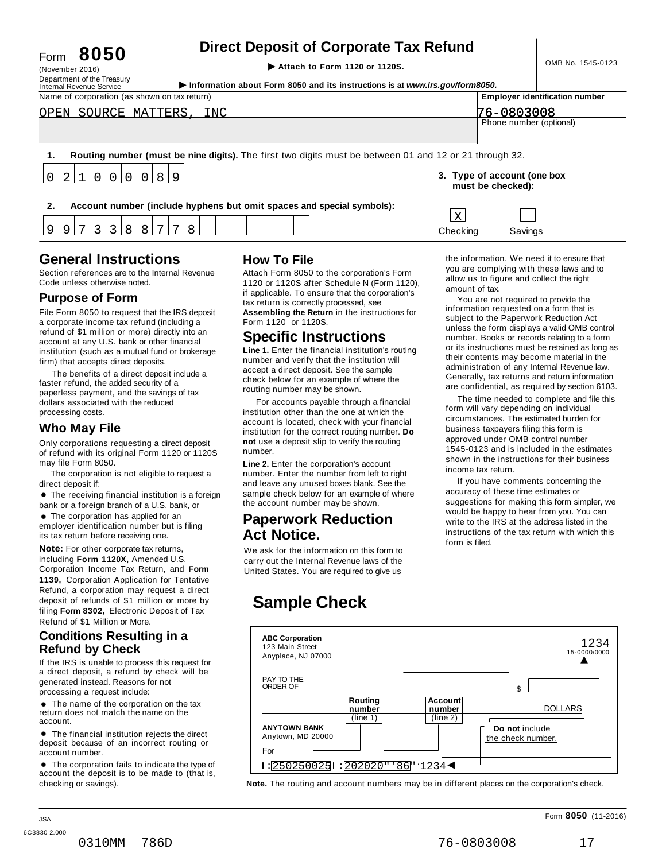# **Direct Deposit of Corporate Tax Refund**<br>
Attach to Form 1120 or 1120S.<br> **Attach to Form 1120 or 1120S.**

(November 2016)<br>Department of the Treasury<br>Internal Revenue Service **Constant Operation About Form 8050 and its instructions is at www.irs.gov/form8050.** 

| Name of corporation (as shown on tax return)                                                           | <b>Employer identification number</b>            |
|--------------------------------------------------------------------------------------------------------|--------------------------------------------------|
| OPEN SOURCE MATTERS, INC                                                                               | 76-0803008                                       |
|                                                                                                        | Phone number (optional)                          |
|                                                                                                        |                                                  |
| Routing number (must be nine digits). The first two digits must be between 01 and 12 or 21 through 32. |                                                  |
| 0 2 1 0 0 0 0 8 9                                                                                      | 3. Type of account (one box<br>must be checked): |

**2. Account number (include hyphens but omit spaces and special symbols):**

# **General Instructions How To File**

3

Section references are to the Internal Revenue<br>Code unless otherwise noted.

8

8

7

8

9

9

7

3

Department of the Treasury<br>Internal Revenue Service

File Form 8050 to request that the IRS deposit a corporate income tax refund (including a refund of \$1 million or more) directly into an account at any U.S. bank or other financial institution (such as a mutual fund or brokerage firm) that accepts direct deposits.

The benefits of a direct deposit include a faster refund, the added security of a paperless payment, and the savings of tax dollars associated with the reduced processing costs.

**Who May File**<br>
Only corporations requesting a direct deposit in the institution<br>
of refund with its original Form 1120 or 1120S number. of refund with its original Form 1120 or 1120S may file Form 8050. **Line 2.** Enter the corporation's account

The corporation is not eligible to request a

lirect deposit if:<br>● The receiving financial institution is a foreign<br>pank or a foreign branch of a U.S. bank, or bank or a foreign branch of a U.S. bank, or<br> $\bullet$  The corporation has applied for an

employer identification number but is filing its tax return before receiving one.

**Note:** For other corporate tax returns, **Note:** For other corporate tax returns, We ask for the information on this form to including **Form 1120X**, Amended U.S. carry out the Internal Revenue laws of the Corporation Income Tax Return, and Form United States. You are required to give us **1139,** Corporation Application for Tentative Refund, a corporation may request a direct deposit of refunds of \$1 million or more by filing **Form 8302,** Electronic Deposit of Tax **Sample Check** Refund of \$1 Million or More.

## **Conditions Resulting in a Refund by Check**

If the IRS is unable to process this request for<br>a direct deposit. a refund by check will be

• The name of the corporation on the tax return does not match the name on the

deposit because of an incorrect routing or account number.

checking or savings). **Note.** The routing and account numbers may be in different places on the corporation's check.

Section references are to the Internal Revenue Attach Form 8050 to the corporation's Form<br>Code unless otherwise noted. 1120 or 1120S after Schedule N (Form 1120), if applicable. To ensure that the corporation's tax return is correctly processed, see **Assembling the Return** in the instructions for Form 1120 or 1120S. **Purpose of Form COVID BY A PURPOSE** TO THE TOTAL TO THE CONDUCTS TO THE CONDUCT A THE CONDUCT OF THE CONDUCT OF THE CONDUCT OF THE CONDUCT OF THE CONDUCT OF THE CONDUCT OF THE CONDUCT OF THE CONDUCT OF THE CONDUCT OF TH

# **Specific Instructions**

**Line 1.** Enter the financial institution's routing number and verify that the institution will accept a direct deposit. See the sample check below for an example of where the routing number may be shown.

institution other than the one at which the account is located, check with your financial institution for the correct routing number. **Do not** use a deposit slip to verify the routing

number. Enter the number from left to right and leave any unused boxes blank. See the If you have comments concerning the direct deposit if: accuracy of these time estimates or sample check below for an example of where the account number may be shown.

# **Paperwork Reduction Act Notice.**

the information. We need it to ensure that you are complying with these laws and to allow us to figure and collect the right amount of tax.

Checking Savings

 $\mathbf{x}$ 

information requested on a form that is subject to the Paperwork Reduction Act unless the form displays a valid OMB control number. Books or records relating to a form or its instructions must be retained as long as their contents may become material in the administration of any Internal Revenue law. Generally, tax returns and return information are confidential, as required by section 6103.

The time needed to complete and file this For accounts payable through a financial form will vary depending on individual circumstances. The estimated burden for business taxpayers filing this form is approved under OMB control number 1545-0123 and is included in the estimates shown in the instructions for their business income tax return.

> suggestions for making this form simpler, we would be happy to hear from you. You can write to the IRS at the address listed in the instructions of the tax return with which this form is filed.

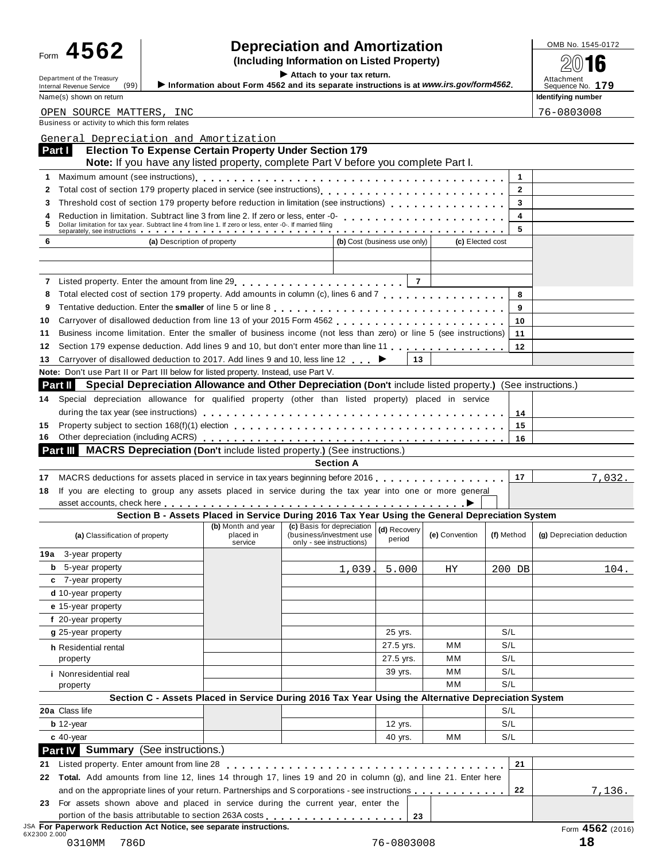# Form  $\bf 4562$  **combing information** and **Amortization combined to the SQS of**  $\bf 4562$  **(Including Information on Listed Property)**

Department of the Treasury<br>Internal Revenue Service (99) **b** Information about Form 4562 and its separate instructions is at www.irs.gov/form4562. Attachment<br>Name (a) above as the sequence No. 179

Form **TVVZ**<br> **Example 1998**<br>
Information about Form 4562 and its separate instructions is at www.irs gov/form4562<br>
Attachment of the Treasury (00)<br>
Information about Form 4562 and its separate instructions is at www.irs g Name(s) shown on return **Identifying number Identifying number Identifying number** 

Business or activity to which this form relates OPEN SOURCE MATTERS, INC 76-0803008

|                                                                                                                                                                                                                                     | Note: If you have any listed property, complete Part V before you complete Part I. |                                                                                                                               |                              |                  |              |                            |
|-------------------------------------------------------------------------------------------------------------------------------------------------------------------------------------------------------------------------------------|------------------------------------------------------------------------------------|-------------------------------------------------------------------------------------------------------------------------------|------------------------------|------------------|--------------|----------------------------|
|                                                                                                                                                                                                                                     |                                                                                    |                                                                                                                               |                              |                  | $\mathbf{1}$ |                            |
| 2                                                                                                                                                                                                                                   |                                                                                    |                                                                                                                               |                              |                  | $\mathbf{2}$ |                            |
| Threshold cost of section 179 property before reduction in limitation (see instructions)<br>3                                                                                                                                       |                                                                                    |                                                                                                                               |                              |                  | 3            |                            |
| 4<br>5                                                                                                                                                                                                                              |                                                                                    |                                                                                                                               |                              |                  | 4            |                            |
| Dollar limitation for tax year. Subtract line 4 from line 1. If zero or less, enter -0-. If married filing<br>separately, see instructions                                                                                          |                                                                                    |                                                                                                                               |                              |                  | 5            |                            |
| 6                                                                                                                                                                                                                                   | (a) Description of property                                                        |                                                                                                                               | (b) Cost (business use only) | (c) Elected cost |              |                            |
| 7 Listed property. Enter the amount from line 29                                                                                                                                                                                    |                                                                                    |                                                                                                                               | $\overline{7}$               |                  |              |                            |
| Total elected cost of section 179 property. Add amounts in column (c), lines 6 and 7 [11, 11, 11, 11, 11, 11, 11, 11, 11]<br>8                                                                                                      |                                                                                    |                                                                                                                               |                              |                  | 8            |                            |
| 9                                                                                                                                                                                                                                   |                                                                                    |                                                                                                                               |                              |                  | 9            |                            |
| 10                                                                                                                                                                                                                                  |                                                                                    |                                                                                                                               |                              |                  | 10           |                            |
| Business income limitation. Enter the smaller of business income (not less than zero) or line 5 (see instructions)<br>11                                                                                                            |                                                                                    |                                                                                                                               |                              |                  | 11           |                            |
| Section 179 expense deduction. Add lines 9 and 10, but don't enter more than line 11<br>12                                                                                                                                          |                                                                                    |                                                                                                                               |                              |                  | 12           |                            |
| Carryover of disallowed deduction to 2017. Add lines 9 and 10, less line 12 ►<br>13                                                                                                                                                 |                                                                                    |                                                                                                                               | 13                           |                  |              |                            |
| Note: Don't use Part II or Part III below for listed property. Instead, use Part V.                                                                                                                                                 |                                                                                    |                                                                                                                               |                              |                  |              |                            |
| Special Depreciation Allowance and Other Depreciation (Don't include listed property.) (See instructions.)<br>Part II                                                                                                               |                                                                                    |                                                                                                                               |                              |                  |              |                            |
| Special depreciation allowance for qualified property (other than listed property) placed in service<br>14                                                                                                                          |                                                                                    |                                                                                                                               |                              |                  |              |                            |
|                                                                                                                                                                                                                                     |                                                                                    |                                                                                                                               |                              |                  | 14           |                            |
| 15                                                                                                                                                                                                                                  |                                                                                    |                                                                                                                               |                              |                  | 15           |                            |
| 16.                                                                                                                                                                                                                                 |                                                                                    |                                                                                                                               |                              |                  | 16           |                            |
| Part III MACRS Depreciation (Don't include listed property.) (See instructions.)                                                                                                                                                    |                                                                                    |                                                                                                                               |                              |                  |              |                            |
|                                                                                                                                                                                                                                     |                                                                                    | <b>Section A</b>                                                                                                              |                              |                  |              |                            |
|                                                                                                                                                                                                                                     | (b) Month and year                                                                 | Section B - Assets Placed in Service During 2016 Tax Year Using the General Depreciation System<br>(c) Basis for depreciation | (d) Recovery                 |                  |              |                            |
| (a) Classification of property                                                                                                                                                                                                      | placed in<br>service                                                               | (business/investment use<br>only - see instructions)                                                                          | period                       | (e) Convention   | (f) Method   | (g) Depreciation deduction |
| <b>19a</b> 3-year property                                                                                                                                                                                                          |                                                                                    |                                                                                                                               |                              |                  |              |                            |
| <b>b</b> 5-year property                                                                                                                                                                                                            |                                                                                    | 1,039                                                                                                                         | 5.000                        | ΗY               | 200 DB       | 104.                       |
| c 7-year property                                                                                                                                                                                                                   |                                                                                    |                                                                                                                               |                              |                  |              |                            |
| d 10-year property                                                                                                                                                                                                                  |                                                                                    |                                                                                                                               |                              |                  |              |                            |
| e 15-year property                                                                                                                                                                                                                  |                                                                                    |                                                                                                                               |                              |                  |              |                            |
| f 20-year property                                                                                                                                                                                                                  |                                                                                    |                                                                                                                               |                              |                  |              |                            |
|                                                                                                                                                                                                                                     |                                                                                    |                                                                                                                               |                              |                  |              |                            |
| g 25-year property                                                                                                                                                                                                                  |                                                                                    |                                                                                                                               | 25 yrs.                      |                  | S/L          |                            |
| h Residential rental                                                                                                                                                                                                                |                                                                                    |                                                                                                                               | 27.5 yrs.                    | мм               | S/L          |                            |
| property                                                                                                                                                                                                                            |                                                                                    |                                                                                                                               | 27.5 yrs.                    | мм               | S/L          |                            |
| <i>i</i> Nonresidential real                                                                                                                                                                                                        |                                                                                    |                                                                                                                               | 39 yrs.                      | мм               | S/L          |                            |
| property                                                                                                                                                                                                                            |                                                                                    |                                                                                                                               |                              | MМ               | S/L          |                            |
|                                                                                                                                                                                                                                     |                                                                                    | Section C - Assets Placed in Service During 2016 Tax Year Using the Alternative Depreciation System                           |                              |                  |              |                            |
|                                                                                                                                                                                                                                     |                                                                                    |                                                                                                                               |                              |                  | S/L          |                            |
| $b$ 12-year                                                                                                                                                                                                                         |                                                                                    |                                                                                                                               | 12 yrs.                      |                  | S/L          |                            |
| $c$ 40-year                                                                                                                                                                                                                         |                                                                                    |                                                                                                                               | 40 yrs.                      | MМ               | S/L          |                            |
|                                                                                                                                                                                                                                     |                                                                                    |                                                                                                                               |                              |                  |              |                            |
| Listed property. Enter amount from line 28                                                                                                                                                                                          |                                                                                    |                                                                                                                               |                              |                  | 21           |                            |
| Total. Add amounts from line 12, lines 14 through 17, lines 19 and 20 in column (g), and line 21. Enter here                                                                                                                        |                                                                                    |                                                                                                                               |                              |                  |              |                            |
| and on the appropriate lines of your return. Partnerships and S corporations - see instructions                                                                                                                                     |                                                                                    |                                                                                                                               |                              |                  | 22           | <u>7,136.</u>              |
| For assets shown above and placed in service during the current year, enter the                                                                                                                                                     |                                                                                    |                                                                                                                               |                              |                  |              |                            |
| 20a Class life<br>Part IV Summary (See instructions.)<br>21<br>22<br>23<br>portion of the basis attributable to section 263A costs<br><sup>JSA</sup> For Paperwork Reduction Act Notice, see separate instructions.<br>6X2300 2.000 |                                                                                    |                                                                                                                               | 23                           |                  |              | Form 4562 (2016)           |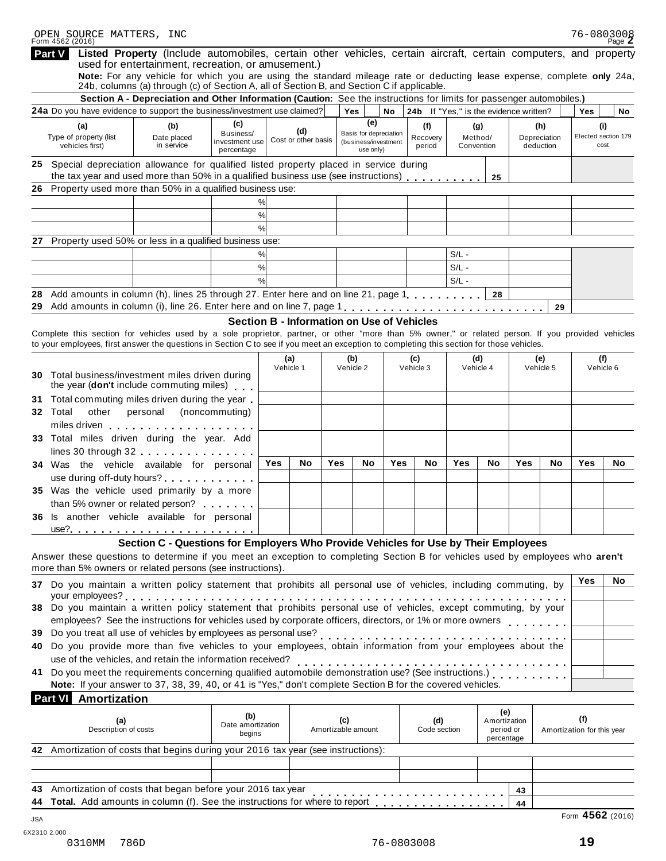| OPEN SOURCE MATTERS, INC<br>Form 4562 (2016)                                                                                                                                                 |                                                                                                                                                                                                                                                                           |                                            |            |                            |     |                                                             |     |                                        |                       |                                         | 76-0803008 | Page $Z$                          |                             |    |
|----------------------------------------------------------------------------------------------------------------------------------------------------------------------------------------------|---------------------------------------------------------------------------------------------------------------------------------------------------------------------------------------------------------------------------------------------------------------------------|--------------------------------------------|------------|----------------------------|-----|-------------------------------------------------------------|-----|----------------------------------------|-----------------------|-----------------------------------------|------------|-----------------------------------|-----------------------------|----|
| <b>Part V</b>                                                                                                                                                                                | Listed Property (Include automobiles, certain other vehicles, certain aircraft, certain computers, and property                                                                                                                                                           |                                            |            |                            |     |                                                             |     |                                        |                       |                                         |            |                                   |                             |    |
|                                                                                                                                                                                              | used for entertainment, recreation, or amusement.)<br>Note: For any vehicle for which you are using the standard mileage rate or deducting lease expense, complete only 24a,<br>24b, columns (a) through (c) of Section A, all of Section B, and Section C if applicable. |                                            |            |                            |     |                                                             |     |                                        |                       |                                         |            |                                   |                             |    |
|                                                                                                                                                                                              | Section A - Depreciation and Other Information (Caution: See the instructions for limits for passenger automobiles.)                                                                                                                                                      |                                            |            |                            |     |                                                             |     |                                        |                       |                                         |            |                                   |                             |    |
| <b>24a</b> Do you have evidence to support the business/investment use claimed?                                                                                                              |                                                                                                                                                                                                                                                                           |                                            |            |                            |     | Yes                                                         | No  | 24b If "Yes," is the evidence written? |                       |                                         |            |                                   | Yes                         | No |
| (a)                                                                                                                                                                                          | (b)                                                                                                                                                                                                                                                                       | (c)                                        |            |                            |     | (e)                                                         |     | (f)                                    |                       | (g)                                     |            | (h)                               | (i)                         |    |
| Type of property (list<br>vehicles first)                                                                                                                                                    | Date placed<br>in service                                                                                                                                                                                                                                                 | Business/<br>investment use<br>percentage  |            | (d)<br>Cost or other basis |     | Basis for depreciation<br>(business/investment<br>use only) |     | Recovery<br>period                     | Method/<br>Convention |                                         |            | Depreciation<br>deduction         | Elected section 179<br>cost |    |
| 25 Special depreciation allowance for qualified listed property placed in service during                                                                                                     | the tax year and used more than 50% in a qualified business use (see instructions)                                                                                                                                                                                        |                                            |            |                            |     |                                                             |     |                                        |                       | 25                                      |            |                                   |                             |    |
| 26                                                                                                                                                                                           | Property used more than 50% in a qualified business use:                                                                                                                                                                                                                  |                                            |            |                            |     |                                                             |     |                                        |                       |                                         |            |                                   |                             |    |
|                                                                                                                                                                                              |                                                                                                                                                                                                                                                                           | %                                          |            |                            |     |                                                             |     |                                        |                       |                                         |            |                                   |                             |    |
|                                                                                                                                                                                              |                                                                                                                                                                                                                                                                           | %                                          |            |                            |     |                                                             |     |                                        |                       |                                         |            |                                   |                             |    |
|                                                                                                                                                                                              |                                                                                                                                                                                                                                                                           | %                                          |            |                            |     |                                                             |     |                                        |                       |                                         |            |                                   |                             |    |
| 27                                                                                                                                                                                           | Property used 50% or less in a qualified business use:                                                                                                                                                                                                                    |                                            |            |                            |     |                                                             |     |                                        |                       |                                         |            |                                   |                             |    |
|                                                                                                                                                                                              | %                                                                                                                                                                                                                                                                         |                                            |            |                            |     |                                                             |     | $S/L -$                                |                       |                                         |            |                                   |                             |    |
|                                                                                                                                                                                              | %                                                                                                                                                                                                                                                                         |                                            |            |                            |     |                                                             |     | $S/L -$                                |                       |                                         |            |                                   |                             |    |
|                                                                                                                                                                                              | %                                                                                                                                                                                                                                                                         |                                            |            |                            |     |                                                             |     | $S/L -$                                |                       |                                         |            |                                   |                             |    |
| 28                                                                                                                                                                                           | Add amounts in column (h), lines 25 through 27. Enter here and on line 21, page 1,                                                                                                                                                                                        |                                            |            |                            |     |                                                             |     |                                        |                       | 28                                      |            |                                   |                             |    |
| 29                                                                                                                                                                                           |                                                                                                                                                                                                                                                                           |                                            |            |                            |     |                                                             |     |                                        |                       |                                         |            | 29                                |                             |    |
|                                                                                                                                                                                              |                                                                                                                                                                                                                                                                           | Section B - Information on Use of Vehicles |            |                            |     |                                                             |     |                                        |                       |                                         |            |                                   |                             |    |
| Complete this section for vehicles used by a sole proprietor, partner, or other "more than 5% owner," or related person. If you provided vehicles                                            |                                                                                                                                                                                                                                                                           |                                            |            |                            |     |                                                             |     |                                        |                       |                                         |            |                                   |                             |    |
| to your employees, first answer the questions in Section C to see if you meet an exception to completing this section for those vehicles.                                                    |                                                                                                                                                                                                                                                                           |                                            |            |                            |     |                                                             |     |                                        |                       |                                         |            |                                   |                             |    |
|                                                                                                                                                                                              |                                                                                                                                                                                                                                                                           |                                            |            | (a)                        |     | (b)                                                         |     | (c)                                    | (d)                   |                                         |            | (e)                               | (f)<br>Vehicle 6            |    |
| Vehicle 1<br>Vehicle 2<br>Vehicle 3<br>Vehicle 4<br>Vehicle 5<br>Total business/investment miles driven during<br>30 -<br>the year (don't include commuting miles)                           |                                                                                                                                                                                                                                                                           |                                            |            |                            |     |                                                             |     |                                        |                       |                                         |            |                                   |                             |    |
| Total commuting miles driven during the year.<br>31                                                                                                                                          |                                                                                                                                                                                                                                                                           |                                            |            |                            |     |                                                             |     |                                        |                       |                                         |            |                                   |                             |    |
| 32 Total<br>other personal (noncommuting)<br>miles driven experience and the set of the set of the set of the set of the set of the set of the set of the s                                  |                                                                                                                                                                                                                                                                           |                                            |            |                            |     |                                                             |     |                                        |                       |                                         |            |                                   |                             |    |
| 33 Total miles driven during the year. Add                                                                                                                                                   |                                                                                                                                                                                                                                                                           |                                            |            |                            |     |                                                             |     |                                        |                       |                                         |            |                                   |                             |    |
|                                                                                                                                                                                              | lines 30 through 32                                                                                                                                                                                                                                                       |                                            |            |                            |     |                                                             |     |                                        |                       |                                         |            |                                   |                             |    |
| 34 Was the vehicle available for personal                                                                                                                                                    |                                                                                                                                                                                                                                                                           |                                            | <b>Yes</b> | No                         | Yes | No                                                          | Yes | No                                     | Yes                   | No                                      | Yes        | No                                | Yes                         | No |
|                                                                                                                                                                                              | use during off-duty hours?                                                                                                                                                                                                                                                |                                            |            |                            |     |                                                             |     |                                        |                       |                                         |            |                                   |                             |    |
| 35 Was the vehicle used primarily by a more                                                                                                                                                  |                                                                                                                                                                                                                                                                           |                                            |            |                            |     |                                                             |     |                                        |                       |                                         |            |                                   |                             |    |
|                                                                                                                                                                                              | than 5% owner or related person?                                                                                                                                                                                                                                          |                                            |            |                            |     |                                                             |     |                                        |                       |                                         |            |                                   |                             |    |
| 36 Is another vehicle available for personal                                                                                                                                                 |                                                                                                                                                                                                                                                                           |                                            |            |                            |     |                                                             |     |                                        |                       |                                         |            |                                   |                             |    |
|                                                                                                                                                                                              | use? <u></u>                                                                                                                                                                                                                                                              |                                            |            |                            |     |                                                             |     |                                        |                       |                                         |            |                                   |                             |    |
| Answer these questions to determine if you meet an exception to completing Section B for vehicles used by employees who aren't<br>more than 5% owners or related persons (see instructions). | Section C - Questions for Employers Who Provide Vehicles for Use by Their Employees                                                                                                                                                                                       |                                            |            |                            |     |                                                             |     |                                        |                       |                                         |            |                                   |                             |    |
| 37 Do you maintain a written policy statement that prohibits all personal use of vehicles, including commuting, by                                                                           |                                                                                                                                                                                                                                                                           |                                            |            |                            |     |                                                             |     |                                        |                       |                                         |            |                                   | Yes                         | No |
| 38 Do you maintain a written policy statement that prohibits personal use of vehicles, except commuting, by your                                                                             |                                                                                                                                                                                                                                                                           |                                            |            |                            |     |                                                             |     |                                        |                       |                                         |            |                                   |                             |    |
|                                                                                                                                                                                              |                                                                                                                                                                                                                                                                           |                                            |            |                            |     |                                                             |     |                                        |                       |                                         |            |                                   |                             |    |
|                                                                                                                                                                                              |                                                                                                                                                                                                                                                                           |                                            |            |                            |     |                                                             |     |                                        |                       |                                         |            |                                   |                             |    |
| 39 Do you treat all use of vehicles by employees as personal use?<br>40 Do you provide more than five vehicles to your employees, obtain information from your employees about the           |                                                                                                                                                                                                                                                                           |                                            |            |                            |     |                                                             |     |                                        |                       |                                         |            |                                   |                             |    |
|                                                                                                                                                                                              | use of the vehicles, and retain the information received?                                                                                                                                                                                                                 |                                            |            |                            |     |                                                             |     |                                        |                       |                                         |            |                                   |                             |    |
| 41 Do you meet the requirements concerning qualified automobile demonstration use? (See instructions.)                                                                                       |                                                                                                                                                                                                                                                                           |                                            |            |                            |     |                                                             |     |                                        |                       |                                         |            |                                   |                             |    |
|                                                                                                                                                                                              | Note: If your answer to 37, 38, 39, 40, or 41 is "Yes," don't complete Section B for the covered vehicles.                                                                                                                                                                |                                            |            |                            |     |                                                             |     |                                        |                       |                                         |            |                                   |                             |    |
| <b>Part VI</b> Amortization                                                                                                                                                                  |                                                                                                                                                                                                                                                                           |                                            |            |                            |     |                                                             |     |                                        |                       |                                         |            |                                   |                             |    |
|                                                                                                                                                                                              |                                                                                                                                                                                                                                                                           |                                            |            |                            |     |                                                             |     |                                        |                       | (e)                                     |            |                                   |                             |    |
| (a)<br>Description of costs                                                                                                                                                                  |                                                                                                                                                                                                                                                                           | (b)<br>Date amortization<br>begins         |            |                            |     | (c)<br>Amortizable amount                                   |     | (d)<br>Code section                    |                       | Amortization<br>period or<br>percentage |            | (f)<br>Amortization for this year |                             |    |
| 42 Amortization of costs that begins during your 2016 tax year (see instructions):                                                                                                           |                                                                                                                                                                                                                                                                           |                                            |            |                            |     |                                                             |     |                                        |                       |                                         |            |                                   |                             |    |
|                                                                                                                                                                                              |                                                                                                                                                                                                                                                                           |                                            |            |                            |     |                                                             |     |                                        |                       |                                         |            |                                   |                             |    |
|                                                                                                                                                                                              |                                                                                                                                                                                                                                                                           |                                            |            |                            |     |                                                             |     |                                        |                       |                                         |            |                                   |                             |    |
| 43                                                                                                                                                                                           | Amortization of costs that began before your 2016 tax year                                                                                                                                                                                                                |                                            |            |                            |     |                                                             |     |                                        |                       |                                         | 43         |                                   |                             |    |
| 44 Total. Add amounts in column (f). See the instructions for where to report                                                                                                                |                                                                                                                                                                                                                                                                           |                                            |            |                            |     |                                                             |     |                                        |                       |                                         | 44         |                                   |                             |    |

Form **4562** (2016) JSA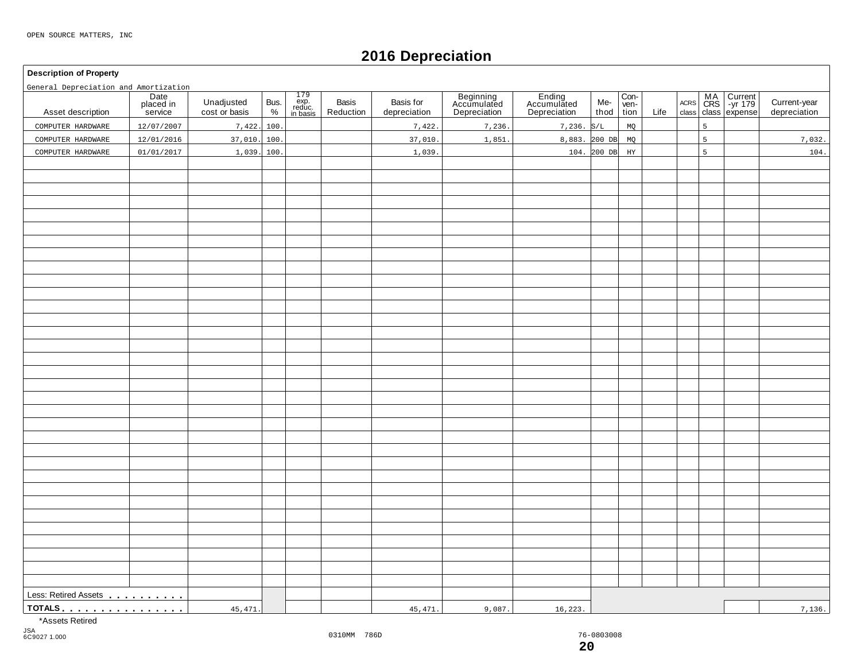# **2016 Depreciation**

#### **Description of Property**

General Depreciation and Amortization

| General Depreciation and Amortization |                              |                             |              |                                                                                        |                    |                           |                                          |                                       |              |                      |      |                     |   |                                            |                              |
|---------------------------------------|------------------------------|-----------------------------|--------------|----------------------------------------------------------------------------------------|--------------------|---------------------------|------------------------------------------|---------------------------------------|--------------|----------------------|------|---------------------|---|--------------------------------------------|------------------------------|
| Asset description                     | Date<br>placed in<br>service | Unadjusted<br>cost or basis | Bus.<br>$\%$ | $\begin{array}{c} 179 \\ \text{exp.} \\ \text{reduce.} \\ \text{in basis} \end{array}$ | Basis<br>Reduction | Basis for<br>depreciation | Beginning<br>Accumulated<br>Depreciation | Ending<br>Accumulated<br>Depreciation | Me-<br>thod  | Con-<br>ven-<br>tion | Life | $\sf ACRS$<br>class |   | MA Current<br>CRS -yr 179<br>class expense | Current-year<br>depreciation |
| COMPUTER HARDWARE                     | 12/07/2007                   | 7,422.                      | 100          |                                                                                        |                    | 7,422.                    | 7,236.                                   | $7,236.$ S/L                          |              | MQ                   |      |                     | 5 |                                            |                              |
| COMPUTER HARDWARE                     | 12/01/2016                   | 37,010.                     | 100          |                                                                                        |                    | 37,010.                   | 1,851                                    | 8,883. 200 DB                         |              | MQ                   |      |                     | 5 |                                            | 7,032.                       |
| COMPUTER HARDWARE                     | 01/01/2017                   | 1,039.                      | 100.         |                                                                                        |                    | 1,039.                    |                                          |                                       | $104.200$ DB | $_{\rm HY}$          |      |                     | 5 |                                            | 104.                         |
|                                       |                              |                             |              |                                                                                        |                    |                           |                                          |                                       |              |                      |      |                     |   |                                            |                              |
|                                       |                              |                             |              |                                                                                        |                    |                           |                                          |                                       |              |                      |      |                     |   |                                            |                              |
|                                       |                              |                             |              |                                                                                        |                    |                           |                                          |                                       |              |                      |      |                     |   |                                            |                              |
|                                       |                              |                             |              |                                                                                        |                    |                           |                                          |                                       |              |                      |      |                     |   |                                            |                              |
|                                       |                              |                             |              |                                                                                        |                    |                           |                                          |                                       |              |                      |      |                     |   |                                            |                              |
|                                       |                              |                             |              |                                                                                        |                    |                           |                                          |                                       |              |                      |      |                     |   |                                            |                              |
|                                       |                              |                             |              |                                                                                        |                    |                           |                                          |                                       |              |                      |      |                     |   |                                            |                              |
|                                       |                              |                             |              |                                                                                        |                    |                           |                                          |                                       |              |                      |      |                     |   |                                            |                              |
|                                       |                              |                             |              |                                                                                        |                    |                           |                                          |                                       |              |                      |      |                     |   |                                            |                              |
|                                       |                              |                             |              |                                                                                        |                    |                           |                                          |                                       |              |                      |      |                     |   |                                            |                              |
|                                       |                              |                             |              |                                                                                        |                    |                           |                                          |                                       |              |                      |      |                     |   |                                            |                              |
|                                       |                              |                             |              |                                                                                        |                    |                           |                                          |                                       |              |                      |      |                     |   |                                            |                              |
|                                       |                              |                             |              |                                                                                        |                    |                           |                                          |                                       |              |                      |      |                     |   |                                            |                              |
|                                       |                              |                             |              |                                                                                        |                    |                           |                                          |                                       |              |                      |      |                     |   |                                            |                              |
|                                       |                              |                             |              |                                                                                        |                    |                           |                                          |                                       |              |                      |      |                     |   |                                            |                              |
|                                       |                              |                             |              |                                                                                        |                    |                           |                                          |                                       |              |                      |      |                     |   |                                            |                              |
|                                       |                              |                             |              |                                                                                        |                    |                           |                                          |                                       |              |                      |      |                     |   |                                            |                              |
|                                       |                              |                             |              |                                                                                        |                    |                           |                                          |                                       |              |                      |      |                     |   |                                            |                              |
|                                       |                              |                             |              |                                                                                        |                    |                           |                                          |                                       |              |                      |      |                     |   |                                            |                              |
|                                       |                              |                             |              |                                                                                        |                    |                           |                                          |                                       |              |                      |      |                     |   |                                            |                              |
|                                       |                              |                             |              |                                                                                        |                    |                           |                                          |                                       |              |                      |      |                     |   |                                            |                              |
|                                       |                              |                             |              |                                                                                        |                    |                           |                                          |                                       |              |                      |      |                     |   |                                            |                              |
|                                       |                              |                             |              |                                                                                        |                    |                           |                                          |                                       |              |                      |      |                     |   |                                            |                              |
|                                       |                              |                             |              |                                                                                        |                    |                           |                                          |                                       |              |                      |      |                     |   |                                            |                              |
|                                       |                              |                             |              |                                                                                        |                    |                           |                                          |                                       |              |                      |      |                     |   |                                            |                              |
|                                       |                              |                             |              |                                                                                        |                    |                           |                                          |                                       |              |                      |      |                     |   |                                            |                              |
|                                       |                              |                             |              |                                                                                        |                    |                           |                                          |                                       |              |                      |      |                     |   |                                            |                              |
|                                       |                              |                             |              |                                                                                        |                    |                           |                                          |                                       |              |                      |      |                     |   |                                            |                              |
|                                       |                              |                             |              |                                                                                        |                    |                           |                                          |                                       |              |                      |      |                     |   |                                            |                              |
|                                       |                              |                             |              |                                                                                        |                    |                           |                                          |                                       |              |                      |      |                     |   |                                            |                              |
|                                       |                              |                             |              |                                                                                        |                    |                           |                                          |                                       |              |                      |      |                     |   |                                            |                              |
|                                       |                              |                             |              |                                                                                        |                    |                           |                                          |                                       |              |                      |      |                     |   |                                            |                              |
| <u>TOTALS</u>                         |                              | 45,471.                     |              |                                                                                        |                    | 45,471.                   | 9,087.                                   | 16, 223.                              |              |                      |      |                     |   |                                            | 7,136.                       |

\*Assets Retired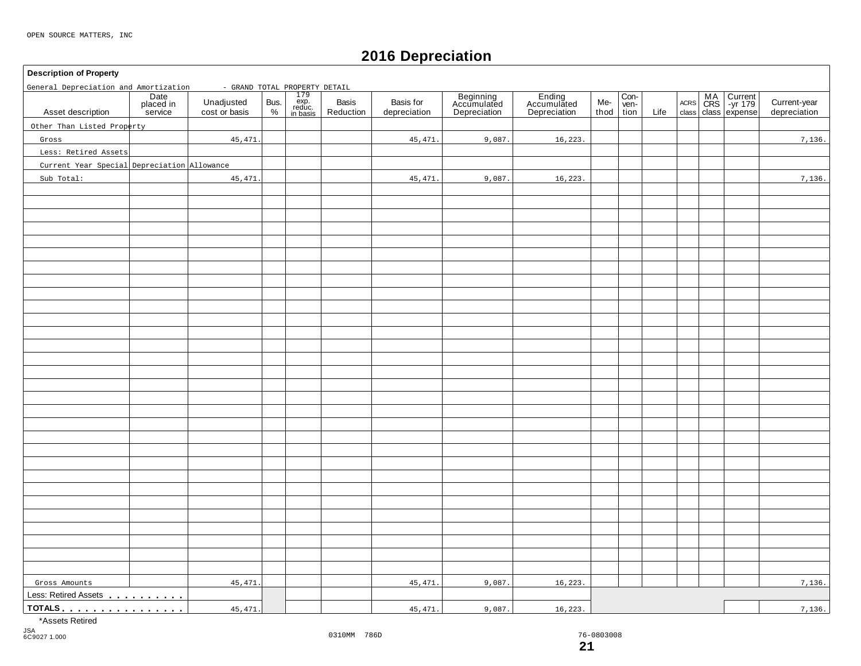# **2016 Depreciation**

### **Description of Property** 179 exp. reduc. in basis **Date** placed in service **Beginning** Accumulated Depreciation Basis | Basis for | Beginning | Ending | Me-<br>Reduction depreciation | Depreciation | Depreciation | thoc Con- ven-tion MA Current |<br>CRS | -yr 179 | Unadjusted Bus. exp. Basis Basis Basis for Accumulated Accumulated Me- wen- Acres CRS -yr 179 |<br>
cost or basis % | reduction | depreciation | Depreciation | Depreciation | thod tion Life class class expense Unadjusted Bus.<br>cost or basis  $\begin{array}{c} \circ \\ \circ \circ \end{array}$ Basis<br>Reduction thod ACRS Asset description | placed in Unadjusted Bus. exp. Basis Basis Current-year Accumulated Accumulated Me- Ven- Accumulated Accumulated Accumulated Me- Ven- Accumulated Accumulated Accumulated Accumulated Me- Ven- Accumulated Gross Amounts<br>Less: Retired Assets . . . . . . . . . **TOTALS** <u>mass mass mass mass measured in the measured in the measured in the measured in the measured in the measured in the measured in the measured in the measured in the measured in the measured in the measured in the </u> General Depreciation and Amortization - GRAND TOTAL PROPERTY DETAIL Other Than Listed Property Gross Less: Retired Assets Current Year Special Depreciation Allowance Sub Total: 45,471. 45,471. 45,471. 45,471. 9,087. 9,087. 16,223. 16,223. 7,136. 7,136. Gross Amounts | 45,471.| | 45,471.| 9,087.| 16,223. | | | 7,136. 45,471. 45,471. 45,471. 9,087. 9,087. 16,223. 16,223. 7,136.

\*Assets Retired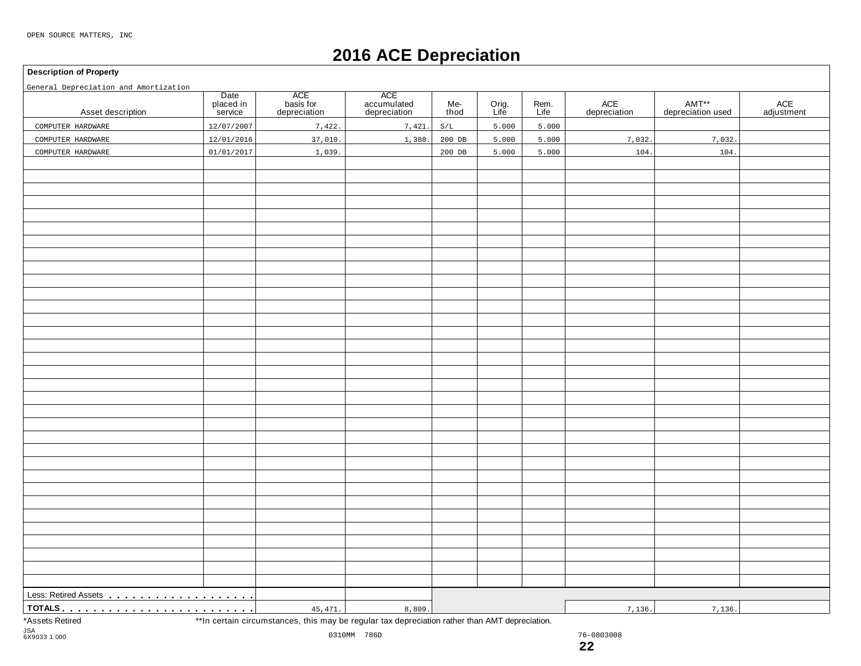# **2016 ACE Depreciation**

#### **Description of Property**

General Depreciation and Amortization

| General Depreciation and Amortization |                              |                                                                                                |                                    |             |               |              |                                | AMT**             |                              |
|---------------------------------------|------------------------------|------------------------------------------------------------------------------------------------|------------------------------------|-------------|---------------|--------------|--------------------------------|-------------------|------------------------------|
| Asset description                     | Date<br>placed in<br>service | ACE<br>basis for<br>depreciation                                                               | ACE<br>accumulated<br>depreciation | Me-<br>thod | Orig.<br>Life | Rem.<br>Life | $\mathsf{ACE}$<br>depreciation | depreciation used | $\mathsf{ACE}$<br>adjustment |
| COMPUTER HARDWARE                     | 12/07/2007                   | 7,422.                                                                                         | 7,421.                             | S/L         | 5.000         | 5.000        |                                |                   |                              |
| COMPUTER HARDWARE                     | 12/01/2016                   | 37,010.                                                                                        | 1,388.                             | 200 DB      | 5.000         | 5.000        | 7,032.                         | 7,032.            |                              |
| COMPUTER HARDWARE                     | 01/01/2017                   | 1,039                                                                                          |                                    | $200$ DB    | 5.000         | 5.000        | 104.                           | 104.              |                              |
|                                       |                              |                                                                                                |                                    |             |               |              |                                |                   |                              |
|                                       |                              |                                                                                                |                                    |             |               |              |                                |                   |                              |
|                                       |                              |                                                                                                |                                    |             |               |              |                                |                   |                              |
|                                       |                              |                                                                                                |                                    |             |               |              |                                |                   |                              |
|                                       |                              |                                                                                                |                                    |             |               |              |                                |                   |                              |
|                                       |                              |                                                                                                |                                    |             |               |              |                                |                   |                              |
|                                       |                              |                                                                                                |                                    |             |               |              |                                |                   |                              |
|                                       |                              |                                                                                                |                                    |             |               |              |                                |                   |                              |
|                                       |                              |                                                                                                |                                    |             |               |              |                                |                   |                              |
|                                       |                              |                                                                                                |                                    |             |               |              |                                |                   |                              |
|                                       |                              |                                                                                                |                                    |             |               |              |                                |                   |                              |
|                                       |                              |                                                                                                |                                    |             |               |              |                                |                   |                              |
|                                       |                              |                                                                                                |                                    |             |               |              |                                |                   |                              |
|                                       |                              |                                                                                                |                                    |             |               |              |                                |                   |                              |
|                                       |                              |                                                                                                |                                    |             |               |              |                                |                   |                              |
|                                       |                              |                                                                                                |                                    |             |               |              |                                |                   |                              |
|                                       |                              |                                                                                                |                                    |             |               |              |                                |                   |                              |
|                                       |                              |                                                                                                |                                    |             |               |              |                                |                   |                              |
|                                       |                              |                                                                                                |                                    |             |               |              |                                |                   |                              |
|                                       |                              |                                                                                                |                                    |             |               |              |                                |                   |                              |
|                                       |                              |                                                                                                |                                    |             |               |              |                                |                   |                              |
|                                       |                              |                                                                                                |                                    |             |               |              |                                |                   |                              |
|                                       |                              |                                                                                                |                                    |             |               |              |                                |                   |                              |
|                                       |                              |                                                                                                |                                    |             |               |              |                                |                   |                              |
|                                       |                              |                                                                                                |                                    |             |               |              |                                |                   |                              |
|                                       |                              |                                                                                                |                                    |             |               |              |                                |                   |                              |
|                                       |                              |                                                                                                |                                    |             |               |              |                                |                   |                              |
|                                       |                              |                                                                                                |                                    |             |               |              |                                |                   |                              |
|                                       |                              |                                                                                                |                                    |             |               |              |                                |                   |                              |
|                                       |                              |                                                                                                |                                    |             |               |              |                                |                   |                              |
|                                       |                              |                                                                                                |                                    |             |               |              |                                |                   |                              |
|                                       |                              |                                                                                                |                                    |             |               |              |                                |                   |                              |
|                                       |                              | 45,471.                                                                                        | 8,809.                             |             |               |              | 7,136.                         | 7,136.            |                              |
| *Assets Retired                       |                              | **In certain circumstances, this may be regular tax depreciation rather than AMT depreciation. |                                    |             |               |              |                                |                   |                              |

 $\mathop{\mathrm{is}}\nolimits$ , this may be regular tax depreciation rather than AMT depi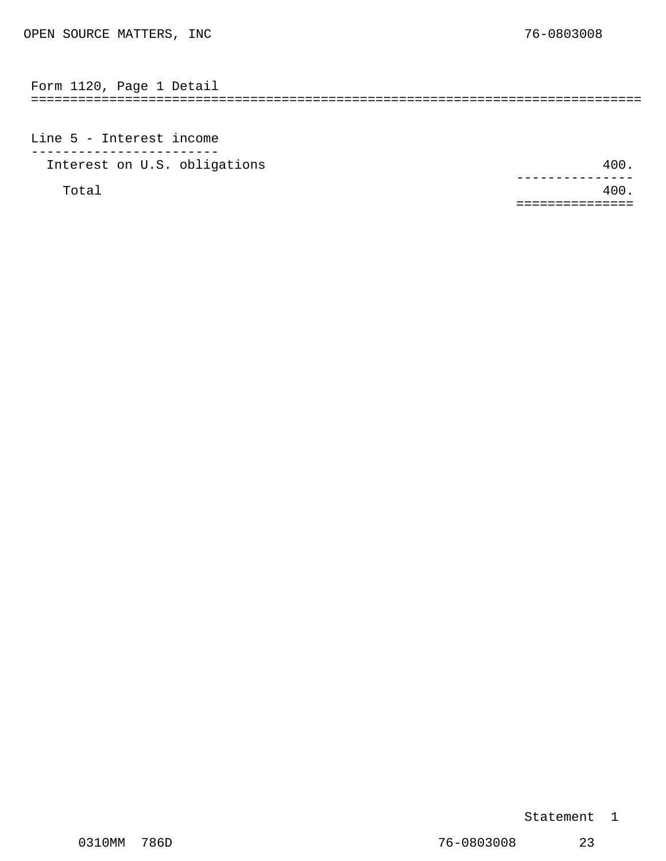<span id="page-13-0"></span>============================================================================== Form 1120, Page 1 Detail

Line 5 - Interest income ------------------------ Interest on U.S. obligations 400.

Total  $400.$ --------------- ===============

Statement 1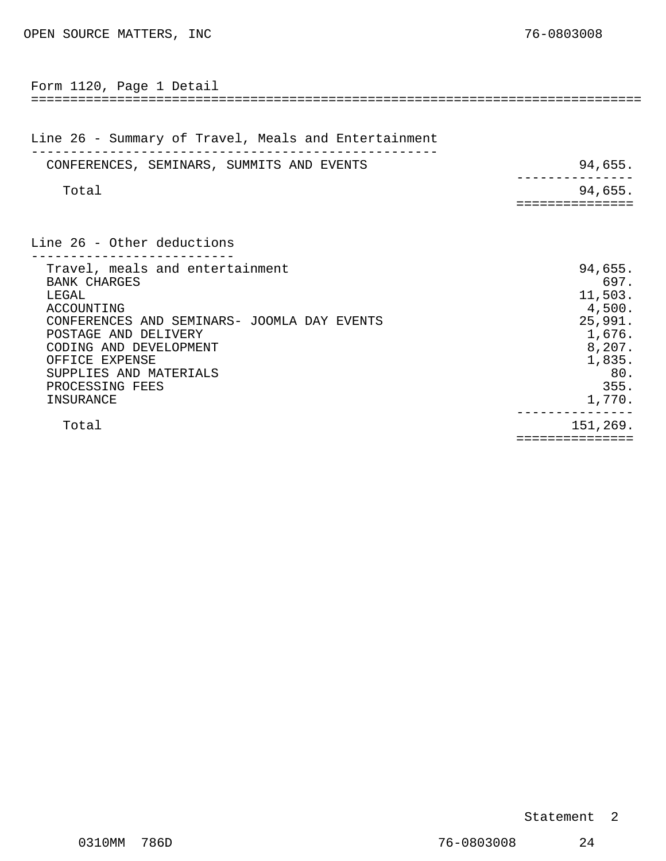<span id="page-14-0"></span>

| Form 1120, Page 1 Detail                                                                                                                                                                                                                                   |                                                                                                        |
|------------------------------------------------------------------------------------------------------------------------------------------------------------------------------------------------------------------------------------------------------------|--------------------------------------------------------------------------------------------------------|
| Line 26 - Summary of Travel, Meals and Entertainment                                                                                                                                                                                                       |                                                                                                        |
| CONFERENCES, SEMINARS, SUMMITS AND EVENTS                                                                                                                                                                                                                  | 94,655.                                                                                                |
| Total                                                                                                                                                                                                                                                      | 94,655.<br>=============                                                                               |
| Line 26 - Other deductions                                                                                                                                                                                                                                 |                                                                                                        |
| Travel, meals and entertainment<br><b>BANK CHARGES</b><br>LEGAL<br>ACCOUNTING<br>CONFERENCES AND SEMINARS- JOOMLA DAY EVENTS<br>POSTAGE AND DELIVERY<br>CODING AND DEVELOPMENT<br>OFFICE EXPENSE<br>SUPPLIES AND MATERIALS<br>PROCESSING FEES<br>INSURANCE | 94,655.<br>697.<br>11,503.<br>4,500.<br>25,991.<br>1,676.<br>8,207.<br>1,835.<br>80.<br>355.<br>1,770. |
| Total                                                                                                                                                                                                                                                      | 151,269.<br>==============                                                                             |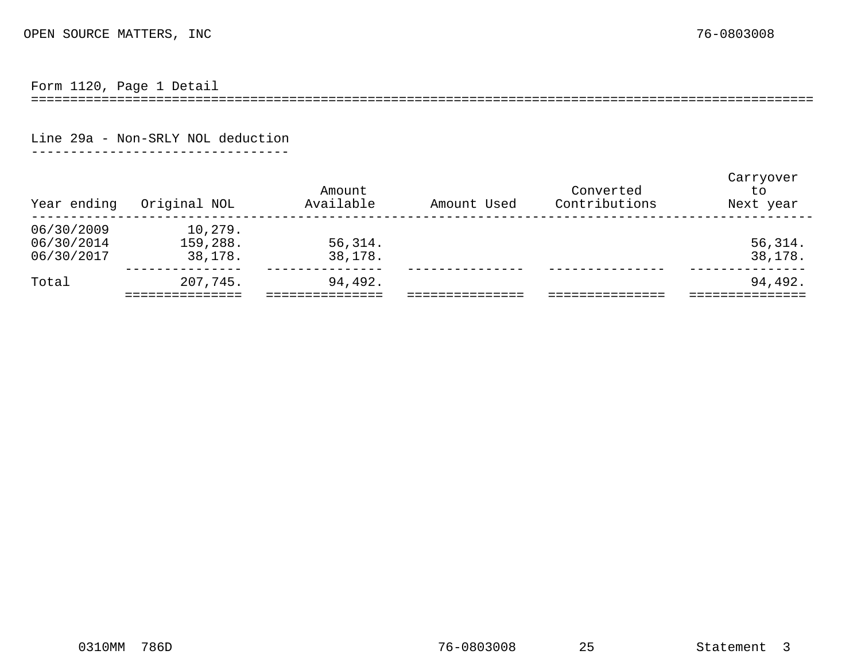Form 1120, Page 1 Detail

====================================================================================================

Line 29a - Non-SRLY NOL deduction

---------------------------------

<span id="page-15-0"></span>

| Year ending                            | Original NOL                   | Amount<br>Available | Amount Used | Converted<br>Contributions | Carryover<br>to<br>Next year |
|----------------------------------------|--------------------------------|---------------------|-------------|----------------------------|------------------------------|
| 06/30/2009<br>06/30/2014<br>06/30/2017 | 10,279.<br>159,288.<br>38,178. | 56,314.<br>38,178.  |             |                            | 56, 314.<br>38,178.          |
| Total                                  | 207,745.                       | 94,492.             |             |                            | 94,492.                      |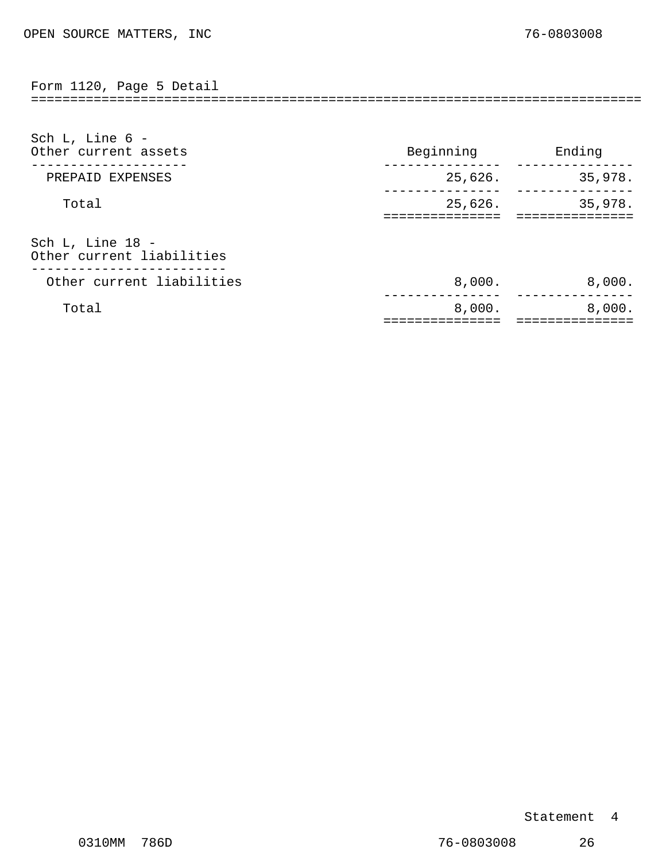<span id="page-16-0"></span>Form 1120, Page 5 Detail

| Sch L, Line $6 -$<br>Other current assets | Beginning | Ending  |
|-------------------------------------------|-----------|---------|
| PREPAID EXPENSES                          | 25,626.   | 35,978. |
| Total                                     | 25,626.   | 35,978. |
| Sch L, Line 18 -                          |           |         |

==============================================================================

Other current liabilities ------------------------- Other current liabilities 6,000. The set of the set of the set of the set of the set of the set of the set of the set of the set of the set of the set of the set of the set of the set of the set of the set of the set of th

 $Total$  8,000. --------------- ===================================== 8,000. ---------------

### Statement 4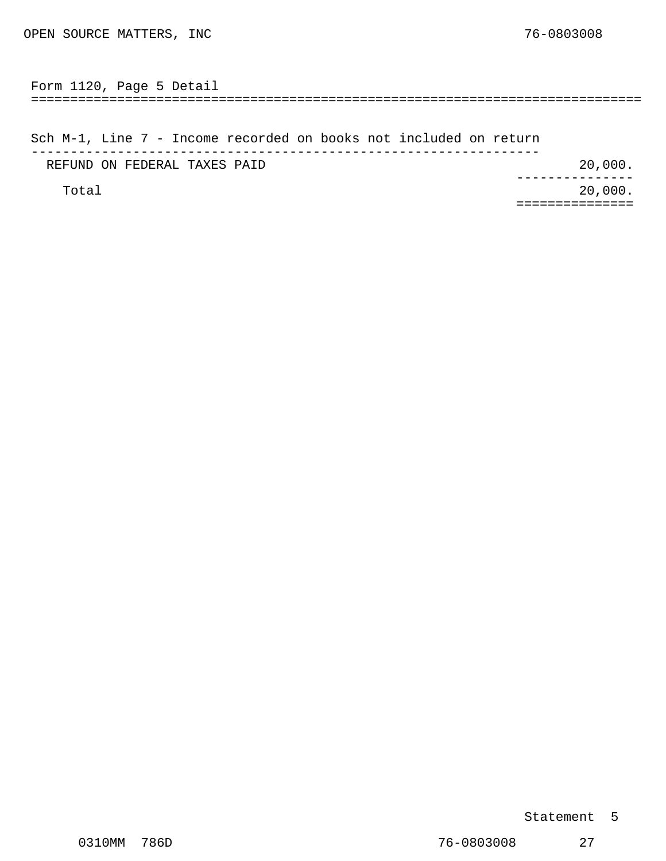<span id="page-17-0"></span>============================================================================== Form 1120, Page 5 Detail

Sch M-1, Line 7 - Income recorded on books not included on return ----------------------------------------------------------------- REFUND ON FEDERAL TAXES PAID 20,000. Total 20,000. --------------- ===============

### Statement 5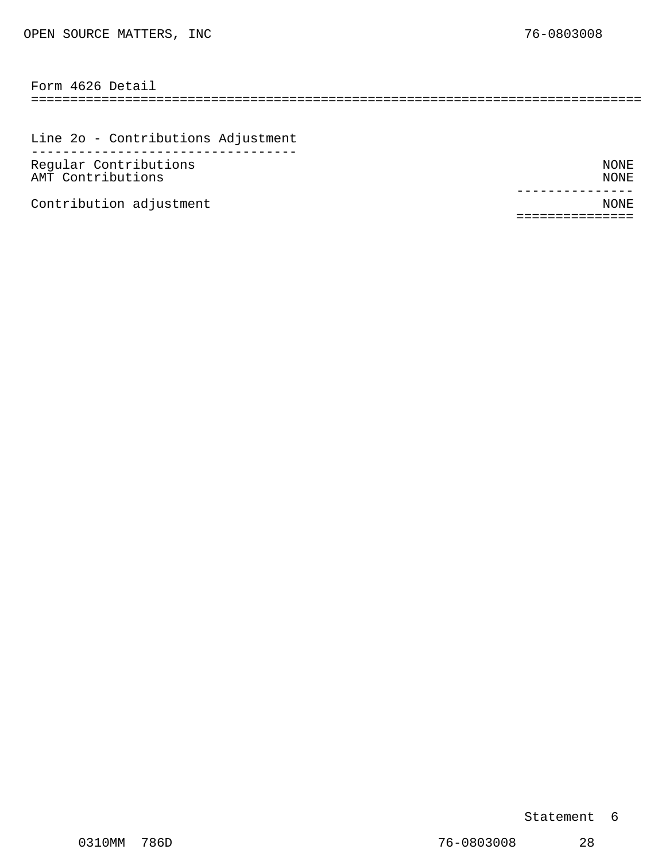============================================================================== Form 4626 Detail

Line 2o - Contributions Adjustment ---------------------------------- Regular Contributions NONE AMT Contributions NONE

Contribution adjustment  $\blacksquare$ 

--------------- ===============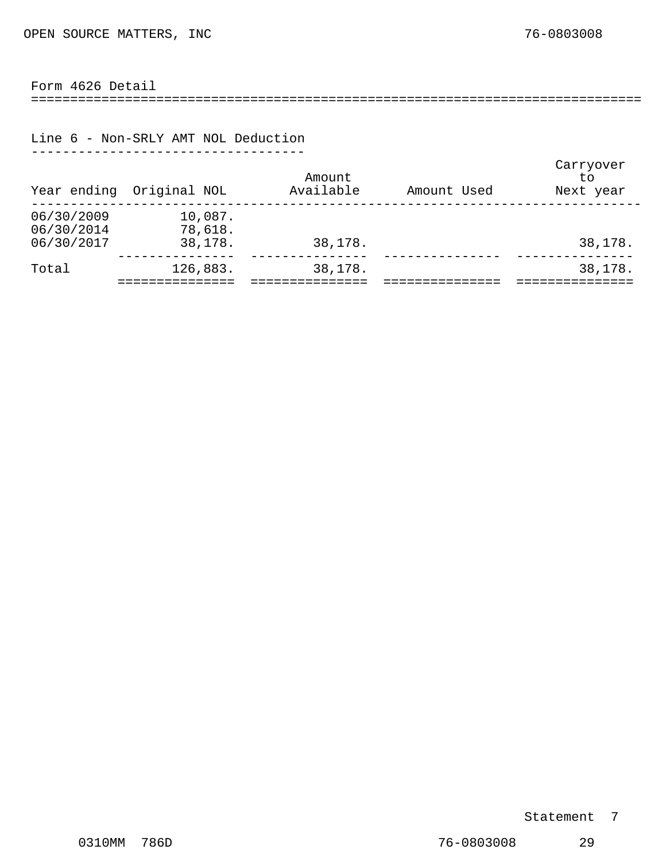### <span id="page-19-0"></span>Form 4626 Detail

==============================================================================

#### Line 6 - Non-SRLY AMT NOL Deduction -----------------------------------

| Year ending                            | Original NOL                  | Amount<br>Available | Amount Used | Carryover<br>t.o<br>Next year |
|----------------------------------------|-------------------------------|---------------------|-------------|-------------------------------|
| 06/30/2009<br>06/30/2014<br>06/30/2017 | 10,087.<br>78,618.<br>38,178. | 38,178.             |             | 38,178.                       |
| Total                                  | 126,883.                      | 38,178.             |             | 38,178.                       |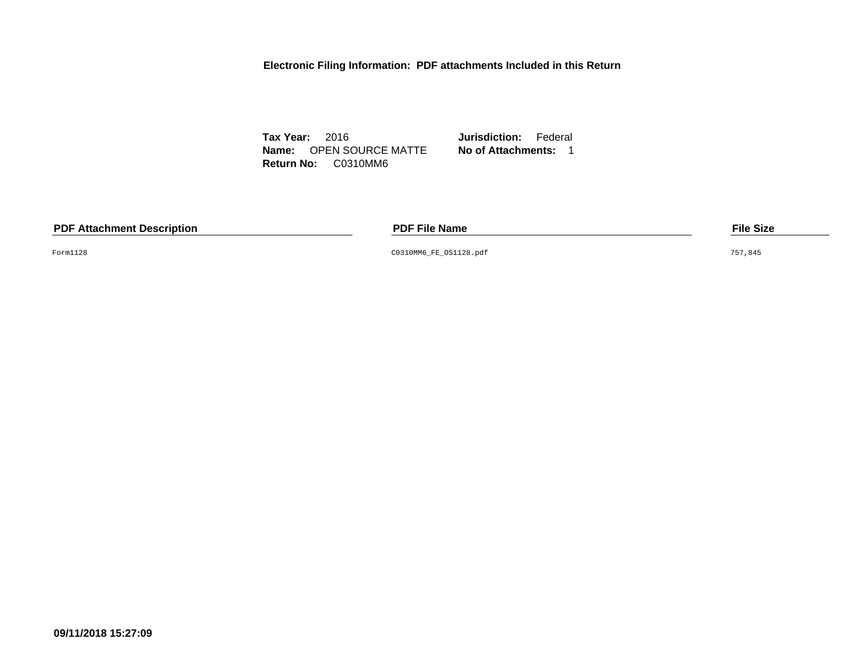**Electronic Filing Information: PDF attachments Included in this Return**

**Tax Year:** 2016 **Jurisdiction:** Federal **Name:** OPEN SOURCE MATTE **No of Attachments:** 1 **Return No:** C0310MM6

**PDF Attachment Description PDF File Name File Size**

Form1128 C0310MM6\_FE\_OS1128.pdf 757,845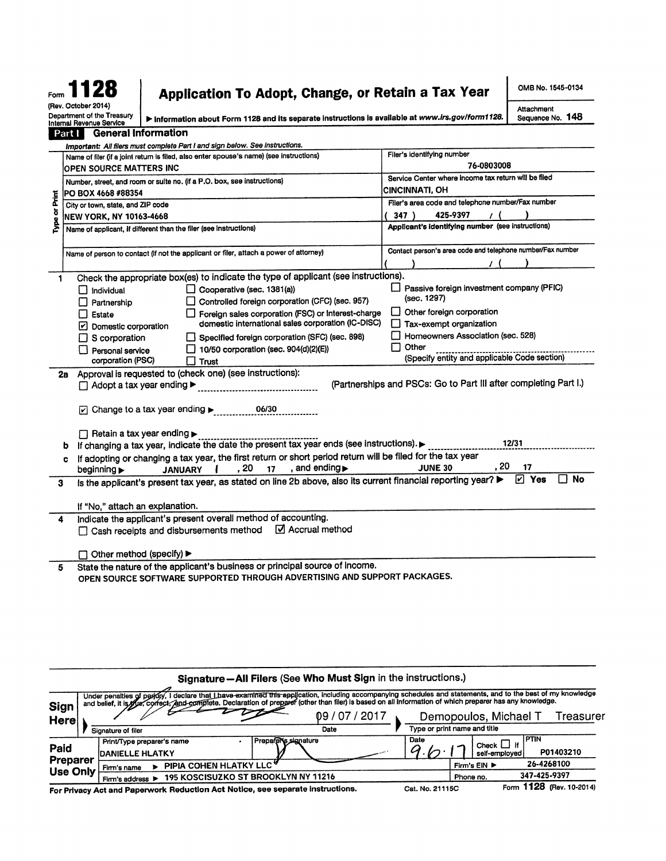# Form 1128 (Rev. October 2014)

# Application To Adopt, Change, or Retain a Tax Year

OMB No. 1545-0134

Sequence No. 148

Attachment

Department of the Treasury<br>Internal Revenue Service

> Information about Form 1128 and its separate instructions is available at www.irs.gov/form1128.

|             | <b>General Information</b><br>Part I                                                                                                                                |                                                                  |
|-------------|---------------------------------------------------------------------------------------------------------------------------------------------------------------------|------------------------------------------------------------------|
|             | Important: All filers must complete Part I and sign below. See instructions.                                                                                        |                                                                  |
|             | Name of filer (if a joint return is filed, also enter spouse's name) (see instructions)                                                                             | Filer's identifying number                                       |
|             | OPEN SOURCE MATTERS INC                                                                                                                                             | 76-0803008                                                       |
|             | Number, street, and room or suite no. (if a P.O. box, see instructions)                                                                                             | Service Center where income tax return will be filed             |
|             | PO BOX 4668 #88354                                                                                                                                                  | CINCINNATI, OH                                                   |
| Ĕ           | City or town, state, and ZIP code                                                                                                                                   | Filer's area code and telephone number/Fax number                |
| ð           | <b>NEW YORK, NY 10163-4668</b>                                                                                                                                      | 347)<br>425-9397                                                 |
| <b>Type</b> | Name of applicant, if different than the filer (see instructions)                                                                                                   | Applicant's identifying number (see instructions)                |
|             |                                                                                                                                                                     |                                                                  |
|             | Name of person to contact (if not the applicant or filer, attach a power of attorney)                                                                               | Contact person's area code and telephone number/Fax number       |
|             |                                                                                                                                                                     |                                                                  |
|             | Check the appropriate box(es) to indicate the type of applicant (see instructions).<br>1                                                                            |                                                                  |
|             | $\Box$ Cooperative (sec. 1381(a))<br>$\Box$ Individual                                                                                                              | Passive foreign investment company (PFIC)                        |
|             | Controlled foreign corporation (CFC) (sec. 957)<br>Partnership                                                                                                      | (sec. 1297)                                                      |
|             | Foreign sales corporation (FSC) or Interest-charge<br>Estate                                                                                                        | Other foreign corporation                                        |
|             | domestic international sales corporation (IC-DISC)<br>Domestic corporation                                                                                          | Tax-exempt organization                                          |
|             | Specified foreign corporation (SFC) (sec. 898)<br>$\Box$ S corporation                                                                                              | Homeowners Association (sec. 528)                                |
|             | $\Box$ 10/50 corporation (sec. 904(d)(2)(E))                                                                                                                        | Other<br>ப                                                       |
|             | Personal service<br>corporation (PSC)<br>∐ Trust                                                                                                                    | (Specify entity and applicable Code section)                     |
|             | Approval is requested to (check one) (see instructions):                                                                                                            |                                                                  |
|             | 2а<br>$\Box$ Adopt a tax year ending $\blacktriangleright$                                                                                                          | (Partnerships and PSCs: Go to Part III after completing Part I.) |
|             |                                                                                                                                                                     |                                                                  |
|             | $\triangleright$ Change to a tax year ending $\triangleright$<br>06/30                                                                                              |                                                                  |
|             |                                                                                                                                                                     |                                                                  |
|             |                                                                                                                                                                     |                                                                  |
|             | $\Box$ Retain a tax year ending $\blacktriangleright$<br>If changing a tax year, indicate the date the present tax year ends (see instructions).                    | 12/31                                                            |
|             | b                                                                                                                                                                   |                                                                  |
|             | If adopting or changing a tax year, the first return or short period return will be filed for the tax year<br>c<br>, and ending $\blacktriangleright$<br>, 20<br>17 | , 20<br>17<br><b>JUNE 30</b>                                     |
|             | beginning $\blacktriangleright$<br><b>JANUARY</b>                                                                                                                   | <b>No</b><br>$ v $ Yes                                           |
|             | Is the applicant's present tax year, as stated on line 2b above, also its current financial reporting year?<br>3                                                    |                                                                  |
|             |                                                                                                                                                                     |                                                                  |
|             | If "No," attach an explanation.                                                                                                                                     |                                                                  |
|             | Indicate the applicant's present overall method of accounting.<br>4                                                                                                 |                                                                  |
|             | Accrual method<br>□ Cash receipts and disbursements method                                                                                                          |                                                                  |
|             |                                                                                                                                                                     |                                                                  |
|             | Other method (specify) ▶                                                                                                                                            |                                                                  |
|             | State the nature of the applicant's business or principal source of income.<br>5                                                                                    |                                                                  |
|             | OPEN SOURCE SOFTWARE SUPPORTED THROUGH ADVERTISING AND SUPPORT PACKAGES.                                                                                            |                                                                  |
|             |                                                                                                                                                                     |                                                                  |
|             |                                                                                                                                                                     |                                                                  |
|             |                                                                                                                                                                     |                                                                  |
|             |                                                                                                                                                                     |                                                                  |
|             |                                                                                                                                                                     |                                                                  |

|                             |                                                                                                                                                                                                                                                                                                                            | Signature - All Filers (See Who Must Sign in the instructions.) |                              |                                                       |
|-----------------------------|----------------------------------------------------------------------------------------------------------------------------------------------------------------------------------------------------------------------------------------------------------------------------------------------------------------------------|-----------------------------------------------------------------|------------------------------|-------------------------------------------------------|
| <b>Sign</b>                 | Under penalties of peridly, I declare that Lhave-examined this application, including accompanying schedules and statements, and to the best of my knowledge<br>and belief, it is flue, correct, And complete. Declaration of preparer (other than filer) is based on all information of which preparer has any knowledge. |                                                                 |                              |                                                       |
| Here                        |                                                                                                                                                                                                                                                                                                                            | 2017 '<br>09                                                    |                              | Demopoulos, Michael T<br>Treasurer                    |
|                             | Signature of filer                                                                                                                                                                                                                                                                                                         | Date                                                            | Type or print name and title |                                                       |
| Paid                        | Print/Type preparer's name<br><b>IDANIELLE HLATKY</b>                                                                                                                                                                                                                                                                      | Prepara Signature                                               | Date                         | PTIN<br>Check $\Box$ if<br>P01403210<br>self-employed |
| Preparer<br><b>Use Only</b> | PIPIA COHEN HLATKY LLC'<br>Firm's name                                                                                                                                                                                                                                                                                     |                                                                 |                              | 26-4268100<br>Firm's EIN ▶                            |
|                             | <b>195 KOSCISUZKO ST BROOKLYN NY 11216</b><br>Firm's address ▶                                                                                                                                                                                                                                                             |                                                                 | Phone no.                    | 347-425-9397                                          |
|                             | For Privacy Act and Paperwork Reduction Act Notice, see separate instructions.                                                                                                                                                                                                                                             |                                                                 | Cat. No. 21115C              | Form 1128 (Rev. 10-2014)                              |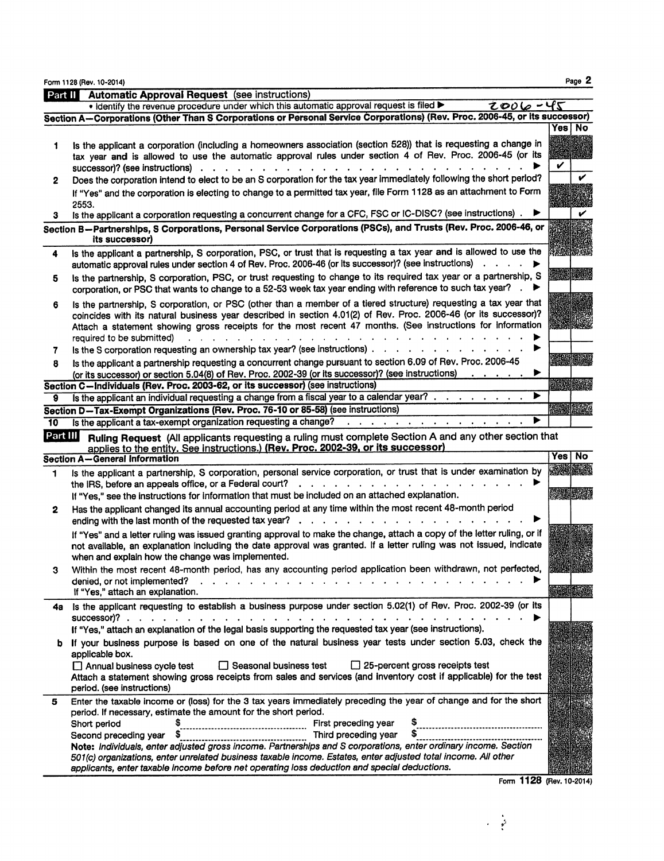|              | Form 1128 (Rev. 10-2014)                                                                                                                                                                                                                                                                                                                                                                                              | Page 2                  |
|--------------|-----------------------------------------------------------------------------------------------------------------------------------------------------------------------------------------------------------------------------------------------------------------------------------------------------------------------------------------------------------------------------------------------------------------------|-------------------------|
| Part II      | <b>Automatic Approval Request</b> (see instructions)                                                                                                                                                                                                                                                                                                                                                                  |                         |
|              | . Identify the revenue procedure under which this automatic approval request is filed ><br>$2006 - 45$                                                                                                                                                                                                                                                                                                                |                         |
|              | Section A-Corporations (Other Than S Corporations or Personal Service Corporations) (Rev. Proc. 2006-45, or its successor)                                                                                                                                                                                                                                                                                            |                         |
|              |                                                                                                                                                                                                                                                                                                                                                                                                                       | Yes I No                |
| 1            | Is the applicant a corporation (including a homeowners association (section 528)) that is requesting a change in<br>tax year and is allowed to use the automatic approval rules under section 4 of Rev. Proc. 2006-45 (or its<br>successor)? (see instructions)                                                                                                                                                       | V                       |
| 2            | Does the corporation intend to elect to be an S corporation for the tax year immediately following the short period?<br>If "Yes" and the corporation is electing to change to a permitted tax year, file Form 1128 as an attachment to Form<br>2553.                                                                                                                                                                  |                         |
| 3.           | Is the applicant a corporation requesting a concurrent change for a CFC, FSC or IC-DISC? (see instructions).                                                                                                                                                                                                                                                                                                          |                         |
|              | Section B-Partnerships, S Corporations, Personal Service Corporations (PSCs), and Trusts (Rev. Proc. 2006-46, or<br>its successor)                                                                                                                                                                                                                                                                                    |                         |
| 4            | Is the applicant a partnership, S corporation, PSC, or trust that is requesting a tax year and is allowed to use the<br>automatic approval rules under section 4 of Rev. Proc. 2006-46 (or its successor)? (see instructions)                                                                                                                                                                                         |                         |
| 5            | Is the partnership, S corporation, PSC, or trust requesting to change to its required tax year or a partnership, S<br>corporation, or PSC that wants to change to a 52-53 week tax year ending with reference to such tax year? .                                                                                                                                                                                     | <b>MARKET IN BRANCH</b> |
| 6            | Is the partnership, S corporation, or PSC (other than a member of a tiered structure) requesting a tax year that<br>coincides with its natural business year described in section 4.01(2) of Rev. Proc. 2006-46 (or its successor)?<br>Attach a statement showing gross receipts for the most recent 47 months. (See instructions for information<br>required to be submitted)                                        |                         |
| 7            | Is the S corporation requesting an ownership tax year? (see instructions).                                                                                                                                                                                                                                                                                                                                            |                         |
| 8            | Is the applicant a partnership requesting a concurrent change pursuant to section 6.09 of Rev. Proc. 2006-45<br>(or its successor) or section 5.04(8) of Rev. Proc. 2002-39 (or its successor)? (see instructions)                                                                                                                                                                                                    |                         |
|              | Section C-Individuals (Rev. Proc. 2003-62, or its successor) (see instructions)                                                                                                                                                                                                                                                                                                                                       |                         |
| 9            | ▶<br>Is the applicant an individual requesting a change from a fiscal year to a calendar year? $\ldots$ , $\ldots$                                                                                                                                                                                                                                                                                                    |                         |
|              | Section D-Tax-Exempt Organizations (Rev. Proc. 76-10 or 85-58) (see instructions)                                                                                                                                                                                                                                                                                                                                     | <b>REAR ENGIN</b>       |
| 10           | Is the applicant a tax-exempt organization requesting a change?<br>and a series of the control of the series of                                                                                                                                                                                                                                                                                                       |                         |
| Part III     | Ruling Request (All applicants requesting a ruling must complete Section A and any other section that<br>applies to the entity. See instructions.) (Rev. Proc. 2002-39, or its successor)                                                                                                                                                                                                                             |                         |
|              | <b>Section A-General Information</b>                                                                                                                                                                                                                                                                                                                                                                                  | Yes No                  |
| 1            | Is the applicant a partnership, S corporation, personal service corporation, or trust that is under examination by<br>$\mathbf{a}$ and $\mathbf{a}$ are a subset of the subset of the subset of the subset of the subset of the subset of the subset of the subset of the subset of the subset of the subset of the subset of the subset of the subset of t<br>the IRS, before an appeals office, or a Federal court? | <b>ARCHIME</b>          |
|              | If "Yes," see the instructions for information that must be included on an attached explanation.                                                                                                                                                                                                                                                                                                                      | 22 323                  |
| $\mathbf{2}$ | Has the applicant changed its annual accounting period at any time within the most recent 48-month period<br>ending with the last month of the requested tax year?                                                                                                                                                                                                                                                    |                         |
|              | If "Yes" and a letter ruling was issued granting approval to make the change, attach a copy of the letter ruling, or if<br>not available, an explanation including the date approval was granted. If a letter ruling was not issued, indicate<br>when and explain how the change was implemented.                                                                                                                     |                         |
| З            | Within the most recent 48-month period, has any accounting period application been withdrawn, not perfected,<br>denied, or not implemented?<br>If "Yes," attach an explanation.                                                                                                                                                                                                                                       | <b>RANGE DE SER</b>     |
| 4а           | Is the applicant requesting to establish a business purpose under section 5.02(1) of Rev. Proc. 2002-39 (or its<br>successor)?.                                                                                                                                                                                                                                                                                       |                         |
|              | If "Yes," attach an explanation of the legal basis supporting the requested tax year (see instructions).                                                                                                                                                                                                                                                                                                              |                         |
| b            | If your business purpose is based on one of the natural business year tests under section 5.03, check the<br>applicable box.                                                                                                                                                                                                                                                                                          |                         |
|              | $\Box$ 25-percent gross receipts test<br>Annual business cycle test<br>Seasonal business test<br>Attach a statement showing gross receipts from sales and services (and inventory cost if applicable) for the test<br>period. (see instructions)                                                                                                                                                                      |                         |
| 5            | Enter the taxable income or (loss) for the 3 tax years immediately preceding the year of change and for the short<br>period. If necessary, estimate the amount for the short period.                                                                                                                                                                                                                                  |                         |
|              | \$<br>First preceding year<br>Short period                                                                                                                                                                                                                                                                                                                                                                            |                         |
|              | Third preceding year<br>Second preceding year                                                                                                                                                                                                                                                                                                                                                                         |                         |
|              | Note: Individuals, enter adjusted gross income. Partnerships and S corporations, enter ordinary income. Section<br>501(c) organizations, enter unrelated business taxable income. Estates, enter adjusted total income. All other<br>applicants, enter taxable income before net operating loss deduction and special deductions.                                                                                     |                         |

Form 1128 (Rev. 10-2014)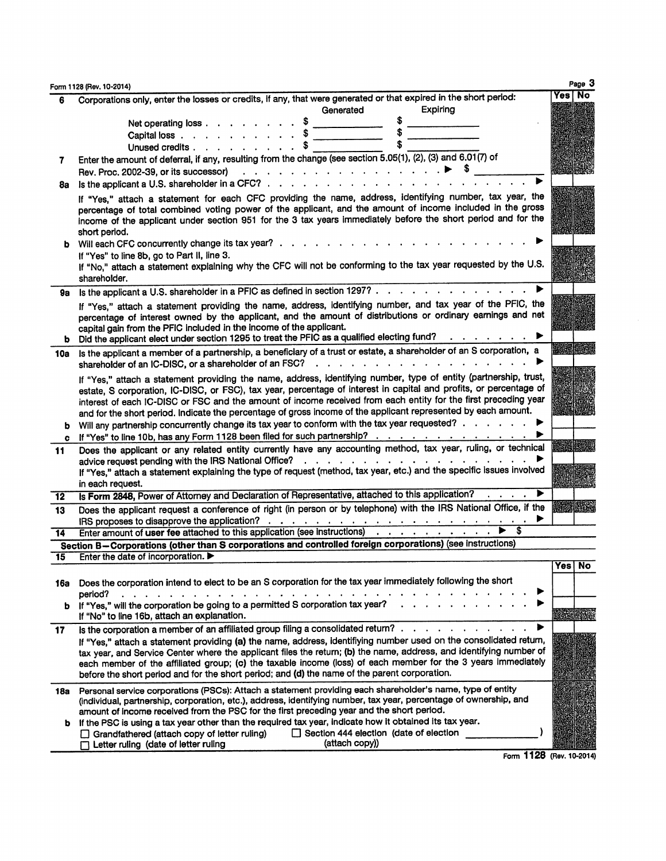|     | Form 1128 (Rev. 10-2014)                                                                                                                                                                                                                                                                                                                                                                                                                                                                                                                                                        | Page 3             |
|-----|---------------------------------------------------------------------------------------------------------------------------------------------------------------------------------------------------------------------------------------------------------------------------------------------------------------------------------------------------------------------------------------------------------------------------------------------------------------------------------------------------------------------------------------------------------------------------------|--------------------|
| 6   | Corporations only, enter the losses or credits, if any, that were generated or that expired in the short period:                                                                                                                                                                                                                                                                                                                                                                                                                                                                | Yes I No           |
|     | Expiring<br>Generated                                                                                                                                                                                                                                                                                                                                                                                                                                                                                                                                                           |                    |
|     | \$<br>Net operating loss \$                                                                                                                                                                                                                                                                                                                                                                                                                                                                                                                                                     |                    |
|     | Capital loss $\cdots$ $\cdots$ $\cdots$ $\cdots$ $\cdots$ $\cdots$                                                                                                                                                                                                                                                                                                                                                                                                                                                                                                              |                    |
|     | Unused credits \$                                                                                                                                                                                                                                                                                                                                                                                                                                                                                                                                                               |                    |
| 7   | Enter the amount of deferral, if any, resulting from the change (see section 5.05(1), (2), (3) and 6.01(7) of                                                                                                                                                                                                                                                                                                                                                                                                                                                                   |                    |
|     | Rev. Proc. 2002-39, or its successor) $\cdots$ $\cdots$ $\cdots$ $\cdots$ $\cdots$ $\cdots$ $\cdots$ $\cdots$ $\cdots$                                                                                                                                                                                                                                                                                                                                                                                                                                                          |                    |
| 8а  | Is the applicant a U.S. shareholder in a CFC? $\ldots$ $\ldots$ $\ldots$ $\ldots$ $\ldots$ $\ldots$                                                                                                                                                                                                                                                                                                                                                                                                                                                                             |                    |
|     | If "Yes," attach a statement for each CFC providing the name, address, identifying number, tax year, the<br>percentage of total combined voting power of the applicant, and the amount of income included in the gross<br>income of the applicant under section 951 for the 3 tax years immediately before the short period and for the<br>short period.                                                                                                                                                                                                                        |                    |
|     | b Will each CFC concurrently change its tax year?.                                                                                                                                                                                                                                                                                                                                                                                                                                                                                                                              |                    |
|     | If "Yes" to line 8b, go to Part II, line 3.<br>If "No," attach a statement explaining why the CFC will not be conforming to the tax year requested by the U.S.<br>shareholder.                                                                                                                                                                                                                                                                                                                                                                                                  |                    |
| 9а  | Is the applicant a U.S. shareholder in a PFIC as defined in section 1297?                                                                                                                                                                                                                                                                                                                                                                                                                                                                                                       |                    |
|     | If "Yes," attach a statement providing the name, address, identifying number, and tax year of the PFIC, the<br>percentage of interest owned by the applicant, and the amount of distributions or ordinary earnings and net<br>capital gain from the PFIC included in the income of the applicant.<br>b Did the applicant elect under section 1295 to treat the PFIC as a qualified electing fund?                                                                                                                                                                               |                    |
| 10a | Is the applicant a member of a partnership, a beneficiary of a trust or estate, a shareholder of an S corporation, a                                                                                                                                                                                                                                                                                                                                                                                                                                                            |                    |
|     | shareholder of an IC-DISC, or a shareholder of an FSC?<br>and a strain and a strain and a strain and a                                                                                                                                                                                                                                                                                                                                                                                                                                                                          |                    |
|     | If "Yes," attach a statement providing the name, address, identifying number, type of entity (partnership, trust,<br>estate, S corporation, IC-DISC, or FSC), tax year, percentage of interest in capital and profits, or percentage of<br>interest of each IC-DISC or FSC and the amount of income received from each entity for the first preceding year<br>and for the short period. Indicate the percentage of gross income of the applicant represented by each amount.<br>Will any partnership concurrently change its tax year to conform with the tax year requested? ▶ |                    |
| c   | If "Yes" to line 10b, has any Form 1128 been filed for such partnership?                                                                                                                                                                                                                                                                                                                                                                                                                                                                                                        |                    |
| 11  | Does the applicant or any related entity currently have any accounting method, tax year, ruling, or technical<br>المتناقل والمتناقل والمتناقل والمتناقل والمتناقل والمناقل والمناقل<br>advice request pending with the IRS National Office?<br>If "Yes," attach a statement explaining the type of request (method, tax year, etc.) and the specific issues involved<br>in each request.                                                                                                                                                                                        |                    |
| 12  | Is Form 2848, Power of Attorney and Declaration of Representative, attached to this application?                                                                                                                                                                                                                                                                                                                                                                                                                                                                                |                    |
| 13  | Does the applicant request a conference of right (in person or by telephone) with the IRS National Office, if the                                                                                                                                                                                                                                                                                                                                                                                                                                                               | <b>North State</b> |
| 14  | Enter amount of user fee attached to this application (see instructions)                                                                                                                                                                                                                                                                                                                                                                                                                                                                                                        |                    |
|     | Section B-Corporations (other than S corporations and controlled foreign corporations) (see instructions)                                                                                                                                                                                                                                                                                                                                                                                                                                                                       |                    |
| 15  | Enter the date of incorporation.                                                                                                                                                                                                                                                                                                                                                                                                                                                                                                                                                | Yes   No           |
|     | 16a Does the corporation intend to elect to be an S corporation for the tax year immediately following the short<br>period?<br>$\mathbf{r} = \mathbf{r} + \mathbf{r}$ .<br>$\ddotsc$                                                                                                                                                                                                                                                                                                                                                                                            |                    |
|     | b If "Yes," will the corporation be going to a permitted S corporation tax year?<br>If "No" to line 16b, attach an explanation.                                                                                                                                                                                                                                                                                                                                                                                                                                                 |                    |
| 17  | Is the corporation a member of an affiliated group filing a consolidated return?<br>▶                                                                                                                                                                                                                                                                                                                                                                                                                                                                                           |                    |
|     | If "Yes," attach a statement providing (a) the name, address, identifiying number used on the consolidated retum,                                                                                                                                                                                                                                                                                                                                                                                                                                                               |                    |
|     | tax year, and Service Center where the applicant files the return; (b) the name, address, and identifying number of<br>each member of the affiliated group; (c) the taxable income (loss) of each member for the 3 years immediately<br>before the short period and for the short period; and (d) the name of the parent corporation.                                                                                                                                                                                                                                           |                    |
| 18a | Personal service corporations (PSCs): Attach a statement providing each shareholder's name, type of entity<br>(individual, partnership, corporation, etc.), address, identifying number, tax year, percentage of ownership, and<br>amount of income received from the PSC for the first preceding year and the short period.                                                                                                                                                                                                                                                    |                    |
| b   | If the PSC is using a tax year other than the required tax year, indicate how it obtained its tax year.                                                                                                                                                                                                                                                                                                                                                                                                                                                                         |                    |
|     | Section 444 election (date of election<br>Grandfathered (attach copy of letter ruling)<br>(attach copy))<br>Letter ruling (date of letter ruling                                                                                                                                                                                                                                                                                                                                                                                                                                |                    |

Form 1128 (Rev. 10-2014)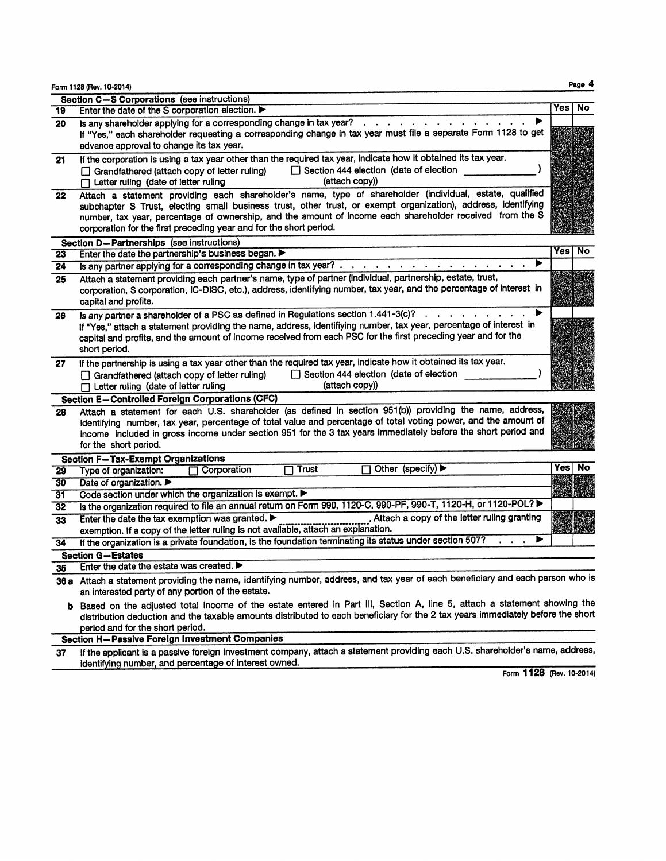|  | Form 1128 (Rev. 10-2014) |  |
|--|--------------------------|--|
|  |                          |  |

|    | Section C-S Corporations (see instructions)                                                                                                                                                                                                                                                                                                                                                                 |                  |
|----|-------------------------------------------------------------------------------------------------------------------------------------------------------------------------------------------------------------------------------------------------------------------------------------------------------------------------------------------------------------------------------------------------------------|------------------|
| 19 | Enter the date of the S corporation election.                                                                                                                                                                                                                                                                                                                                                               | <b>No</b><br>Yes |
| 20 | Is any shareholder applying for a corresponding change in tax year?<br>If "Yes," each shareholder requesting a corresponding change in tax year must file a separate Form 1128 to get                                                                                                                                                                                                                       |                  |
|    | advance approval to change its tax year.                                                                                                                                                                                                                                                                                                                                                                    |                  |
| 21 | If the corporation is using a tax year other than the required tax year, indicate how it obtained its tax year.<br>Section 444 election (date of election<br>Grandfathered (attach copy of letter ruling)                                                                                                                                                                                                   |                  |
|    | (attach copy))<br>$\Box$ Letter ruling (date of letter ruling                                                                                                                                                                                                                                                                                                                                               |                  |
| 22 | Attach a statement providing each shareholder's name, type of shareholder (individual, estate, qualified<br>subchapter S Trust, electing small business trust, other trust, or exempt organization), address, identifying<br>number, tax year, percentage of ownership, and the amount of income each shareholder received from the S<br>corporation for the first preceding year and for the short period. |                  |
|    | Section D-Partnerships (see instructions)                                                                                                                                                                                                                                                                                                                                                                   |                  |
| 23 | Enter the date the partnership's business began. $\blacktriangleright$                                                                                                                                                                                                                                                                                                                                      | <b>Yes</b><br>No |
| 24 | Is any partner applying for a corresponding change in tax year?                                                                                                                                                                                                                                                                                                                                             |                  |
| 25 | Attach a statement providing each partner's name, type of partner (individual, partnership, estate, trust,<br>corporation, S corporation, IC-DISC, etc.), address, identifying number, tax year, and the percentage of interest in<br>capital and profits.                                                                                                                                                  |                  |
| 26 | Is any partner a shareholder of a PSC as defined in Regulations section 1.441-3(c)?<br>If "Yes," attach a statement providing the name, address, identifiying number, tax year, percentage of interest in<br>capital and profits, and the amount of income received from each PSC for the first preceding year and for the<br>short period.                                                                 |                  |
| 27 | If the partnership is using a tax year other than the required tax year, indicate how it obtained its tax year.<br>Section 444 election (date of election<br>$\Box$ Grandfathered (attach copy of letter ruling)<br>(attach copy))<br>$\Box$ Letter ruling (date of letter ruling                                                                                                                           |                  |
|    | <b>Section E-Controlled Foreign Corporations (CFC)</b>                                                                                                                                                                                                                                                                                                                                                      |                  |
| 28 | Attach a statement for each U.S. shareholder (as defined in section 951(b)) providing the name, address,<br>identifying number, tax year, percentage of total value and percentage of total voting power, and the amount of<br>income included in gross income under section 951 for the 3 tax years immediately before the short period and<br>for the short period.                                       |                  |
|    | <b>Section F-Tax-Exempt Organizations</b>                                                                                                                                                                                                                                                                                                                                                                   |                  |
| 29 | Other (specify) $\blacktriangleright$<br>Trust<br>Type of organization:<br>Corporation                                                                                                                                                                                                                                                                                                                      | Yes<br>No        |
| 30 | Date of organization. ▶                                                                                                                                                                                                                                                                                                                                                                                     |                  |
| 31 | Code section under which the organization is exempt. $\blacktriangleright$                                                                                                                                                                                                                                                                                                                                  |                  |
| 32 | Is the organization required to file an annual return on Form 990, 1120-C, 990-PF, 990-T, 1120-H, or 1120-POL?                                                                                                                                                                                                                                                                                              |                  |
| 33 | . Attach a copy of the letter ruling granting<br>Enter the date the tax exemption was granted.<br>exemption. If a copy of the letter ruling is not available, attach an explanation.                                                                                                                                                                                                                        |                  |
|    | If the organization is a private foundation, is the foundation terminating its status under section 507?                                                                                                                                                                                                                                                                                                    |                  |
| 34 |                                                                                                                                                                                                                                                                                                                                                                                                             |                  |
|    | <b>Section G-Estates</b><br>Enter the date the estate was created.                                                                                                                                                                                                                                                                                                                                          |                  |
| 35 |                                                                                                                                                                                                                                                                                                                                                                                                             |                  |
|    | 36 a Attach a statement providing the name, identifying number, address, and tax year of each beneficiary and each person who is<br>an interested party of any portion of the estate.                                                                                                                                                                                                                       |                  |
|    | b Based on the adjusted total income of the estate entered in Part III, Section A, line 5, attach a statement showing the<br>distribution deduction and the taxable amounts distributed to each beneficiary for the 2 tax years immediately before the short<br>period and for the short period.                                                                                                            |                  |
|    | Section H-Passive Foreign Investment Companies                                                                                                                                                                                                                                                                                                                                                              |                  |
| 37 | If the applicant is a passive foreign investment company, attach a statement providing each U.S. shareholder's name, address,                                                                                                                                                                                                                                                                               |                  |

If the applicant is a passive foreign investment company,<br>identifying number, and percentage of interest owned.

Form 1128 (Rev. 10-2014)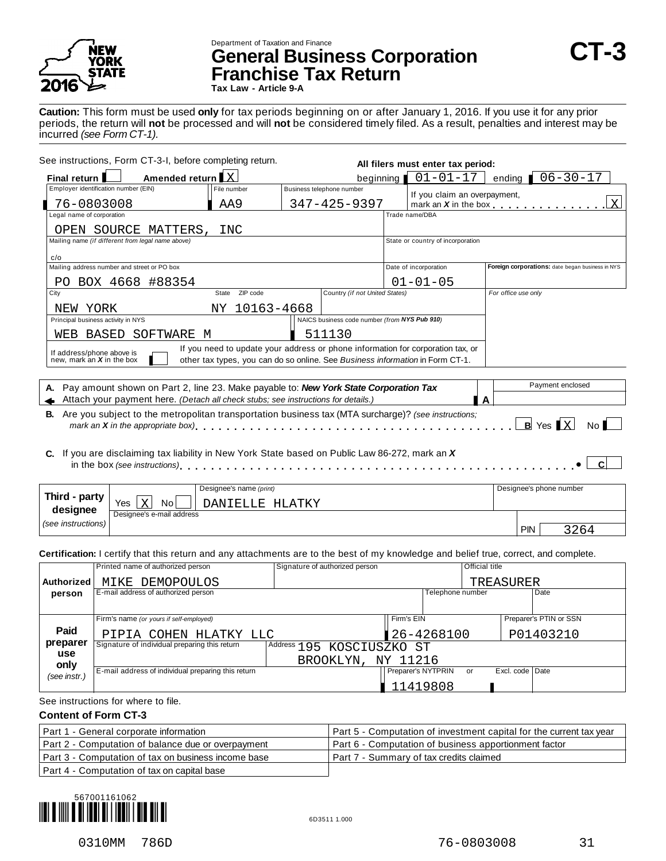

# Department of Taxation and Finance **General Business Corporation CT-3 Franchise Tax Return**

**Tax Law - Article 9-A**

**Caution:** This form must be used **only** for tax periods beginning on or after January 1, 2016. If you use it for any prior periods, the return will **not** be processed and will **not** be considered timely filed. As a result, penalties and interest may be incurred *(see Form CT-1).*

| See instructions, Form CT-3-I, before completing return.<br>All filers must enter tax period:                                                        |                                                                                 |  |                                               |  |                                   |                                                                                   |
|------------------------------------------------------------------------------------------------------------------------------------------------------|---------------------------------------------------------------------------------|--|-----------------------------------------------|--|-----------------------------------|-----------------------------------------------------------------------------------|
| Amended return X<br>Final return                                                                                                                     |                                                                                 |  | beginning                                     |  | $01 - 01 - 17$                    | $06 - 30 - 17$<br>ending                                                          |
| Employer identification number (EIN)                                                                                                                 | File number                                                                     |  | Business telephone number                     |  | If you claim an overpayment,      |                                                                                   |
| 76-0803008                                                                                                                                           | AA9                                                                             |  | 347-425-9397                                  |  |                                   | X<br>mark an $X$ in the box $\ldots$ $\ldots$ $\ldots$ $\ldots$ $\ldots$ $\ldots$ |
| Legal name of corporation                                                                                                                            |                                                                                 |  |                                               |  | Trade name/DBA                    |                                                                                   |
| OPEN SOURCE MATTERS,                                                                                                                                 | INC                                                                             |  |                                               |  |                                   |                                                                                   |
| Mailing name (if different from legal name above)                                                                                                    |                                                                                 |  |                                               |  | State or country of incorporation |                                                                                   |
| c/o                                                                                                                                                  |                                                                                 |  |                                               |  |                                   |                                                                                   |
| Mailing address number and street or PO box                                                                                                          |                                                                                 |  |                                               |  | Date of incorporation             | Foreign corporations: date began business in NYS                                  |
| PO BOX 4668 #88354                                                                                                                                   |                                                                                 |  |                                               |  | $01 - 01 - 05$                    |                                                                                   |
| City                                                                                                                                                 | State ZIP code                                                                  |  | Country (if not United States)                |  |                                   | For office use only                                                               |
| NEW YORK                                                                                                                                             | NY 10163-4668                                                                   |  |                                               |  |                                   |                                                                                   |
| Principal business activity in NYS                                                                                                                   |                                                                                 |  | NAICS business code number (from NYS Pub 910) |  |                                   |                                                                                   |
| SOFTWARE M<br>WEB BASED                                                                                                                              |                                                                                 |  | 511130                                        |  |                                   |                                                                                   |
| If address/phone above is                                                                                                                            | If you need to update your address or phone information for corporation tax, or |  |                                               |  |                                   |                                                                                   |
| new, mark an $X$ in the box                                                                                                                          | other tax types, you can do so online. See Business information in Form CT-1.   |  |                                               |  |                                   |                                                                                   |
|                                                                                                                                                      |                                                                                 |  |                                               |  |                                   |                                                                                   |
| A. Pay amount shown on Part 2, line 23. Make payable to: New York State Corporation Tax                                                              |                                                                                 |  |                                               |  |                                   | Payment enclosed                                                                  |
| Attach your payment here. (Detach all check stubs; see instructions for details.)                                                                    |                                                                                 |  |                                               |  | A                                 |                                                                                   |
| B. Are you subject to the metropolitan transportation business tax (MTA surcharge)? (see instructions;                                               |                                                                                 |  |                                               |  |                                   |                                                                                   |
| mark an <b>X</b> in the appropriate box) $\ldots$ , $\ldots$ , $\ldots$ , $\ldots$ , $\ldots$ , $\ldots$ , $\ldots$ , $\ldots$ , $\ldots$ , $\ldots$ |                                                                                 |  |                                               |  |                                   | $B$ Yes $X$<br>No I                                                               |
|                                                                                                                                                      |                                                                                 |  |                                               |  |                                   |                                                                                   |
| C. If you are disclaiming tax liability in New York State based on Public Law 86-272, mark an X                                                      |                                                                                 |  |                                               |  |                                   |                                                                                   |
|                                                                                                                                                      |                                                                                 |  |                                               |  |                                   |                                                                                   |
|                                                                                                                                                      |                                                                                 |  |                                               |  |                                   |                                                                                   |
|                                                                                                                                                      | Designee's name (print)                                                         |  |                                               |  |                                   | Designee's phone number                                                           |
| Third - party<br>Yes<br>X<br>No                                                                                                                      | DANIELLE HLATKY                                                                 |  |                                               |  |                                   |                                                                                   |

| THILL - DUILY      | No<br>v<br><u>י דעדי ה'</u><br>Yes<br>`N.<br>▁△<br>$\overline{\phantom{a}}$<br>┙┶┚<br>------- |                             |
|--------------------|-----------------------------------------------------------------------------------------------|-----------------------------|
| designee           | Designee's e-mail address                                                                     |                             |
| (see instructions) |                                                                                               | <b>PIN</b><br>$\cap$ $\sim$ |

**Certification:** I certify that this return and any attachments are to the best of my knowledge and belief true, correct, and complete.

|                 | Printed name of authorized person                  | Signature of authorized person |                    | <b>Official title</b> |                 |                        |
|-----------------|----------------------------------------------------|--------------------------------|--------------------|-----------------------|-----------------|------------------------|
| Authorized      | MIKE DEMOPOULOS                                    |                                |                    |                       | TREASURER       |                        |
| person          | E-mail address of authorized person                |                                |                    | Telephone number      |                 | Date                   |
|                 |                                                    |                                |                    |                       |                 |                        |
|                 | Firm's name (or yours if self-employed)            |                                | Firm's EIN         |                       |                 | Preparer's PTIN or SSN |
| Paid            | PIPIA COHEN HLATKY LLC                             |                                | 26-4268100         |                       |                 | P01403210              |
| preparer<br>use | Signature of individual preparing this return      | Address 195 KOSCIUSZKO ST      |                    |                       |                 |                        |
| only            |                                                    | BROOKLYN,<br>ΝY                | 11216              |                       |                 |                        |
| (see instr.)    | E-mail address of individual preparing this return |                                | Preparer's NYTPRIN | or                    | Excl. code Date |                        |
|                 |                                                    |                                | 11419808           |                       |                 |                        |
| - - - -         |                                                    |                                |                    |                       |                 |                        |

#### See instructions for where to file.

#### **Content of Form CT-3**

| Part 1 - General corporate information              | Part 5 - Computation of investment capital for the current tax year |
|-----------------------------------------------------|---------------------------------------------------------------------|
| Part 2 - Computation of balance due or overpayment  | Part 6 - Computation of business apportionment factor               |
| Part 3 - Computation of tax on business income base | Part 7 - Summary of tax credits claimed                             |
| Part 4 - Computation of tax on capital base         |                                                                     |

567001161062 {Yg"1+\_} 6D3511 1.000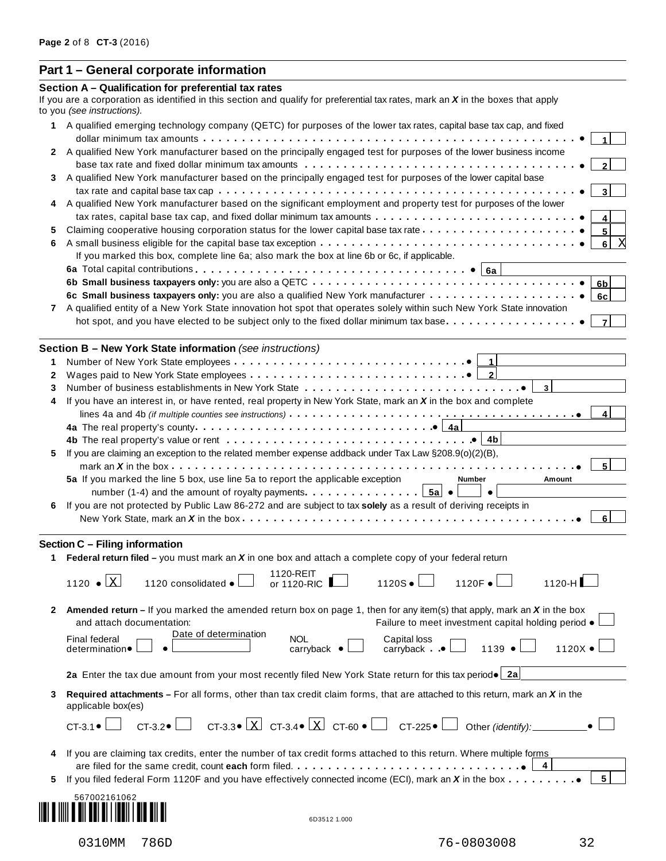# **Part 1 – General corporate information**

|              | Section A - Qualification for preferential tax rates<br>If you are a corporation as identified in this section and qualify for preferential tax rates, mark an $X$ in the boxes that apply |
|--------------|--------------------------------------------------------------------------------------------------------------------------------------------------------------------------------------------|
|              | to you (see instructions).                                                                                                                                                                 |
|              | 1 A qualified emerging technology company (QETC) for purposes of the lower tax rates, capital base tax cap, and fixed                                                                      |
|              |                                                                                                                                                                                            |
|              | 2 A qualified New York manufacturer based on the principally engaged test for purposes of the lower business income                                                                        |
| 3            | A qualified New York manufacturer based on the principally engaged test for purposes of the lower capital base                                                                             |
|              |                                                                                                                                                                                            |
|              | A qualified New York manufacturer based on the significant employment and property test for purposes of the lower                                                                          |
|              |                                                                                                                                                                                            |
| 5            | $5\phantom{a}$                                                                                                                                                                             |
| 6            | 6 <br>If you marked this box, complete line 6a; also mark the box at line 6b or 6c, if applicable.                                                                                         |
|              |                                                                                                                                                                                            |
|              | 6 <sub>b</sub>                                                                                                                                                                             |
|              | 6c                                                                                                                                                                                         |
| $\mathbf{7}$ | A qualified entity of a New York State innovation hot spot that operates solely within such New York State innovation                                                                      |
|              | hot spot, and you have elected to be subject only to the fixed dollar minimum tax base.                                                                                                    |
|              | Section B - New York State information (see instructions)                                                                                                                                  |
| 1            |                                                                                                                                                                                            |
| 2            | 2                                                                                                                                                                                          |
| 3            |                                                                                                                                                                                            |
| 4            | If you have an interest in, or have rented, real property in New York State, mark an X in the box and complete                                                                             |
|              | 4                                                                                                                                                                                          |
|              |                                                                                                                                                                                            |
|              |                                                                                                                                                                                            |
| 5            | If you are claiming an exception to the related member expense addback under Tax Law §208.9(o)(2)(B),                                                                                      |
|              | 5                                                                                                                                                                                          |
|              | 5a If you marked the line 5 box, use line 5a to report the applicable exception<br>Amount<br>Number                                                                                        |
|              | number (1-4) and the amount of royalty payments. $\ldots$ , $5a \cdot 1$<br>$\bullet$                                                                                                      |
| 6            | If you are not protected by Public Law 86-272 and are subject to tax solely as a result of deriving receipts in<br>6                                                                       |
|              |                                                                                                                                                                                            |
|              | Section C - Filing information                                                                                                                                                             |
|              | 1 Federal return filed – you must mark an $X$ in one box and attach a complete copy of your federal return                                                                                 |
|              | 1120-REIT                                                                                                                                                                                  |
|              | Χ<br>1120F ●<br>1120S •<br>1120-H<br>$1120$ $\bullet$<br>1120 consolidated •<br>or 1120-RIC                                                                                                |
| 2            | Amended return – If you marked the amended return box on page 1, then for any item(s) that apply, mark an $X$ in the box                                                                   |
|              | Failure to meet investment capital holding period •<br>and attach documentation:                                                                                                           |
|              | Date of determination<br><b>NOL</b><br>Final federal<br>Capital loss                                                                                                                       |
|              | 1139 •<br>$1120X \bullet$<br>$caryback$ $\bullet$<br>determination •<br>carryback $\bullet$                                                                                                |
|              | 2a Enter the tax due amount from your most recently filed New York State return for this tax period. 2a                                                                                    |
| 3            | Required attachments – For all forms, other than tax credit claim forms, that are attached to this return, mark an $X$ in the<br>applicable box(es)                                        |
|              | CT-3.3 $\mathbf{X}$ CT-3.4 $\mathbf{X}$ CT-60 $\mathbf{U}$ CT-225 $\mathbf{U}$<br>$CT-3.1$ $\bullet$ $\downarrow$<br>$CT-3.2 \bullet$ $\Box$<br>Other (identify):                          |
|              | If you are claiming tax credits, enter the number of tax credit forms attached to this return. Where multiple forms                                                                        |
|              |                                                                                                                                                                                            |
| 5.           | 5 <sup>1</sup><br>If you filed federal Form 1120F and you have effectively connected income (ECI), mark an X in the box                                                                    |
|              |                                                                                                                                                                                            |
|              | 567002161062                                                                                                                                                                               |
|              | 6D3512 1.000                                                                                                                                                                               |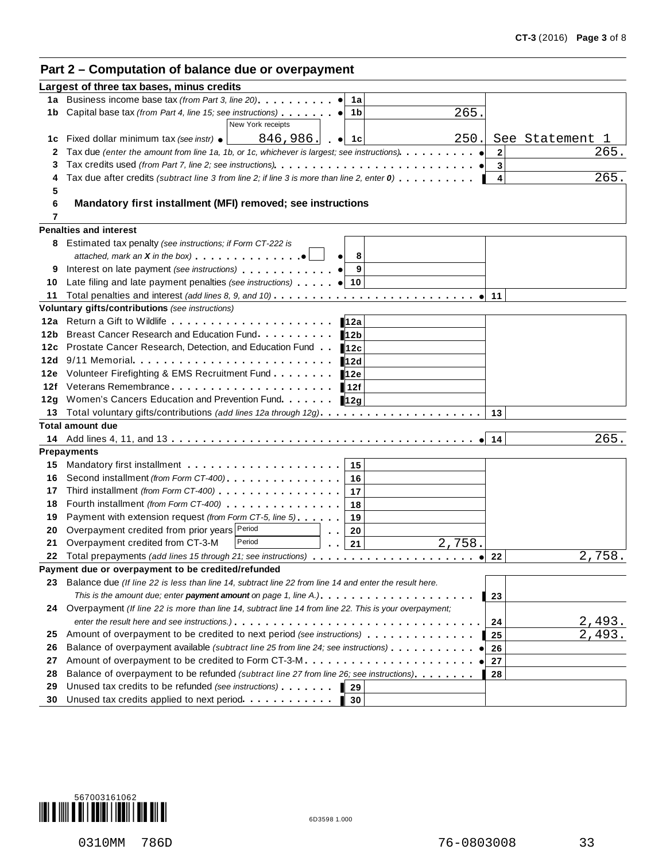# **Part 2 – Computation of balance due or overpayment**

|     | Largest of three tax bases, minus credits                                                                                                                                                                                            |                |                     |
|-----|--------------------------------------------------------------------------------------------------------------------------------------------------------------------------------------------------------------------------------------|----------------|---------------------|
|     | 1a Business income base tax (from Part 3, line 20)<br>1a                                                                                                                                                                             |                |                     |
|     | 265.<br>1b Capital base tax (from Part 4, line 15; see instructions)<br>1b                                                                                                                                                           |                |                     |
|     | New York receipts                                                                                                                                                                                                                    |                |                     |
|     | 250.<br><b>1c</b> Fixed dollar minimum tax (see instr) $\bullet$<br>846,986.<br>$\bullet$ 1 1 c                                                                                                                                      |                | See Statement<br>-1 |
| 2   |                                                                                                                                                                                                                                      | $\overline{2}$ | 265.                |
|     |                                                                                                                                                                                                                                      | 3              |                     |
|     | Tax due after credits (subtract line 3 from line 2; if line 3 is more than line 2, enter 0)                                                                                                                                          | 4              | 265.                |
| 5   |                                                                                                                                                                                                                                      |                |                     |
| 6   | Mandatory first installment (MFI) removed; see instructions                                                                                                                                                                          |                |                     |
| 7   |                                                                                                                                                                                                                                      |                |                     |
|     | <b>Penalties and interest</b>                                                                                                                                                                                                        |                |                     |
|     | 8 Estimated tax penalty (see instructions; if Form CT-222 is                                                                                                                                                                         |                |                     |
|     | attached, mark an $X$ in the box) $\cdots$ $\cdots$ $\cdots$<br>8                                                                                                                                                                    |                |                     |
|     | 9<br>Interest on late payment (see instructions) entitled to the control of the control of the control of the control of the control of the control of the control of the control of the control of the control of the control of t  |                |                     |
| 10  | Late filing and late payment penalties (see instructions) (a) 10                                                                                                                                                                     |                |                     |
| 11  |                                                                                                                                                                                                                                      | 11             |                     |
|     | Voluntary gifts/contributions (see instructions)                                                                                                                                                                                     |                |                     |
|     | 12a                                                                                                                                                                                                                                  |                |                     |
| 12b | Breast Cancer Research and Education Fund.<br>12b                                                                                                                                                                                    |                |                     |
| 12c | Prostate Cancer Research, Detection, and Education Fund.<br>12c                                                                                                                                                                      |                |                     |
| 12d | 9/11 Memorial<br>12d                                                                                                                                                                                                                 |                |                     |
| 12e | Volunteer Firefighting & EMS Recruitment Fund<br>12e                                                                                                                                                                                 |                |                     |
| 12f | Veterans Remembrance experience and the set of the set of the set of the set of the set of the set of the set o<br>∎12f                                                                                                              |                |                     |
| 12g | Women's Cancers Education and Prevention Fund.<br>12g                                                                                                                                                                                |                |                     |
| 13. |                                                                                                                                                                                                                                      | 13             |                     |
|     | <b>Total amount due</b>                                                                                                                                                                                                              | 14             | 265.                |
|     | <b>Prepayments</b>                                                                                                                                                                                                                   |                |                     |
| 15  | 15                                                                                                                                                                                                                                   |                |                     |
| 16  | Second installment (from Form CT-400)<br>16                                                                                                                                                                                          |                |                     |
| 17  | 17                                                                                                                                                                                                                                   |                |                     |
| 18  | Fourth installment (from Form CT-400) [19] [19] COLLECT FOUR DETAILS AND THE RESERVE TO THE RESERVE TO THE RESERVE TO THE RESERVE TO THE RESERVE TO THE RESERVE TO THE RESERVE TO THE RESERVE TO THE RESERVE TO THE RESERVE TO<br>18 |                |                     |
| 19  | Payment with extension request (from Form CT-5, line 5)<br>19                                                                                                                                                                        |                |                     |
| 20  | Overpayment credited from prior years Period<br>20<br>$\mathbf{r}=\mathbf{r}$                                                                                                                                                        |                |                     |
| 21  | 2,758.<br>Overpayment credited from CT-3-M<br>Period<br>21                                                                                                                                                                           |                |                     |
|     | 22 Total prepayments (add lines 15 through 21; see instructions)                                                                                                                                                                     | 22             | 2,758.              |
|     | Payment due or overpayment to be credited/refunded                                                                                                                                                                                   |                |                     |
|     | 23 Balance due (If line 22 is less than line 14, subtract line 22 from line 14 and enter the result here.                                                                                                                            |                |                     |
|     |                                                                                                                                                                                                                                      | l 23           |                     |
|     | 24 Overpayment (If line 22 is more than line 14, subtract line 14 from line 22. This is your overpayment;                                                                                                                            |                |                     |
|     |                                                                                                                                                                                                                                      | 24             | 2,493.              |
| 25  | Amount of overpayment to be credited to next period (see instructions)                                                                                                                                                               | 25             | 2,493.              |
| 26  | Balance of overpayment available (subtract line 25 from line 24; see instructions)                                                                                                                                                   | 26             |                     |
| 27  | Amount of overpayment to be credited to Form CT-3-M                                                                                                                                                                                  | 27             |                     |
| 28  | Balance of overpayment to be refunded (subtract line 27 from line 26; see instructions).                                                                                                                                             | 28             |                     |
| 29  | Unused tax credits to be refunded (see instructions)<br>29                                                                                                                                                                           |                |                     |
| 30  | Unused tax credits applied to next period<br>30                                                                                                                                                                                      |                |                     |
|     |                                                                                                                                                                                                                                      |                |                     |

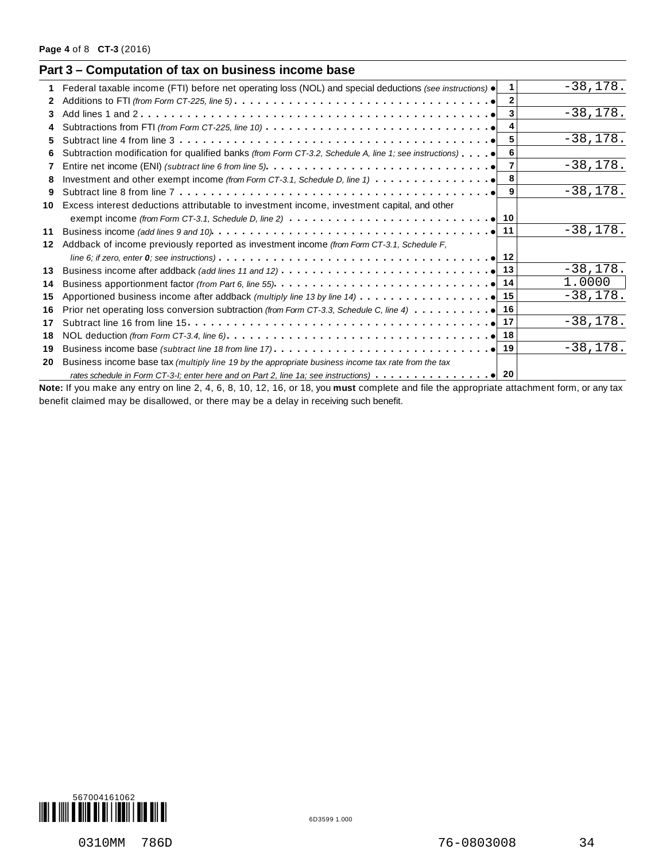|    | Part 3 – Computation of tax on business income base                                                                                       |              |             |
|----|-------------------------------------------------------------------------------------------------------------------------------------------|--------------|-------------|
|    | Federal taxable income (FTI) before net operating loss (NOL) and special deductions (see instructions) $\bullet$                          |              | $-38,178.$  |
| 2  |                                                                                                                                           | $\mathbf{2}$ |             |
| 3  |                                                                                                                                           |              | $-38,178.$  |
|    | Subtractions from FTI (from Form CT-225, line 10) $\ldots \ldots \ldots \ldots \ldots \ldots \ldots \ldots \ldots \ldots$                 | 4            |             |
| 5. | Subtract line 4 from line $3 \ldots \ldots \ldots \ldots \ldots \ldots \ldots \ldots \ldots \ldots \ldots \ldots$                         | 5            | $-38,178.$  |
| 6  | Subtraction modification for qualified banks (from Form CT-3.2, Schedule A, line 1; see instructions)                                     | 6            |             |
| 7  |                                                                                                                                           |              | $-38,178.$  |
| 8  |                                                                                                                                           | 8            |             |
| 9  |                                                                                                                                           |              | $-38,178.$  |
| 10 | Excess interest deductions attributable to investment income, investment capital, and other                                               |              |             |
|    |                                                                                                                                           |              |             |
| 11 |                                                                                                                                           |              | $-38,178.$  |
| 12 | Addback of income previously reported as investment income (from Form CT-3.1, Schedule F,                                                 |              |             |
|    |                                                                                                                                           |              |             |
| 13 |                                                                                                                                           |              | $-38, 178.$ |
| 14 |                                                                                                                                           |              | 1.0000      |
| 15 |                                                                                                                                           |              | $-38,178.$  |
| 16 |                                                                                                                                           |              |             |
| 17 |                                                                                                                                           |              | $-38,178.$  |
| 18 |                                                                                                                                           |              |             |
| 19 |                                                                                                                                           |              | $-38,178.$  |
| 20 | Business income base tax (multiply line 19 by the appropriate business income tax rate from the tax                                       |              |             |
|    |                                                                                                                                           |              |             |
|    | Note: If you make any entry on line 2, 4, 6, 8, 10, 12, 16, or 18, you must complete and file the appropriate attachment form, or any tax |              |             |

benefit claimed may be disallowed, or there may be a delay in receiving such benefit.

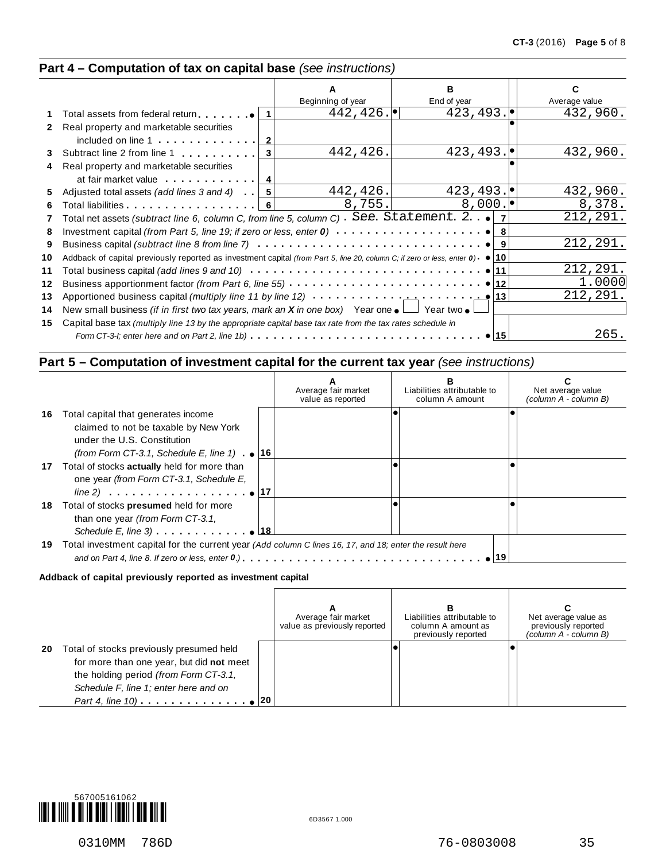## **Part 4 – Computation of tax on capital base** *(see instructions)*

|              |                                                                                                                                           |                   | R.                 |               |
|--------------|-------------------------------------------------------------------------------------------------------------------------------------------|-------------------|--------------------|---------------|
|              |                                                                                                                                           | Beginning of year | End of year        | Average value |
|              | Total assets from federal return $\bullet$   1                                                                                            | 442, 426.         | 423, 493.          | 432,960.      |
| $\mathbf{2}$ | Real property and marketable securities                                                                                                   |                   |                    |               |
|              | included on line $1 \ldots \ldots \ldots$                                                                                                 |                   |                    |               |
| 3            | Subtract line 2 from line 1<br>3                                                                                                          | 442,426.          | 423, 493.          | 432,960.      |
| 4            | Real property and marketable securities                                                                                                   |                   |                    |               |
|              | at fair market value 4                                                                                                                    |                   |                    |               |
| 5.           | Adjusted total assets (add lines 3 and 4) $\vert \cdot \vert$ 5                                                                           | 442, 426.         | 423, 493.          | 432,960.      |
| 6            | Total liabilities experience and the line of the line of the line of the line of the line of the line of the l<br>- 61                    | 8,755.            | $8,000.$ $\bullet$ | 8,378.        |
| 7            | Total net assets (subtract line 6, column C, from line 5, column C) See. Statement. 2.                                                    |                   |                    | 212,291.      |
| 8            |                                                                                                                                           |                   |                    |               |
| 9            |                                                                                                                                           |                   |                    | 212,291.      |
| 10           | Addback of capital previously reported as investment capital (from Part 5, line 20, column C; if zero or less, enter $0$ ) $\bullet$   10 |                   |                    |               |
| 11           |                                                                                                                                           |                   |                    | 212,291.      |
| 12           |                                                                                                                                           |                   |                    | 1.0000        |
| 13           | Apportioned business capital (multiply line 11 by line 12) $\cdots \cdots \cdots$                                                         |                   |                    | 212,291.      |
| 14           | New small business <i>(if in first two tax years, mark an <b>X</b> in one box)</i> Year one $\bullet$ $\Box$ Year two $\bullet$           |                   |                    |               |
| 15           | Capital base tax (multiply line 13 by the appropriate capital base tax rate from the tax rates schedule in                                |                   |                    |               |
|              | Form CT-3-I; enter here and on Part 2, line 1b) $\ldots \ldots \ldots \ldots \ldots \ldots \ldots \ldots \ldots \ldots \ldots$            |                   | •⊺15               | 265.          |
|              |                                                                                                                                           |                   |                    |               |

## **Part 5 – Computation of investment capital for the current tax year** *(see instructions)*

|    |                                                                                                                                           | Average fair market<br>value as reported | Liabilities attributable to<br>column A amount | Net average value<br>(column A - column B) |
|----|-------------------------------------------------------------------------------------------------------------------------------------------|------------------------------------------|------------------------------------------------|--------------------------------------------|
| 16 | Total capital that generates income<br>claimed to not be taxable by New York<br>under the U.S. Constitution                               |                                          |                                                |                                            |
|    | (from Form CT-3.1, Schedule E, line 1) $\bullet$   16                                                                                     |                                          |                                                |                                            |
| 17 | Total of stocks actually held for more than<br>one year (from Form CT-3.1, Schedule E,                                                    |                                          |                                                |                                            |
| 18 | Total of stocks presumed held for more<br>than one year (from Form CT-3.1,<br>Schedule E, line 3) $\ldots$ $\ldots$ $\ldots$ $\bullet$ 18 |                                          |                                                |                                            |
| 19 | Total investment capital for the current year (Add column C lines 16, 17, and 18; enter the result here                                   |                                          |                                                |                                            |

#### **Addback of capital previously reported as investment capital**

|    |                                                                                                                                                                        | Average fair market<br>value as previously reported | в<br>Liabilities attributable to<br>column A amount as<br>previously reported | Net average value as<br>previously reported<br>(column A - column B) |
|----|------------------------------------------------------------------------------------------------------------------------------------------------------------------------|-----------------------------------------------------|-------------------------------------------------------------------------------|----------------------------------------------------------------------|
| 20 | Total of stocks previously presumed held<br>for more than one year, but did not meet<br>the holding period (from Form CT-3.1,<br>Schedule F, line 1; enter here and on |                                                     |                                                                               |                                                                      |

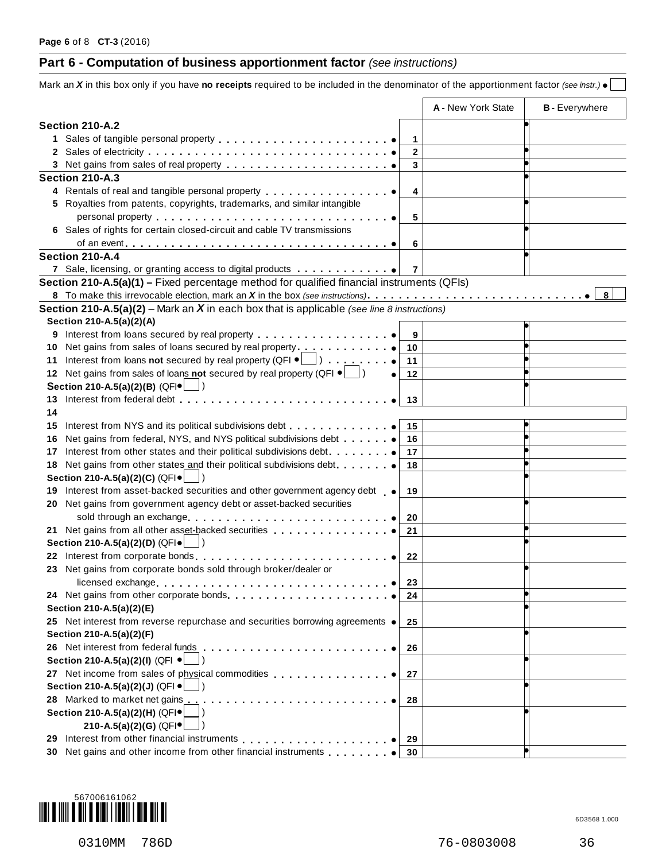# **Part 6 - Computation of business apportionment factor** *(see instructions)*

| A - New York State<br><b>B</b> - Everywhere<br>Section 210-A.2<br>1<br>$\mathbf{2}$<br>3<br>Section 210-A.3<br>4 Rentals of real and tangible personal property <b>Act and Set and Set and Terminal</b><br>4<br>5 Royalties from patents, copyrights, trademarks, and similar intangible<br>5<br>6 Sales of rights for certain closed-circuit and cable TV transmissions<br>6<br>Section 210-A.4<br>7 Sale, licensing, or granting access to digital products<br>7<br>Section 210-A.5(a)(1) - Fixed percentage method for qualified financial instruments (QFIs)<br>8<br><b>Section 210-A.5(a)(2)</b> – Mark an $X$ in each box that is applicable (see line 8 instructions)<br>Section 210-A.5(a)(2)(A)<br>Interest from loans secured by real property<br>9<br>9<br>10 Net gains from sales of loans secured by real property<br>10<br>11 Interest from loans not secured by real property (QFI $\bullet$ \[allequal )<br>11<br>12 Net gains from sales of loans not secured by real property (QFI $\bullet$ $\Box$ )<br>12<br>Section 210-A.5(a)(2)(B) (QFI $\bullet$<br>13<br>13<br>14<br>Interest from NYS and its political subdivisions debt<br>15<br>15<br>16<br>16<br>Interest from other states and their political subdivisions debt.<br>17<br>17<br>Net gains from other states and their political subdivisions debt.<br>18<br>18<br>Section 210-A.5(a)(2)(C) (QFI .<br>Interest from asset-backed securities and other government agency debt<br>19<br>19<br>20 Net gains from government agency debt or asset-backed securities<br>20<br>21 Net gains from all other asset-backed securities<br>21<br>Section 210-A.5(a)(2)(D) (QFI .<br>22 Interest from corporate bonds<br>22<br>23 Net gains from corporate bonds sold through broker/dealer or<br>licensed exchange<br>23<br>24 Net gains from other corporate bonds.<br>24<br>Section 210-A.5(a)(2)(E)<br>25 Net interest from reverse repurchase and securities borrowing agreements .<br>25<br>Section 210-A.5(a)(2)(F)<br>26 Net interest from federal funds<br>26<br>Section 210-A.5(a)(2)(I) (QFI ●<br>27 Net income from sales of physical commodities entitled and success of physical commodities<br>27<br>Section 210-A.5(a)(2)(J) (QFI ·<br>28 Marked to market net gains<br>.<br>28<br>Section 210-A.5(a)(2)(H) (QFI.<br>210-A.5(a)(2)(G) (QFI $\bullet$<br>Interest from other financial instruments<br>29<br>29<br>30 Net gains and other income from other financial instruments<br>30 | Mark an X in this box only if you have no receipts required to be included in the denominator of the apportionment factor (see instr.) . |  |  |
|--------------------------------------------------------------------------------------------------------------------------------------------------------------------------------------------------------------------------------------------------------------------------------------------------------------------------------------------------------------------------------------------------------------------------------------------------------------------------------------------------------------------------------------------------------------------------------------------------------------------------------------------------------------------------------------------------------------------------------------------------------------------------------------------------------------------------------------------------------------------------------------------------------------------------------------------------------------------------------------------------------------------------------------------------------------------------------------------------------------------------------------------------------------------------------------------------------------------------------------------------------------------------------------------------------------------------------------------------------------------------------------------------------------------------------------------------------------------------------------------------------------------------------------------------------------------------------------------------------------------------------------------------------------------------------------------------------------------------------------------------------------------------------------------------------------------------------------------------------------------------------------------------------------------------------------------------------------------------------------------------------------------------------------------------------------------------------------------------------------------------------------------------------------------------------------------------------------------------------------------------------------------------------------------------------------------------------------------------------------------------------------------------------------------------------------------------------------------------|------------------------------------------------------------------------------------------------------------------------------------------|--|--|
|                                                                                                                                                                                                                                                                                                                                                                                                                                                                                                                                                                                                                                                                                                                                                                                                                                                                                                                                                                                                                                                                                                                                                                                                                                                                                                                                                                                                                                                                                                                                                                                                                                                                                                                                                                                                                                                                                                                                                                                                                                                                                                                                                                                                                                                                                                                                                                                                                                                                          |                                                                                                                                          |  |  |
|                                                                                                                                                                                                                                                                                                                                                                                                                                                                                                                                                                                                                                                                                                                                                                                                                                                                                                                                                                                                                                                                                                                                                                                                                                                                                                                                                                                                                                                                                                                                                                                                                                                                                                                                                                                                                                                                                                                                                                                                                                                                                                                                                                                                                                                                                                                                                                                                                                                                          |                                                                                                                                          |  |  |
|                                                                                                                                                                                                                                                                                                                                                                                                                                                                                                                                                                                                                                                                                                                                                                                                                                                                                                                                                                                                                                                                                                                                                                                                                                                                                                                                                                                                                                                                                                                                                                                                                                                                                                                                                                                                                                                                                                                                                                                                                                                                                                                                                                                                                                                                                                                                                                                                                                                                          |                                                                                                                                          |  |  |
|                                                                                                                                                                                                                                                                                                                                                                                                                                                                                                                                                                                                                                                                                                                                                                                                                                                                                                                                                                                                                                                                                                                                                                                                                                                                                                                                                                                                                                                                                                                                                                                                                                                                                                                                                                                                                                                                                                                                                                                                                                                                                                                                                                                                                                                                                                                                                                                                                                                                          |                                                                                                                                          |  |  |
|                                                                                                                                                                                                                                                                                                                                                                                                                                                                                                                                                                                                                                                                                                                                                                                                                                                                                                                                                                                                                                                                                                                                                                                                                                                                                                                                                                                                                                                                                                                                                                                                                                                                                                                                                                                                                                                                                                                                                                                                                                                                                                                                                                                                                                                                                                                                                                                                                                                                          |                                                                                                                                          |  |  |
|                                                                                                                                                                                                                                                                                                                                                                                                                                                                                                                                                                                                                                                                                                                                                                                                                                                                                                                                                                                                                                                                                                                                                                                                                                                                                                                                                                                                                                                                                                                                                                                                                                                                                                                                                                                                                                                                                                                                                                                                                                                                                                                                                                                                                                                                                                                                                                                                                                                                          |                                                                                                                                          |  |  |
|                                                                                                                                                                                                                                                                                                                                                                                                                                                                                                                                                                                                                                                                                                                                                                                                                                                                                                                                                                                                                                                                                                                                                                                                                                                                                                                                                                                                                                                                                                                                                                                                                                                                                                                                                                                                                                                                                                                                                                                                                                                                                                                                                                                                                                                                                                                                                                                                                                                                          |                                                                                                                                          |  |  |
|                                                                                                                                                                                                                                                                                                                                                                                                                                                                                                                                                                                                                                                                                                                                                                                                                                                                                                                                                                                                                                                                                                                                                                                                                                                                                                                                                                                                                                                                                                                                                                                                                                                                                                                                                                                                                                                                                                                                                                                                                                                                                                                                                                                                                                                                                                                                                                                                                                                                          |                                                                                                                                          |  |  |
|                                                                                                                                                                                                                                                                                                                                                                                                                                                                                                                                                                                                                                                                                                                                                                                                                                                                                                                                                                                                                                                                                                                                                                                                                                                                                                                                                                                                                                                                                                                                                                                                                                                                                                                                                                                                                                                                                                                                                                                                                                                                                                                                                                                                                                                                                                                                                                                                                                                                          |                                                                                                                                          |  |  |
|                                                                                                                                                                                                                                                                                                                                                                                                                                                                                                                                                                                                                                                                                                                                                                                                                                                                                                                                                                                                                                                                                                                                                                                                                                                                                                                                                                                                                                                                                                                                                                                                                                                                                                                                                                                                                                                                                                                                                                                                                                                                                                                                                                                                                                                                                                                                                                                                                                                                          |                                                                                                                                          |  |  |
|                                                                                                                                                                                                                                                                                                                                                                                                                                                                                                                                                                                                                                                                                                                                                                                                                                                                                                                                                                                                                                                                                                                                                                                                                                                                                                                                                                                                                                                                                                                                                                                                                                                                                                                                                                                                                                                                                                                                                                                                                                                                                                                                                                                                                                                                                                                                                                                                                                                                          |                                                                                                                                          |  |  |
|                                                                                                                                                                                                                                                                                                                                                                                                                                                                                                                                                                                                                                                                                                                                                                                                                                                                                                                                                                                                                                                                                                                                                                                                                                                                                                                                                                                                                                                                                                                                                                                                                                                                                                                                                                                                                                                                                                                                                                                                                                                                                                                                                                                                                                                                                                                                                                                                                                                                          |                                                                                                                                          |  |  |
|                                                                                                                                                                                                                                                                                                                                                                                                                                                                                                                                                                                                                                                                                                                                                                                                                                                                                                                                                                                                                                                                                                                                                                                                                                                                                                                                                                                                                                                                                                                                                                                                                                                                                                                                                                                                                                                                                                                                                                                                                                                                                                                                                                                                                                                                                                                                                                                                                                                                          |                                                                                                                                          |  |  |
|                                                                                                                                                                                                                                                                                                                                                                                                                                                                                                                                                                                                                                                                                                                                                                                                                                                                                                                                                                                                                                                                                                                                                                                                                                                                                                                                                                                                                                                                                                                                                                                                                                                                                                                                                                                                                                                                                                                                                                                                                                                                                                                                                                                                                                                                                                                                                                                                                                                                          |                                                                                                                                          |  |  |
|                                                                                                                                                                                                                                                                                                                                                                                                                                                                                                                                                                                                                                                                                                                                                                                                                                                                                                                                                                                                                                                                                                                                                                                                                                                                                                                                                                                                                                                                                                                                                                                                                                                                                                                                                                                                                                                                                                                                                                                                                                                                                                                                                                                                                                                                                                                                                                                                                                                                          |                                                                                                                                          |  |  |
|                                                                                                                                                                                                                                                                                                                                                                                                                                                                                                                                                                                                                                                                                                                                                                                                                                                                                                                                                                                                                                                                                                                                                                                                                                                                                                                                                                                                                                                                                                                                                                                                                                                                                                                                                                                                                                                                                                                                                                                                                                                                                                                                                                                                                                                                                                                                                                                                                                                                          |                                                                                                                                          |  |  |
|                                                                                                                                                                                                                                                                                                                                                                                                                                                                                                                                                                                                                                                                                                                                                                                                                                                                                                                                                                                                                                                                                                                                                                                                                                                                                                                                                                                                                                                                                                                                                                                                                                                                                                                                                                                                                                                                                                                                                                                                                                                                                                                                                                                                                                                                                                                                                                                                                                                                          |                                                                                                                                          |  |  |
|                                                                                                                                                                                                                                                                                                                                                                                                                                                                                                                                                                                                                                                                                                                                                                                                                                                                                                                                                                                                                                                                                                                                                                                                                                                                                                                                                                                                                                                                                                                                                                                                                                                                                                                                                                                                                                                                                                                                                                                                                                                                                                                                                                                                                                                                                                                                                                                                                                                                          |                                                                                                                                          |  |  |
|                                                                                                                                                                                                                                                                                                                                                                                                                                                                                                                                                                                                                                                                                                                                                                                                                                                                                                                                                                                                                                                                                                                                                                                                                                                                                                                                                                                                                                                                                                                                                                                                                                                                                                                                                                                                                                                                                                                                                                                                                                                                                                                                                                                                                                                                                                                                                                                                                                                                          |                                                                                                                                          |  |  |
|                                                                                                                                                                                                                                                                                                                                                                                                                                                                                                                                                                                                                                                                                                                                                                                                                                                                                                                                                                                                                                                                                                                                                                                                                                                                                                                                                                                                                                                                                                                                                                                                                                                                                                                                                                                                                                                                                                                                                                                                                                                                                                                                                                                                                                                                                                                                                                                                                                                                          |                                                                                                                                          |  |  |
|                                                                                                                                                                                                                                                                                                                                                                                                                                                                                                                                                                                                                                                                                                                                                                                                                                                                                                                                                                                                                                                                                                                                                                                                                                                                                                                                                                                                                                                                                                                                                                                                                                                                                                                                                                                                                                                                                                                                                                                                                                                                                                                                                                                                                                                                                                                                                                                                                                                                          |                                                                                                                                          |  |  |
|                                                                                                                                                                                                                                                                                                                                                                                                                                                                                                                                                                                                                                                                                                                                                                                                                                                                                                                                                                                                                                                                                                                                                                                                                                                                                                                                                                                                                                                                                                                                                                                                                                                                                                                                                                                                                                                                                                                                                                                                                                                                                                                                                                                                                                                                                                                                                                                                                                                                          |                                                                                                                                          |  |  |
|                                                                                                                                                                                                                                                                                                                                                                                                                                                                                                                                                                                                                                                                                                                                                                                                                                                                                                                                                                                                                                                                                                                                                                                                                                                                                                                                                                                                                                                                                                                                                                                                                                                                                                                                                                                                                                                                                                                                                                                                                                                                                                                                                                                                                                                                                                                                                                                                                                                                          |                                                                                                                                          |  |  |
|                                                                                                                                                                                                                                                                                                                                                                                                                                                                                                                                                                                                                                                                                                                                                                                                                                                                                                                                                                                                                                                                                                                                                                                                                                                                                                                                                                                                                                                                                                                                                                                                                                                                                                                                                                                                                                                                                                                                                                                                                                                                                                                                                                                                                                                                                                                                                                                                                                                                          |                                                                                                                                          |  |  |
|                                                                                                                                                                                                                                                                                                                                                                                                                                                                                                                                                                                                                                                                                                                                                                                                                                                                                                                                                                                                                                                                                                                                                                                                                                                                                                                                                                                                                                                                                                                                                                                                                                                                                                                                                                                                                                                                                                                                                                                                                                                                                                                                                                                                                                                                                                                                                                                                                                                                          |                                                                                                                                          |  |  |
|                                                                                                                                                                                                                                                                                                                                                                                                                                                                                                                                                                                                                                                                                                                                                                                                                                                                                                                                                                                                                                                                                                                                                                                                                                                                                                                                                                                                                                                                                                                                                                                                                                                                                                                                                                                                                                                                                                                                                                                                                                                                                                                                                                                                                                                                                                                                                                                                                                                                          |                                                                                                                                          |  |  |
|                                                                                                                                                                                                                                                                                                                                                                                                                                                                                                                                                                                                                                                                                                                                                                                                                                                                                                                                                                                                                                                                                                                                                                                                                                                                                                                                                                                                                                                                                                                                                                                                                                                                                                                                                                                                                                                                                                                                                                                                                                                                                                                                                                                                                                                                                                                                                                                                                                                                          |                                                                                                                                          |  |  |
|                                                                                                                                                                                                                                                                                                                                                                                                                                                                                                                                                                                                                                                                                                                                                                                                                                                                                                                                                                                                                                                                                                                                                                                                                                                                                                                                                                                                                                                                                                                                                                                                                                                                                                                                                                                                                                                                                                                                                                                                                                                                                                                                                                                                                                                                                                                                                                                                                                                                          |                                                                                                                                          |  |  |
|                                                                                                                                                                                                                                                                                                                                                                                                                                                                                                                                                                                                                                                                                                                                                                                                                                                                                                                                                                                                                                                                                                                                                                                                                                                                                                                                                                                                                                                                                                                                                                                                                                                                                                                                                                                                                                                                                                                                                                                                                                                                                                                                                                                                                                                                                                                                                                                                                                                                          |                                                                                                                                          |  |  |
|                                                                                                                                                                                                                                                                                                                                                                                                                                                                                                                                                                                                                                                                                                                                                                                                                                                                                                                                                                                                                                                                                                                                                                                                                                                                                                                                                                                                                                                                                                                                                                                                                                                                                                                                                                                                                                                                                                                                                                                                                                                                                                                                                                                                                                                                                                                                                                                                                                                                          |                                                                                                                                          |  |  |
|                                                                                                                                                                                                                                                                                                                                                                                                                                                                                                                                                                                                                                                                                                                                                                                                                                                                                                                                                                                                                                                                                                                                                                                                                                                                                                                                                                                                                                                                                                                                                                                                                                                                                                                                                                                                                                                                                                                                                                                                                                                                                                                                                                                                                                                                                                                                                                                                                                                                          |                                                                                                                                          |  |  |
|                                                                                                                                                                                                                                                                                                                                                                                                                                                                                                                                                                                                                                                                                                                                                                                                                                                                                                                                                                                                                                                                                                                                                                                                                                                                                                                                                                                                                                                                                                                                                                                                                                                                                                                                                                                                                                                                                                                                                                                                                                                                                                                                                                                                                                                                                                                                                                                                                                                                          |                                                                                                                                          |  |  |
|                                                                                                                                                                                                                                                                                                                                                                                                                                                                                                                                                                                                                                                                                                                                                                                                                                                                                                                                                                                                                                                                                                                                                                                                                                                                                                                                                                                                                                                                                                                                                                                                                                                                                                                                                                                                                                                                                                                                                                                                                                                                                                                                                                                                                                                                                                                                                                                                                                                                          |                                                                                                                                          |  |  |
|                                                                                                                                                                                                                                                                                                                                                                                                                                                                                                                                                                                                                                                                                                                                                                                                                                                                                                                                                                                                                                                                                                                                                                                                                                                                                                                                                                                                                                                                                                                                                                                                                                                                                                                                                                                                                                                                                                                                                                                                                                                                                                                                                                                                                                                                                                                                                                                                                                                                          |                                                                                                                                          |  |  |
|                                                                                                                                                                                                                                                                                                                                                                                                                                                                                                                                                                                                                                                                                                                                                                                                                                                                                                                                                                                                                                                                                                                                                                                                                                                                                                                                                                                                                                                                                                                                                                                                                                                                                                                                                                                                                                                                                                                                                                                                                                                                                                                                                                                                                                                                                                                                                                                                                                                                          |                                                                                                                                          |  |  |
|                                                                                                                                                                                                                                                                                                                                                                                                                                                                                                                                                                                                                                                                                                                                                                                                                                                                                                                                                                                                                                                                                                                                                                                                                                                                                                                                                                                                                                                                                                                                                                                                                                                                                                                                                                                                                                                                                                                                                                                                                                                                                                                                                                                                                                                                                                                                                                                                                                                                          |                                                                                                                                          |  |  |
|                                                                                                                                                                                                                                                                                                                                                                                                                                                                                                                                                                                                                                                                                                                                                                                                                                                                                                                                                                                                                                                                                                                                                                                                                                                                                                                                                                                                                                                                                                                                                                                                                                                                                                                                                                                                                                                                                                                                                                                                                                                                                                                                                                                                                                                                                                                                                                                                                                                                          |                                                                                                                                          |  |  |
|                                                                                                                                                                                                                                                                                                                                                                                                                                                                                                                                                                                                                                                                                                                                                                                                                                                                                                                                                                                                                                                                                                                                                                                                                                                                                                                                                                                                                                                                                                                                                                                                                                                                                                                                                                                                                                                                                                                                                                                                                                                                                                                                                                                                                                                                                                                                                                                                                                                                          |                                                                                                                                          |  |  |
|                                                                                                                                                                                                                                                                                                                                                                                                                                                                                                                                                                                                                                                                                                                                                                                                                                                                                                                                                                                                                                                                                                                                                                                                                                                                                                                                                                                                                                                                                                                                                                                                                                                                                                                                                                                                                                                                                                                                                                                                                                                                                                                                                                                                                                                                                                                                                                                                                                                                          |                                                                                                                                          |  |  |
|                                                                                                                                                                                                                                                                                                                                                                                                                                                                                                                                                                                                                                                                                                                                                                                                                                                                                                                                                                                                                                                                                                                                                                                                                                                                                                                                                                                                                                                                                                                                                                                                                                                                                                                                                                                                                                                                                                                                                                                                                                                                                                                                                                                                                                                                                                                                                                                                                                                                          |                                                                                                                                          |  |  |
|                                                                                                                                                                                                                                                                                                                                                                                                                                                                                                                                                                                                                                                                                                                                                                                                                                                                                                                                                                                                                                                                                                                                                                                                                                                                                                                                                                                                                                                                                                                                                                                                                                                                                                                                                                                                                                                                                                                                                                                                                                                                                                                                                                                                                                                                                                                                                                                                                                                                          |                                                                                                                                          |  |  |
|                                                                                                                                                                                                                                                                                                                                                                                                                                                                                                                                                                                                                                                                                                                                                                                                                                                                                                                                                                                                                                                                                                                                                                                                                                                                                                                                                                                                                                                                                                                                                                                                                                                                                                                                                                                                                                                                                                                                                                                                                                                                                                                                                                                                                                                                                                                                                                                                                                                                          |                                                                                                                                          |  |  |
|                                                                                                                                                                                                                                                                                                                                                                                                                                                                                                                                                                                                                                                                                                                                                                                                                                                                                                                                                                                                                                                                                                                                                                                                                                                                                                                                                                                                                                                                                                                                                                                                                                                                                                                                                                                                                                                                                                                                                                                                                                                                                                                                                                                                                                                                                                                                                                                                                                                                          |                                                                                                                                          |  |  |
|                                                                                                                                                                                                                                                                                                                                                                                                                                                                                                                                                                                                                                                                                                                                                                                                                                                                                                                                                                                                                                                                                                                                                                                                                                                                                                                                                                                                                                                                                                                                                                                                                                                                                                                                                                                                                                                                                                                                                                                                                                                                                                                                                                                                                                                                                                                                                                                                                                                                          |                                                                                                                                          |  |  |
|                                                                                                                                                                                                                                                                                                                                                                                                                                                                                                                                                                                                                                                                                                                                                                                                                                                                                                                                                                                                                                                                                                                                                                                                                                                                                                                                                                                                                                                                                                                                                                                                                                                                                                                                                                                                                                                                                                                                                                                                                                                                                                                                                                                                                                                                                                                                                                                                                                                                          |                                                                                                                                          |  |  |
|                                                                                                                                                                                                                                                                                                                                                                                                                                                                                                                                                                                                                                                                                                                                                                                                                                                                                                                                                                                                                                                                                                                                                                                                                                                                                                                                                                                                                                                                                                                                                                                                                                                                                                                                                                                                                                                                                                                                                                                                                                                                                                                                                                                                                                                                                                                                                                                                                                                                          |                                                                                                                                          |  |  |
|                                                                                                                                                                                                                                                                                                                                                                                                                                                                                                                                                                                                                                                                                                                                                                                                                                                                                                                                                                                                                                                                                                                                                                                                                                                                                                                                                                                                                                                                                                                                                                                                                                                                                                                                                                                                                                                                                                                                                                                                                                                                                                                                                                                                                                                                                                                                                                                                                                                                          |                                                                                                                                          |  |  |
|                                                                                                                                                                                                                                                                                                                                                                                                                                                                                                                                                                                                                                                                                                                                                                                                                                                                                                                                                                                                                                                                                                                                                                                                                                                                                                                                                                                                                                                                                                                                                                                                                                                                                                                                                                                                                                                                                                                                                                                                                                                                                                                                                                                                                                                                                                                                                                                                                                                                          |                                                                                                                                          |  |  |
|                                                                                                                                                                                                                                                                                                                                                                                                                                                                                                                                                                                                                                                                                                                                                                                                                                                                                                                                                                                                                                                                                                                                                                                                                                                                                                                                                                                                                                                                                                                                                                                                                                                                                                                                                                                                                                                                                                                                                                                                                                                                                                                                                                                                                                                                                                                                                                                                                                                                          |                                                                                                                                          |  |  |
|                                                                                                                                                                                                                                                                                                                                                                                                                                                                                                                                                                                                                                                                                                                                                                                                                                                                                                                                                                                                                                                                                                                                                                                                                                                                                                                                                                                                                                                                                                                                                                                                                                                                                                                                                                                                                                                                                                                                                                                                                                                                                                                                                                                                                                                                                                                                                                                                                                                                          |                                                                                                                                          |  |  |

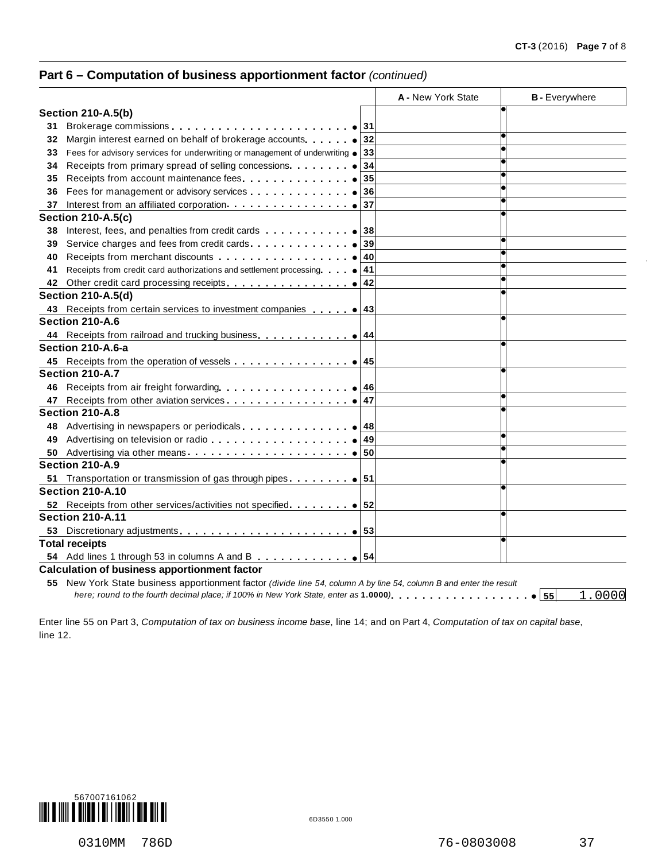# **Part 6 – Computation of business apportionment factor** *(continued)*

|    |                                                                                                                                                                                                                                | A - New York State | <b>B</b> - Everywhere |
|----|--------------------------------------------------------------------------------------------------------------------------------------------------------------------------------------------------------------------------------|--------------------|-----------------------|
|    | <b>Section 210-A.5(b)</b>                                                                                                                                                                                                      |                    |                       |
| 31 | Brokerage commissions experience and a set of 31                                                                                                                                                                               |                    |                       |
| 32 |                                                                                                                                                                                                                                |                    |                       |
| 33 | Fees for advisory services for underwriting or management of underwriting $\bullet$ 33                                                                                                                                         |                    |                       |
| 34 |                                                                                                                                                                                                                                | 34                 |                       |
| 35 |                                                                                                                                                                                                                                | 35                 |                       |
| 36 | Fees for management or advisory services expression of the set of the set of the set of the set of the set of the set of the set of the set of the set of the set of the set of the set of the set of the set of the set of th | 36                 |                       |
| 37 |                                                                                                                                                                                                                                |                    |                       |
|    | <b>Section 210-A.5(c)</b>                                                                                                                                                                                                      |                    |                       |
| 38 | Interest, fees, and penalties from credit cards $\ldots$ , $\ldots$ , $\bullet$ 38                                                                                                                                             |                    |                       |
| 39 |                                                                                                                                                                                                                                | 39                 |                       |
| 40 |                                                                                                                                                                                                                                |                    |                       |
| 41 | Receipts from credit card authorizations and settlement processing $\bullet$ 41                                                                                                                                                |                    |                       |
| 42 |                                                                                                                                                                                                                                |                    |                       |
|    | <b>Section 210-A.5(d)</b>                                                                                                                                                                                                      |                    |                       |
|    |                                                                                                                                                                                                                                |                    |                       |
|    | Section 210-A.6                                                                                                                                                                                                                |                    |                       |
|    | 44 Receipts from railroad and trucking business. 0 44                                                                                                                                                                          |                    |                       |
|    | Section 210-A.6-a                                                                                                                                                                                                              |                    |                       |
|    |                                                                                                                                                                                                                                |                    |                       |
|    | Section 210-A.7                                                                                                                                                                                                                |                    |                       |
| 46 |                                                                                                                                                                                                                                |                    |                       |
| 47 |                                                                                                                                                                                                                                |                    |                       |
|    | Section 210-A.8                                                                                                                                                                                                                |                    |                       |
| 48 | Advertising in newspapers or periodicals express and the set of 48                                                                                                                                                             |                    |                       |
| 49 |                                                                                                                                                                                                                                |                    |                       |
| 50 |                                                                                                                                                                                                                                |                    |                       |
|    | Section 210-A.9                                                                                                                                                                                                                |                    |                       |
| 51 | Transportation or transmission of gas through pipes                                                                                                                                                                            |                    |                       |
|    | <b>Section 210-A.10</b>                                                                                                                                                                                                        |                    |                       |
|    |                                                                                                                                                                                                                                |                    |                       |
|    | <b>Section 210-A.11</b>                                                                                                                                                                                                        |                    |                       |
| 53 |                                                                                                                                                                                                                                |                    |                       |
|    | <b>Total receipts</b>                                                                                                                                                                                                          |                    |                       |
|    |                                                                                                                                                                                                                                |                    |                       |
|    | <b>Calculation of business apportionment factor</b>                                                                                                                                                                            |                    |                       |
|    | 55 New York State business apportionment factor (divide line 54, column A by line 54, column B and enter the result                                                                                                            |                    |                       |
|    |                                                                                                                                                                                                                                |                    | 1.0000<br> 55         |

Enter line 55 on Part 3, *Computation of tax on business income base*, line 14; and on Part 4, *Computation of tax on capital base*, line 12.

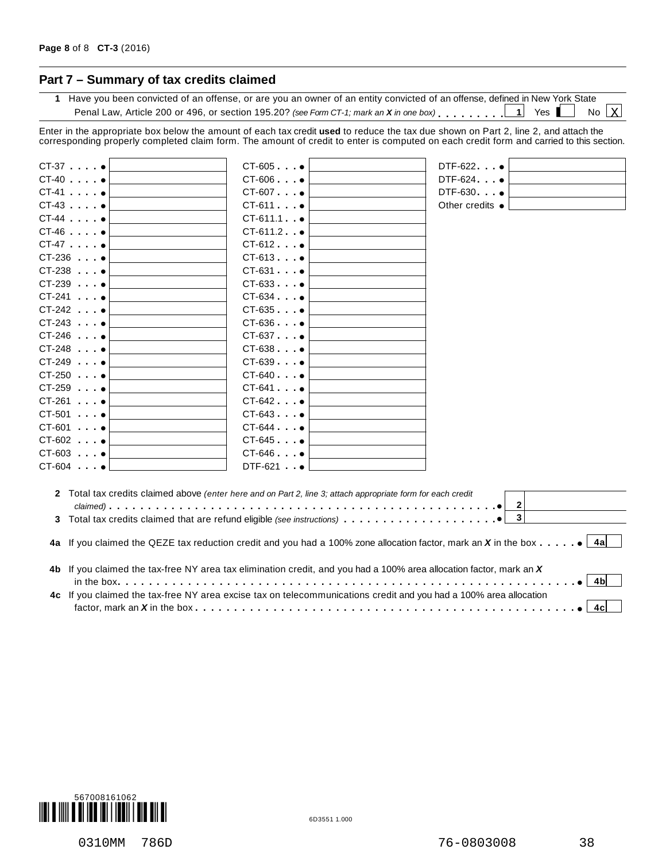# **Part 7 – Summary of tax credits claimed**

**1** Have you been convicted of an offense, or are you an owner of an entity convicted of an offense, defined in New York State Penal Law, Article 200 or 496, or section 195.20? *(see Form CT-1; mark an*  $X$  *in one box)*  $\ldots$ ,  $\ldots$  1 Yes No  $X$ 

Enter in the appropriate box below the amount of each tax credit **used** to reduce the tax due shown on Part 2, line 2, and attach the corresponding properly completed claim form. The amount of credit to enter is computed on each credit form and carried to this section.

| $CT-37$ $•$        | $CT-605$ $\bullet$   | $DTF-622$ $\bullet$                                                                                                                       |     |
|--------------------|----------------------|-------------------------------------------------------------------------------------------------------------------------------------------|-----|
| $CT-40$ . $•$      | $CT-606$ $\bullet$   | DTF-624                                                                                                                                   |     |
| $CT-41$ . $•$      | $CT-607$ $\bullet$   | DTF-630 •                                                                                                                                 |     |
| $CT-43$ . $•$      | $CT-611$ $\bullet$   | Other credits $\bullet$                                                                                                                   |     |
| $CT-44$            | $CT-611.1$ $\bullet$ |                                                                                                                                           |     |
| $CT-46$ .          | $CT-611.2$ $\bullet$ |                                                                                                                                           |     |
| $CT-47$ $\bullet$  | $CT-612$ $\bullet$   |                                                                                                                                           |     |
| $CT-236$ $\bullet$ | $CT-613$             |                                                                                                                                           |     |
| $CT-238$ $\bullet$ | $CT-631$ $\bullet$   |                                                                                                                                           |     |
| $CT-239$ $•$       | $CT-633$ $\bullet$   |                                                                                                                                           |     |
| $CT-241$ $•$       | $CT-634$ $\bullet$   |                                                                                                                                           |     |
| $CT-242$ $\bullet$ | $CT-635$ $\bullet$   |                                                                                                                                           |     |
| $CT-243$           | $CT-636$ $\bullet$   |                                                                                                                                           |     |
| $CT-246$ $\bullet$ | $CT-637$ $\bullet$   |                                                                                                                                           |     |
| $CT-248$ $•$       | $CT-638$ $\bullet$   |                                                                                                                                           |     |
| $CT-249$ $\bullet$ | $CT-639$ $\bullet$   |                                                                                                                                           |     |
| $CT-250$ $•$       | $CT-640$ $\bullet$   |                                                                                                                                           |     |
| $CT-259$ $\bullet$ | $CT-641$             |                                                                                                                                           |     |
| $CT-261$ . $•$     | $CT-642$             |                                                                                                                                           |     |
| $CT-501$ $\bullet$ | $CT-643$             |                                                                                                                                           |     |
| $CT-601$ $•$       | $CT-644$ $\bullet$   |                                                                                                                                           |     |
| $CT-602$ $\bullet$ | $CT-645$ $\bullet$   |                                                                                                                                           |     |
| $CT-603$ $•$       | $CT-646$ $\bullet$   |                                                                                                                                           |     |
| $CT-604$ $•$       | $DTF-621$ $\bullet$  |                                                                                                                                           |     |
|                    |                      | 2 Total tax credits claimed above (enter here and on Part 2, line 3; attach appropriate form for each credit<br>$2 \vert$                 |     |
|                    |                      | $\overline{\mathbf{3}}$                                                                                                                   |     |
|                    |                      |                                                                                                                                           |     |
|                    |                      | 4a If you claimed the QEZE tax reduction credit and you had a 100% zone allocation factor, mark an X in the box $\ldots \cdot \cdot$   4a |     |
|                    |                      | 4b If you claimed the tax-free NY area tax elimination credit, and you had a 100% area allocation factor, mark an X                       |     |
|                    |                      |                                                                                                                                           | 4bl |
|                    |                      | 4c If you claimed the tax-free NY area excise tax on telecommunications credit and you had a 100% area allocation                         | 4cl |

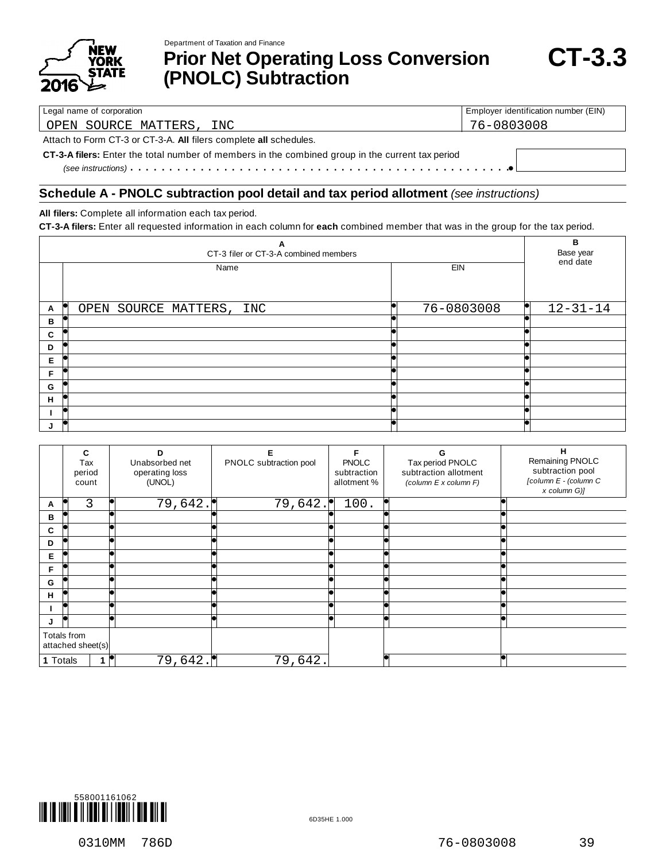

Department of Taxation and Finance

**Prior Net Operating Loss Conversion (PNOLC) Subtraction**

Legal name of corporation **Employer identification number (EIN)** Employer identification number (EIN)

OPEN SOURCE MATTERS, INC 76-0803008

Attach to Form CT-3 or CT-3-A. **All** filers complete **all** schedules.

**CT-3-A filers:** Enter the total number of members in the combined group in the current tax period % *(see instructions)* m m m m m m m m m m m m m m m m m m m m m m m m m m m m m m m m m m m m m m m m m m m m m m m m m

### **Schedule A - PNOLC subtraction pool detail and tax period allotment** *(see instructions)*

**All filers:** Complete all information each tax period.

**CT-3-A filers:** Enter all requested information in each column for **each** combined member that was in the group for the tax period.

|   | A<br>CT-3 filer or CT-3-A combined members |            | B<br>Base year<br>end date |
|---|--------------------------------------------|------------|----------------------------|
|   | Name                                       | EIN        |                            |
| A | OPEN SOURCE MATTERS, INC                   | 76-0803008 | $12 - 31 - 14$<br>ĸи       |
| в |                                            |            |                            |
| C |                                            |            |                            |
| D |                                            |            |                            |
| Е |                                            |            |                            |
| F |                                            |            |                            |
| G |                                            |            |                            |
| H |                                            |            |                            |
|   |                                            |            |                            |
|   |                                            |            |                            |

|          | C<br>Tax<br>period<br>count      | n<br>Unabsorbed net<br>operating loss<br>(UNOL) | PNOLC subtraction pool | <b>PNOLC</b><br>subtraction<br>allotment % | G<br>Tax period PNOLC<br>subtraction allotment<br>(column E x column F) | н<br>Remaining PNOLC<br>subtraction pool<br>[column E - (column C<br>x column G)] |
|----------|----------------------------------|-------------------------------------------------|------------------------|--------------------------------------------|-------------------------------------------------------------------------|-----------------------------------------------------------------------------------|
| A        | 3                                | 79,642.                                         | 79,642.                | 100.                                       |                                                                         |                                                                                   |
| В        |                                  |                                                 |                        |                                            |                                                                         |                                                                                   |
| C        |                                  |                                                 |                        |                                            |                                                                         |                                                                                   |
| D        |                                  |                                                 |                        |                                            |                                                                         |                                                                                   |
| Е        |                                  |                                                 |                        |                                            |                                                                         |                                                                                   |
| F        |                                  |                                                 |                        |                                            |                                                                         |                                                                                   |
| G        |                                  |                                                 |                        |                                            |                                                                         |                                                                                   |
| н        |                                  |                                                 |                        |                                            |                                                                         |                                                                                   |
|          |                                  |                                                 |                        |                                            |                                                                         |                                                                                   |
| J        | lo                               |                                                 |                        |                                            |                                                                         |                                                                                   |
|          | Totals from<br>attached sheet(s) |                                                 |                        |                                            |                                                                         |                                                                                   |
| 1 Totals |                                  | 79,642.                                         | 79,642.                |                                            |                                                                         |                                                                                   |

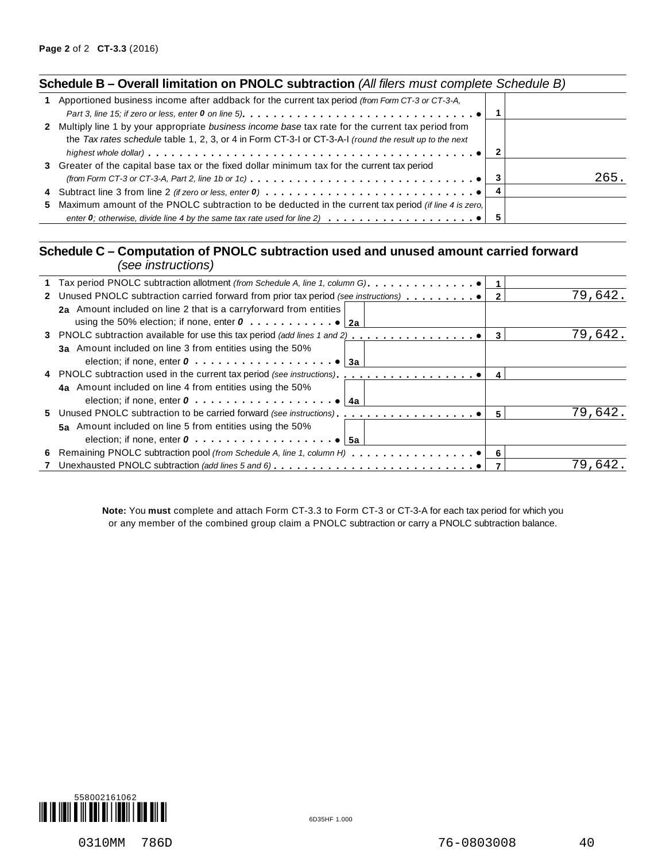| Schedule B - Overall limitation on PNOLC subtraction (All filers must complete Schedule B)                                                                                                                                              |     |      |
|-----------------------------------------------------------------------------------------------------------------------------------------------------------------------------------------------------------------------------------------|-----|------|
| Apportioned business income after addback for the current tax period (from Form CT-3 or CT-3-A,<br>Part 3, line 15; if zero or less, enter 0 on line 5). $\ldots \ldots \ldots \ldots \ldots \ldots \ldots \ldots \ldots \ldots \ldots$ |     |      |
| 2 Multiply line 1 by your appropriate business income base tax rate for the current tax period from<br>the Tax rates schedule table 1, 2, 3, or 4 in Form CT-3-1 or CT-3-A-1 (round the result up to the next                           | - 2 |      |
| 3 Greater of the capital base tax or the fixed dollar minimum tax for the current tax period<br>(from Form CT-3 or CT-3-A, Part 2, line 1b or 1c) $\ldots \ldots \ldots \ldots \ldots \ldots \ldots \ldots \ldots \ldots \ldots \ldots$ |     | 265. |
|                                                                                                                                                                                                                                         |     |      |
| 5 Maximum amount of the PNOLC subtraction to be deducted in the current tax period (if line 4 is zero.                                                                                                                                  |     |      |

## **Schedule C – Computation of PNOLC subtraction used and unused amount carried forward** *(see instructions)*

| ו טיווטיוועווויטריווי טעטן                                                            |   |         |
|---------------------------------------------------------------------------------------|---|---------|
|                                                                                       |   |         |
| 2 Unused PNOLC subtraction carried forward from prior tax period (see instructions)   |   | 79,642. |
| 2a Amount included on line 2 that is a carryforward from entities                     |   |         |
|                                                                                       |   |         |
| 3 PNOLC subtraction available for use this tax period (add lines 1 and 2)             | 3 | 79,642. |
| 3a Amount included on line 3 from entities using the 50%                              |   |         |
| election; if none, enter $0 \ldots \ldots \ldots \ldots \ldots \ldots$ . $\bullet$ 3a |   |         |
|                                                                                       | 4 |         |
| 4a Amount included on line 4 from entities using the 50%                              |   |         |
| election; if none, enter $0, \ldots, \ldots, \ldots, \ldots, \bullet$<br>4а           |   |         |
|                                                                                       | 5 | 79,642. |
| 5a Amount included on line 5 from entities using the 50%                              |   |         |
| election; if none, enter $0 \ldots \ldots \ldots \ldots \ldots \ldots \cdot 6$ 5a     |   |         |
|                                                                                       |   |         |
| 7 Unexhausted PNOLC subtraction (add lines 5 and 6)                                   |   | 79.642  |
|                                                                                       |   |         |

**Note:** You **must** complete and attach Form CT-3.3 to Form CT-3 or CT-3-A for each tax period for which you or any member of the combined group claim a PNOLC subtraction or carry a PNOLC subtraction balance.

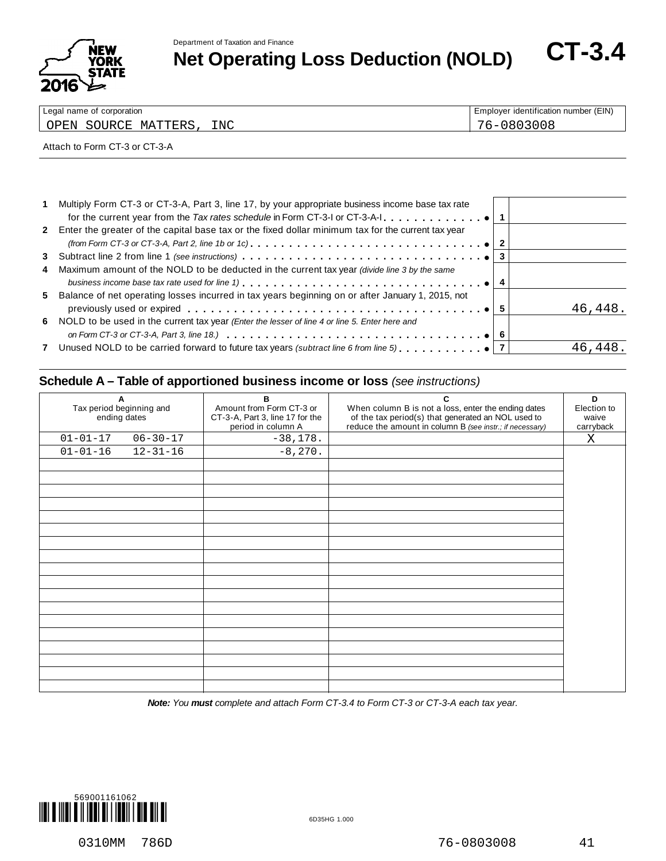

**Net Operatment of Taxation and Finance**<br> **Net Operating Loss Deduction (NOLD)** CT-3.4

| Legal name of corporation        | Employer identification number (EIN) |
|----------------------------------|--------------------------------------|
| INC<br>MATTERS<br>SOURCE<br>OPEN |                                      |

#### Attach to Form CT-3 or CT-3-A

| 1 Multiply Form CT-3 or CT-3-A, Part 3, line 17, by your appropriate business income base tax rate                                             |         |
|------------------------------------------------------------------------------------------------------------------------------------------------|---------|
| 2 Enter the greater of the capital base tax or the fixed dollar minimum tax for the current tax year                                           |         |
| (from Form CT-3 or CT-3-A, Part 2, line 1b or 1c). $\ldots \ldots \ldots \ldots \ldots \ldots \ldots \ldots \ldots \ldots \ldots \bullet   2$  |         |
|                                                                                                                                                |         |
| 4 Maximum amount of the NOLD to be deducted in the current tax year <i>(divide line 3 by the same</i>                                          |         |
|                                                                                                                                                |         |
| 5 Balance of net operating losses incurred in tax years beginning on or after January 1, 2015, not                                             | 46,448. |
| 6 NOLD to be used in the current tax year (Enter the lesser of line 4 or line 5. Enter here and                                                |         |
| on Form CT-3 or CT-3-A, Part 3, line 18.) $\ldots \ldots \ldots \ldots \ldots \ldots \ldots \ldots \ldots \ldots \ldots \ldots \ldots \cdot 6$ |         |
| 7 Unused NOLD to be carried forward to future tax years (subtract line 6 from line 5) $\bullet$ 7                                              | 46.448  |
|                                                                                                                                                |         |

## **Schedule A – Table of apportioned business income or loss** *(see instructions)*

| A<br>Tax period beginning and<br>ending dates |                | в<br>Amount from Form CT-3 or<br>CT-3-A, Part 3, line 17 for the<br>period in column A | C<br>When column B is not a loss, enter the ending dates<br>of the tax period(s) that generated an NOL used to<br>reduce the amount in column B (see instr.; if necessary) | D<br>Election to<br>waive<br>carryback |
|-----------------------------------------------|----------------|----------------------------------------------------------------------------------------|----------------------------------------------------------------------------------------------------------------------------------------------------------------------------|----------------------------------------|
| $01 - 01 - 17$                                | $06 - 30 - 17$ | $-38,178.$                                                                             |                                                                                                                                                                            | X                                      |
| $01 - 01 - 16$                                | $12 - 31 - 16$ | $-8,270.$                                                                              |                                                                                                                                                                            |                                        |
|                                               |                |                                                                                        |                                                                                                                                                                            |                                        |
|                                               |                |                                                                                        |                                                                                                                                                                            |                                        |
|                                               |                |                                                                                        |                                                                                                                                                                            |                                        |
|                                               |                |                                                                                        |                                                                                                                                                                            |                                        |
|                                               |                |                                                                                        |                                                                                                                                                                            |                                        |
|                                               |                |                                                                                        |                                                                                                                                                                            |                                        |
|                                               |                |                                                                                        |                                                                                                                                                                            |                                        |
|                                               |                |                                                                                        |                                                                                                                                                                            |                                        |
|                                               |                |                                                                                        |                                                                                                                                                                            |                                        |
|                                               |                |                                                                                        |                                                                                                                                                                            |                                        |
|                                               |                |                                                                                        |                                                                                                                                                                            |                                        |
|                                               |                |                                                                                        |                                                                                                                                                                            |                                        |
|                                               |                |                                                                                        |                                                                                                                                                                            |                                        |
|                                               |                |                                                                                        |                                                                                                                                                                            |                                        |
|                                               |                |                                                                                        |                                                                                                                                                                            |                                        |
|                                               |                |                                                                                        |                                                                                                                                                                            |                                        |
|                                               |                |                                                                                        |                                                                                                                                                                            |                                        |
|                                               |                |                                                                                        |                                                                                                                                                                            |                                        |
|                                               |                |                                                                                        |                                                                                                                                                                            |                                        |

*Note: You must complete and attach Form CT-3.4 to Form CT-3 or CT-3-A each tax year.*

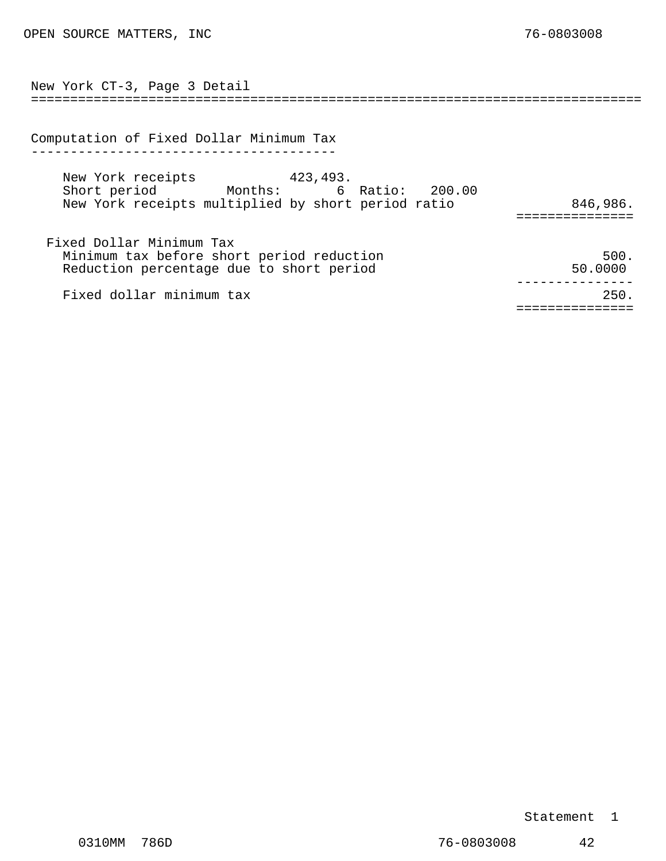<span id="page-36-0"></span>

| New York CT-3, Page 3 Detail                                                                                             |                 |
|--------------------------------------------------------------------------------------------------------------------------|-----------------|
|                                                                                                                          |                 |
| Computation of Fixed Dollar Minimum Tax                                                                                  |                 |
| New York receipts 423,493.<br>Short period Months: 6 Ratio: 200.00<br>New York receipts multiplied by short period ratio | 846,986.        |
| Fixed Dollar Minimum Tax<br>Minimum tax before short period reduction<br>Reduction percentage due to short period        | 500.<br>50.0000 |
| Fixed dollar minimum tax                                                                                                 | 250.            |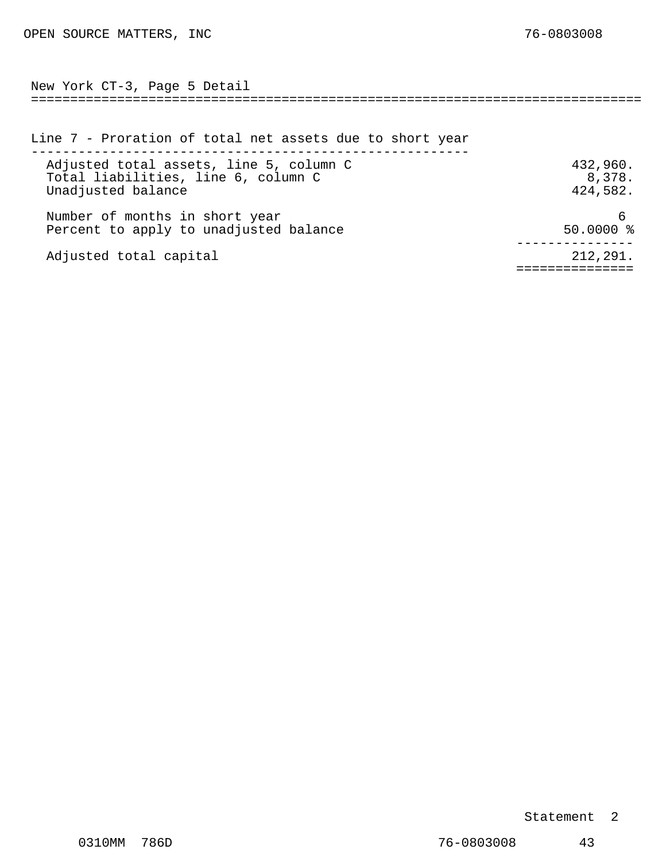<span id="page-37-0"></span>============================================================================== New York CT-3, Page 5 Detail

| Line 7 - Proration of total net assets due to short year                                             |                                |
|------------------------------------------------------------------------------------------------------|--------------------------------|
| Adjusted total assets, line 5, column C<br>Total liabilities, line 6, column C<br>Unadjusted balance | 432,960.<br>8,378.<br>424,582. |
| Number of months in short year<br>Percent to apply to unadjusted balance                             | $50.0000$ %                    |
| Adjusted total capital                                                                               | 212,291.                       |

### Statement 2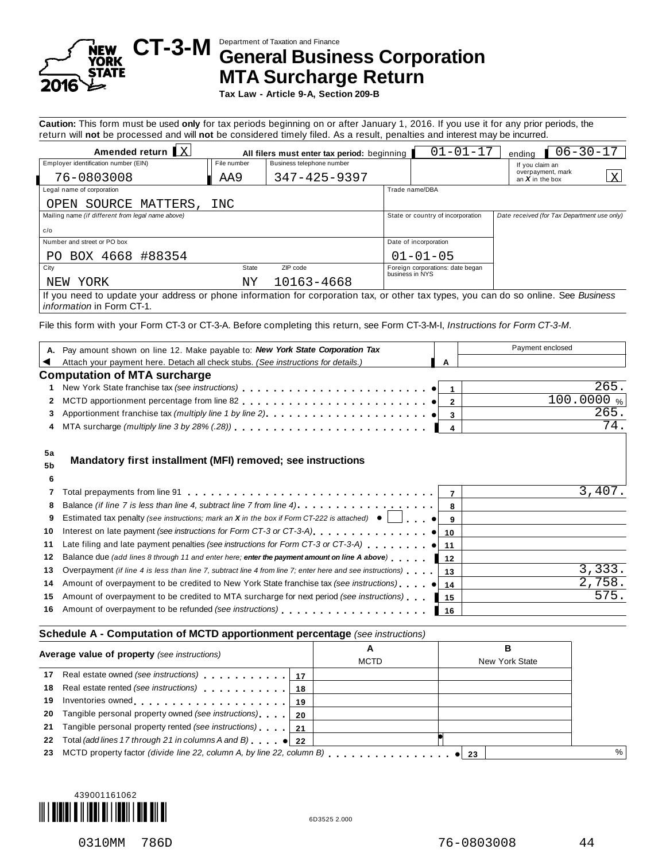

# Department of Taxation and Finance **CT-3-M General Business Corporation MTA Surcharge Return**

**Tax Law - Article 9-A, Section 209-B**

**Caution:** This form must be used **only** for tax periods beginning on or after January 1, 2016. If you use it for any prior periods, the return will **not** be processed and will **not** be considered timely filed. As a result, penalties and interest may be incurred.

|                                                                                                                                     |             |                                             | $\overline{\phantom{a}}$ |                                                     |                                             |
|-------------------------------------------------------------------------------------------------------------------------------------|-------------|---------------------------------------------|--------------------------|-----------------------------------------------------|---------------------------------------------|
| Amended return $\mathbf{X}$                                                                                                         |             | All filers must enter tax period: beginning |                          | $01 - 01 - 17$                                      | $06 - 30 - 17$<br>endina                    |
| Employer identification number (EIN)                                                                                                | File number | Business telephone number                   |                          |                                                     | If you claim an                             |
| 76-0803008                                                                                                                          | AA9         | 347-425-9397                                |                          |                                                     | overpayment, mark<br>X<br>an $X$ in the box |
| Legal name of corporation                                                                                                           |             |                                             |                          | Trade name/DBA                                      |                                             |
| OPEN SOURCE MATTERS,                                                                                                                | INC         |                                             |                          |                                                     |                                             |
| Mailing name (if different from legal name above)                                                                                   |             |                                             |                          | State or country of incorporation                   | Date received (for Tax Department use only) |
| c/o                                                                                                                                 |             |                                             |                          |                                                     |                                             |
| Number and street or PO box                                                                                                         |             |                                             |                          | Date of incorporation                               |                                             |
| PO BOX 4668 #88354                                                                                                                  |             |                                             |                          | $01 - 01 - 05$                                      |                                             |
| City                                                                                                                                | State       | ZIP code                                    |                          | Foreign corporations: date began<br>business in NYS |                                             |
| NEW YORK                                                                                                                            | ΝY          | 10163-4668                                  |                          |                                                     |                                             |
| If you need to update your address or phone information for corporation tax, or other tax types, you can do so online. See Business |             |                                             |                          |                                                     |                                             |

*information* in Form CT-1.

File this form with your Form CT-3 or CT-3-A. Before completing this return, see Form CT-3-M-I, *Instructions for Form CT-3-M*.

|                | A. Pay amount shown on line 12. Make payable to: New York State Corporation Tax                                  | Payment enclosed |
|----------------|------------------------------------------------------------------------------------------------------------------|------------------|
|                | Attach your payment here. Detach all check stubs. (See instructions for details.)<br>A                           |                  |
|                | <b>Computation of MTA surcharge</b>                                                                              |                  |
|                |                                                                                                                  | 265.             |
| 2              |                                                                                                                  | 100.0000%        |
| 3              |                                                                                                                  | 265.             |
| 4              | 4                                                                                                                | 74               |
|                |                                                                                                                  |                  |
|                |                                                                                                                  |                  |
| 5 <sub>b</sub> | Mandatory first installment (MFI) removed; see instructions                                                      |                  |
| 6              |                                                                                                                  |                  |
|                |                                                                                                                  | 3,407            |
| 8              |                                                                                                                  |                  |
| 9              | Estimated tax penalty (see instructions; mark an X in the box if Form CT-222 is attached) $\bullet$              |                  |
| 10             |                                                                                                                  |                  |
| 11             |                                                                                                                  |                  |
| 12             | Balance due (add lines 8 through 11 and enter here; enter the payment amount on line A above)<br>12              |                  |
| 13             | Overpayment (if line 4 is less than line 7, subtract line 4 from line 7; enter here and see instructions) $ 13 $ | 3,333.           |
| 14             |                                                                                                                  | 2,758.           |
| 15             | Amount of overpayment to be credited to MTA surcharge for next period (see instructions)<br>l 15                 | 575.             |

#### **Schedule A - Computation of MCTD apportionment percentage** *(see instructions)*

| Average value of property (see instructions) |                                                                | A<br><b>MCTD</b> | в<br>New York State |  |      |
|----------------------------------------------|----------------------------------------------------------------|------------------|---------------------|--|------|
| 17                                           | Real estate owned (see instructions) example and a state of 17 |                  |                     |  |      |
|                                              | 18 Real estate rented (see instructions)                       | 18               |                     |  |      |
|                                              |                                                                |                  |                     |  |      |
|                                              | 20 Tangible personal property owned (see instructions)   20    |                  |                     |  |      |
|                                              | 21 Tangible personal property rented (see instructions)   21   |                  |                     |  |      |
|                                              | 22 Total (add lines 17 through 21 in columns A and B) $ 22 $   |                  |                     |  |      |
|                                              |                                                                |                  |                     |  | $\%$ |
|                                              |                                                                |                  |                     |  |      |

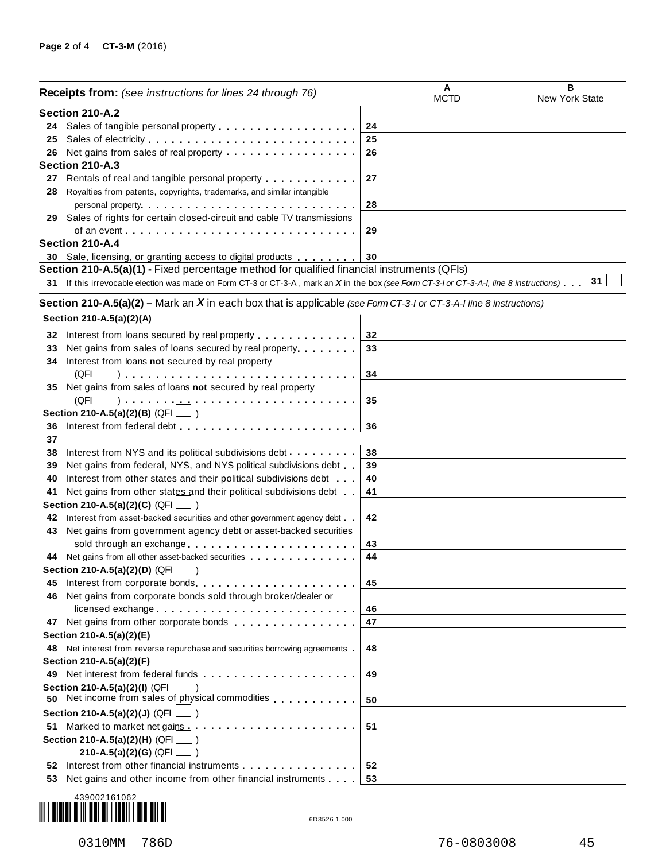| <b>Receipts from:</b> (see instructions for lines 24 through 76) |                                                                                                                                                                                                                                |    | A<br><b>MCTD</b> | в<br>New York State |
|------------------------------------------------------------------|--------------------------------------------------------------------------------------------------------------------------------------------------------------------------------------------------------------------------------|----|------------------|---------------------|
|                                                                  | Section 210-A.2                                                                                                                                                                                                                |    |                  |                     |
| 24                                                               |                                                                                                                                                                                                                                | 24 |                  |                     |
| 25                                                               |                                                                                                                                                                                                                                | 25 |                  |                     |
| 26                                                               | Net gains from sales of real property                                                                                                                                                                                          | 26 |                  |                     |
|                                                                  | Section 210-A.3                                                                                                                                                                                                                |    |                  |                     |
|                                                                  | 27 Rentals of real and tangible personal property entitled and results and response to Rental and Rental and R                                                                                                                 | 27 |                  |                     |
| 28                                                               | Royalties from patents, copyrights, trademarks, and similar intangible                                                                                                                                                         |    |                  |                     |
|                                                                  |                                                                                                                                                                                                                                | 28 |                  |                     |
| 29                                                               | Sales of rights for certain closed-circuit and cable TV transmissions                                                                                                                                                          |    |                  |                     |
|                                                                  |                                                                                                                                                                                                                                | 29 |                  |                     |
|                                                                  | Section 210-A.4                                                                                                                                                                                                                |    |                  |                     |
|                                                                  |                                                                                                                                                                                                                                |    |                  |                     |
|                                                                  | 30 Sale, licensing, or granting access to digital products                                                                                                                                                                     | 30 |                  |                     |
|                                                                  | Section 210-A.5(a)(1) - Fixed percentage method for qualified financial instruments (QFIs)                                                                                                                                     |    |                  |                     |
|                                                                  | 31 If this irrevocable election was made on Form CT-3 or CT-3-A, mark an X in the box (see Form CT-3-I or CT-3-A-I, line 8 instructions). 31                                                                                   |    |                  |                     |
|                                                                  | Section 210-A.5(a)(2) – Mark an $X$ in each box that is applicable (see Form CT-3-I or CT-3-A-I line 8 instructions)                                                                                                           |    |                  |                     |
|                                                                  | Section 210-A.5(a)(2)(A)                                                                                                                                                                                                       |    |                  |                     |
|                                                                  |                                                                                                                                                                                                                                |    |                  |                     |
| 32                                                               | Interest from loans secured by real property                                                                                                                                                                                   | 32 |                  |                     |
| 33                                                               | Net gains from sales of loans secured by real property                                                                                                                                                                         | 33 |                  |                     |
| 34                                                               | Interest from loans not secured by real property                                                                                                                                                                               |    |                  |                     |
|                                                                  | (QFI                                                                                                                                                                                                                           | 34 |                  |                     |
| 35                                                               | Net gains from sales of loans not secured by real property                                                                                                                                                                     |    |                  |                     |
|                                                                  | $(QFI \Box) \ldots \ldots \ldots$<br>.                                                                                                                                                                                         | 35 |                  |                     |
|                                                                  | Section 210-A.5(a)(2)(B) (QFI $\Box$ )                                                                                                                                                                                         |    |                  |                     |
| 36                                                               | Interest from federal debt                                                                                                                                                                                                     | 36 |                  |                     |
| 37                                                               |                                                                                                                                                                                                                                |    |                  |                     |
| 38                                                               | Interest from NYS and its political subdivisions debt                                                                                                                                                                          | 38 |                  |                     |
| 39                                                               | Net gains from federal, NYS, and NYS political subdivisions debt                                                                                                                                                               | 39 |                  |                     |
| 40                                                               | Interest from other states and their political subdivisions debt                                                                                                                                                               | 40 |                  |                     |
| 41                                                               | Net gains from other states and their political subdivisions debt                                                                                                                                                              | 41 |                  |                     |
|                                                                  | Section 210-A.5(a)(2)(C) (QFI                                                                                                                                                                                                  |    |                  |                     |
| 42                                                               | Interest from asset-backed securities and other government agency debt.                                                                                                                                                        | 42 |                  |                     |
| 43                                                               | Net gains from government agency debt or asset-backed securities                                                                                                                                                               |    |                  |                     |
|                                                                  | sold through an exchange entitled to the set of the set of the set of the set of the set of the set of the set of the set of the set of the set of the set of the set of the set of the set of the set of the set of the set o | 43 |                  |                     |
|                                                                  | 44 Net gains from all other asset-backed securities                                                                                                                                                                            | 44 |                  |                     |
|                                                                  | Section 210-A.5(a)(2)(D) $(QFI$                                                                                                                                                                                                |    |                  |                     |
| 45                                                               | Interest from corporate bonds.                                                                                                                                                                                                 | 45 |                  |                     |
| 46                                                               | Net gains from corporate bonds sold through broker/dealer or                                                                                                                                                                   |    |                  |                     |
|                                                                  |                                                                                                                                                                                                                                |    |                  |                     |
|                                                                  | licensed exchange                                                                                                                                                                                                              | 46 |                  |                     |
|                                                                  | 47 Net gains from other corporate bonds                                                                                                                                                                                        | 47 |                  |                     |
|                                                                  | Section 210-A.5(a)(2)(E)                                                                                                                                                                                                       |    |                  |                     |
|                                                                  | 48 Net interest from reverse repurchase and securities borrowing agreements                                                                                                                                                    | 48 |                  |                     |
|                                                                  | Section 210-A.5(a)(2)(F)                                                                                                                                                                                                       |    |                  |                     |
| 49.                                                              |                                                                                                                                                                                                                                | 49 |                  |                     |
| 50                                                               | Section 210-A.5(a)(2)(I) (QFI<br>Net income from sales of physical commodities entitled that is a set of physical commodities                                                                                                  | 50 |                  |                     |
|                                                                  | Section 210-A.5(a)(2)(J) (QFI                                                                                                                                                                                                  |    |                  |                     |
| 51                                                               | Marked to market net gains.<br>.                                                                                                                                                                                               | 51 |                  |                     |
|                                                                  | Section 210-A.5(a)(2)(H) (QFI                                                                                                                                                                                                  |    |                  |                     |
|                                                                  | 210-A.5(a)(2)(G) (QFI                                                                                                                                                                                                          |    |                  |                     |
| 52                                                               | Interest from other financial instruments <b>Algebra 2010</b>                                                                                                                                                                  | 52 |                  |                     |
| 53                                                               | Net gains and other income from other financial instruments                                                                                                                                                                    | 53 |                  |                     |
|                                                                  |                                                                                                                                                                                                                                |    |                  |                     |



 $\bar{.}$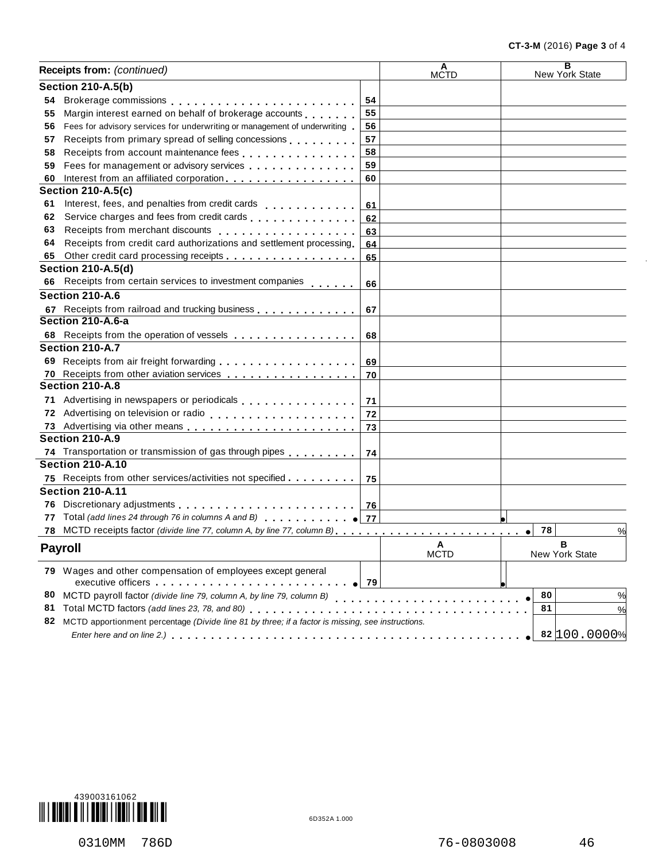| Receipts from: (continued) |                                                                                                                |    | Α<br><b>MCTD</b> | $\overline{\mathbf{B}}$<br>New York State |
|----------------------------|----------------------------------------------------------------------------------------------------------------|----|------------------|-------------------------------------------|
|                            | <b>Section 210-A.5(b)</b>                                                                                      |    |                  |                                           |
| 54                         |                                                                                                                | 54 |                  |                                           |
| 55                         | Margin interest earned on behalf of brokerage accounts                                                         | 55 |                  |                                           |
| 56                         | Fees for advisory services for underwriting or management of underwriting                                      | 56 |                  |                                           |
| 57                         | Receipts from primary spread of selling concessions                                                            | 57 |                  |                                           |
| 58                         |                                                                                                                | 58 |                  |                                           |
| 59                         | Fees for management or advisory services                                                                       | 59 |                  |                                           |
| 60                         | Interest from an affiliated corporation.                                                                       | 60 |                  |                                           |
|                            | <b>Section 210-A.5(c)</b>                                                                                      |    |                  |                                           |
| 61                         | Interest, fees, and penalties from credit cards                                                                | 61 |                  |                                           |
| 62                         | Service charges and fees from credit cards entitled as a series of the series of                               | 62 |                  |                                           |
| 63                         | Receipts from merchant discounts entitled and a series of the series and a series are a series of the series o | 63 |                  |                                           |
| 64                         | Receipts from credit card authorizations and settlement processing                                             | 64 |                  |                                           |
| 65                         | Other credit card processing receipts                                                                          | 65 |                  |                                           |
|                            | <b>Section 210-A.5(d)</b>                                                                                      |    |                  |                                           |
| 66                         | Receipts from certain services to investment companies                                                         | 66 |                  |                                           |
|                            | Section 210-A.6                                                                                                |    |                  |                                           |
|                            | 67 Receipts from railroad and trucking business                                                                | 67 |                  |                                           |
|                            | Section 210-A.6-a                                                                                              |    |                  |                                           |
|                            | 68 Receipts from the operation of vessels                                                                      | 68 |                  |                                           |
|                            | Section 210-A.7                                                                                                |    |                  |                                           |
|                            |                                                                                                                |    |                  |                                           |
|                            |                                                                                                                | 70 |                  |                                           |
|                            | Section 210-A.8                                                                                                |    |                  |                                           |
|                            | Advertising in newspapers or periodicals entitled and result in the case of                                    | 71 |                  |                                           |
|                            |                                                                                                                | 72 |                  |                                           |
|                            |                                                                                                                | 73 |                  |                                           |
|                            | Section 210-A.9                                                                                                |    |                  |                                           |
|                            | 74 Transportation or transmission of gas through pipes [1, 1, 1, 1, 1, 1]                                      | 74 |                  |                                           |
|                            | <b>Section 210-A.10</b>                                                                                        |    |                  |                                           |
|                            | 75 Receipts from other services/activities not specified                                                       | 75 |                  |                                           |
|                            | <b>Section 210-A.11</b>                                                                                        |    |                  |                                           |
|                            |                                                                                                                |    |                  |                                           |
| 77                         | Total (add lines 24 through 76 in columns A and B) $\bigcup$ 77                                                |    |                  |                                           |
| 78                         |                                                                                                                |    |                  | 78                                        |
|                            |                                                                                                                |    |                  | %<br>$\bullet$                            |
|                            | <b>Payroll</b>                                                                                                 |    | A<br><b>MCTD</b> | в<br>New York State                       |
|                            | 79 Wages and other compensation of employees except general                                                    |    |                  |                                           |
| 80                         |                                                                                                                |    |                  | 80<br>%                                   |
| 81                         |                                                                                                                |    |                  | 81<br>%                                   |
|                            | 82 MCTD apportionment percentage (Divide line 81 by three; if a factor is missing, see instructions.           |    |                  |                                           |
|                            |                                                                                                                |    |                  | 82 100.0000%                              |
|                            |                                                                                                                |    |                  |                                           |